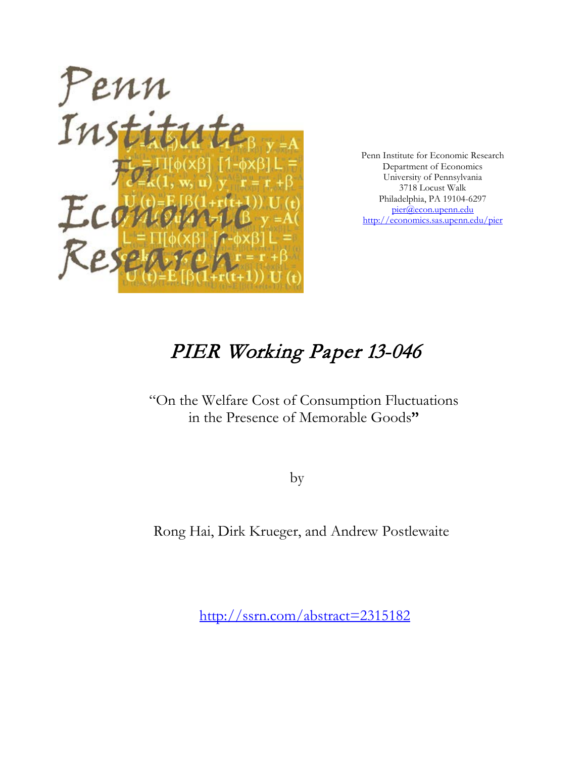

Penn Institute for Economic Research Department of Economics University of Pennsylvania 3718 Locust Walk Philadelphia, PA 19104-6297 [pier@econ.upenn.edu](mailto:pier@econ.upenn.edu) <http://economics.sas.upenn.edu/pier>

# PIER Working Paper 13-046

# "On the Welfare Cost of Consumption Fluctuations in the Presence of Memorable Goods**"**

by

Rong Hai, Dirk Krueger, and Andrew Postlewaite

[http://ssrn.com/abstract=2](http://ssrn.com/abstract_id=)315182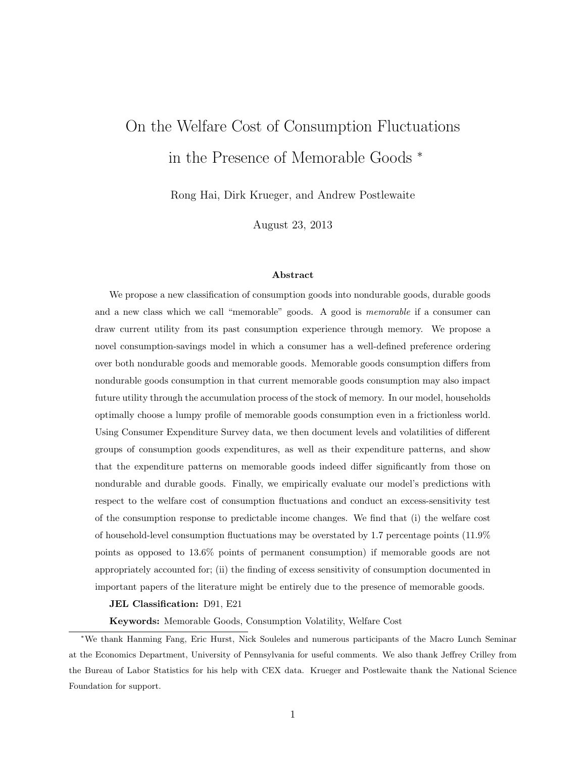# On the Welfare Cost of Consumption Fluctuations in the Presence of Memorable Goods <sup>∗</sup>

Rong Hai, Dirk Krueger, and Andrew Postlewaite

August 23, 2013

#### Abstract

We propose a new classification of consumption goods into nondurable goods, durable goods and a new class which we call "memorable" goods. A good is memorable if a consumer can draw current utility from its past consumption experience through memory. We propose a novel consumption-savings model in which a consumer has a well-defined preference ordering over both nondurable goods and memorable goods. Memorable goods consumption differs from nondurable goods consumption in that current memorable goods consumption may also impact future utility through the accumulation process of the stock of memory. In our model, households optimally choose a lumpy profile of memorable goods consumption even in a frictionless world. Using Consumer Expenditure Survey data, we then document levels and volatilities of different groups of consumption goods expenditures, as well as their expenditure patterns, and show that the expenditure patterns on memorable goods indeed differ significantly from those on nondurable and durable goods. Finally, we empirically evaluate our model's predictions with respect to the welfare cost of consumption fluctuations and conduct an excess-sensitivity test of the consumption response to predictable income changes. We find that (i) the welfare cost of household-level consumption fluctuations may be overstated by 1.7 percentage points (11.9% points as opposed to 13.6% points of permanent consumption) if memorable goods are not appropriately accounted for; (ii) the finding of excess sensitivity of consumption documented in important papers of the literature might be entirely due to the presence of memorable goods.

#### JEL Classification: D91, E21

Keywords: Memorable Goods, Consumption Volatility, Welfare Cost

<sup>∗</sup>We thank Hanming Fang, Eric Hurst, Nick Souleles and numerous participants of the Macro Lunch Seminar at the Economics Department, University of Pennsylvania for useful comments. We also thank Jeffrey Crilley from the Bureau of Labor Statistics for his help with CEX data. Krueger and Postlewaite thank the National Science Foundation for support.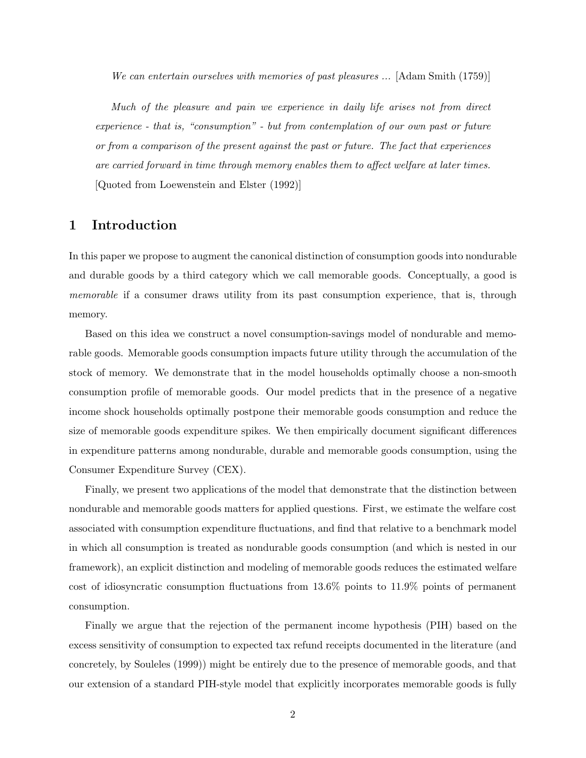We can entertain ourselves with memories of past pleasures ... [Adam Smith (1759)]

Much of the pleasure and pain we experience in daily life arises not from direct experience - that is, "consumption" - but from contemplation of our own past or future or from a comparison of the present against the past or future. The fact that experiences are carried forward in time through memory enables them to affect welfare at later times. [Quoted from Loewenstein and Elster (1992)]

# 1 Introduction

In this paper we propose to augment the canonical distinction of consumption goods into nondurable and durable goods by a third category which we call memorable goods. Conceptually, a good is memorable if a consumer draws utility from its past consumption experience, that is, through memory.

Based on this idea we construct a novel consumption-savings model of nondurable and memorable goods. Memorable goods consumption impacts future utility through the accumulation of the stock of memory. We demonstrate that in the model households optimally choose a non-smooth consumption profile of memorable goods. Our model predicts that in the presence of a negative income shock households optimally postpone their memorable goods consumption and reduce the size of memorable goods expenditure spikes. We then empirically document significant differences in expenditure patterns among nondurable, durable and memorable goods consumption, using the Consumer Expenditure Survey (CEX).

Finally, we present two applications of the model that demonstrate that the distinction between nondurable and memorable goods matters for applied questions. First, we estimate the welfare cost associated with consumption expenditure fluctuations, and find that relative to a benchmark model in which all consumption is treated as nondurable goods consumption (and which is nested in our framework), an explicit distinction and modeling of memorable goods reduces the estimated welfare cost of idiosyncratic consumption fluctuations from 13.6% points to 11.9% points of permanent consumption.

Finally we argue that the rejection of the permanent income hypothesis (PIH) based on the excess sensitivity of consumption to expected tax refund receipts documented in the literature (and concretely, by Souleles (1999)) might be entirely due to the presence of memorable goods, and that our extension of a standard PIH-style model that explicitly incorporates memorable goods is fully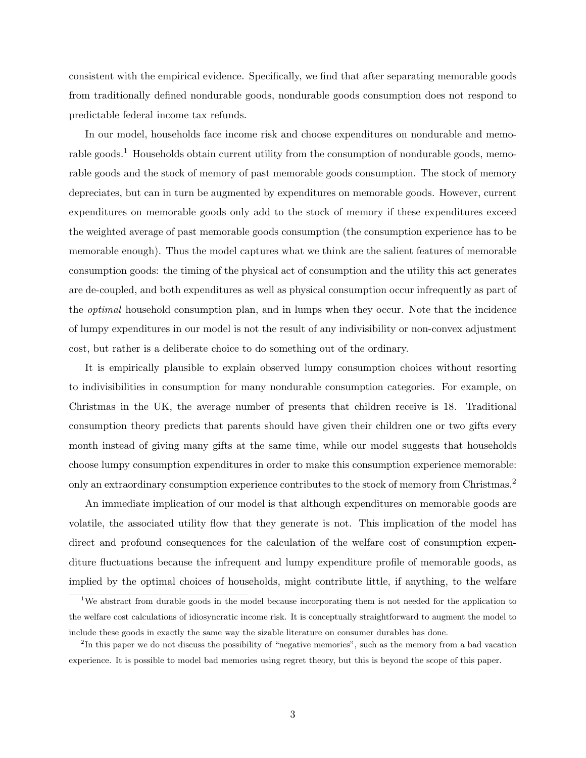consistent with the empirical evidence. Specifically, we find that after separating memorable goods from traditionally defined nondurable goods, nondurable goods consumption does not respond to predictable federal income tax refunds.

In our model, households face income risk and choose expenditures on nondurable and memorable goods.<sup>1</sup> Households obtain current utility from the consumption of nondurable goods, memorable goods and the stock of memory of past memorable goods consumption. The stock of memory depreciates, but can in turn be augmented by expenditures on memorable goods. However, current expenditures on memorable goods only add to the stock of memory if these expenditures exceed the weighted average of past memorable goods consumption (the consumption experience has to be memorable enough). Thus the model captures what we think are the salient features of memorable consumption goods: the timing of the physical act of consumption and the utility this act generates are de-coupled, and both expenditures as well as physical consumption occur infrequently as part of the optimal household consumption plan, and in lumps when they occur. Note that the incidence of lumpy expenditures in our model is not the result of any indivisibility or non-convex adjustment cost, but rather is a deliberate choice to do something out of the ordinary.

It is empirically plausible to explain observed lumpy consumption choices without resorting to indivisibilities in consumption for many nondurable consumption categories. For example, on Christmas in the UK, the average number of presents that children receive is 18. Traditional consumption theory predicts that parents should have given their children one or two gifts every month instead of giving many gifts at the same time, while our model suggests that households choose lumpy consumption expenditures in order to make this consumption experience memorable: only an extraordinary consumption experience contributes to the stock of memory from Christmas.<sup>2</sup>

An immediate implication of our model is that although expenditures on memorable goods are volatile, the associated utility flow that they generate is not. This implication of the model has direct and profound consequences for the calculation of the welfare cost of consumption expenditure fluctuations because the infrequent and lumpy expenditure profile of memorable goods, as implied by the optimal choices of households, might contribute little, if anything, to the welfare

<sup>&</sup>lt;sup>1</sup>We abstract from durable goods in the model because incorporating them is not needed for the application to the welfare cost calculations of idiosyncratic income risk. It is conceptually straightforward to augment the model to include these goods in exactly the same way the sizable literature on consumer durables has done.

<sup>&</sup>lt;sup>2</sup>In this paper we do not discuss the possibility of "negative memories", such as the memory from a bad vacation experience. It is possible to model bad memories using regret theory, but this is beyond the scope of this paper.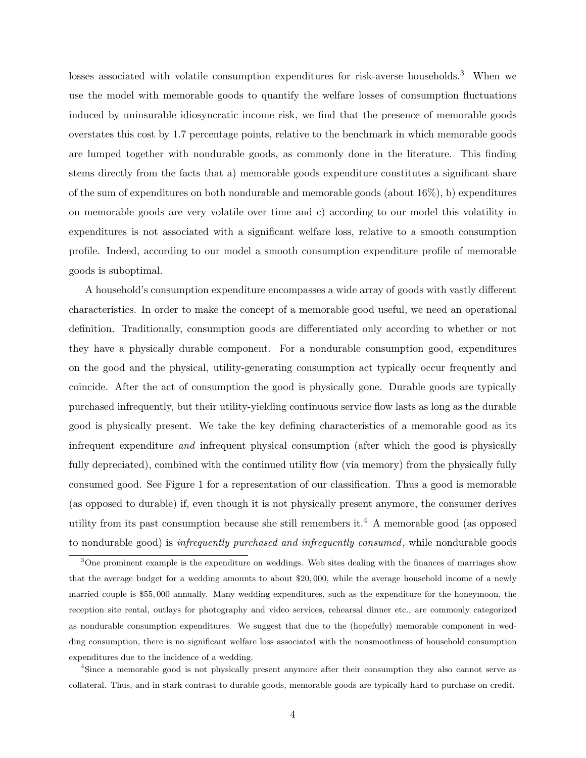losses associated with volatile consumption expenditures for risk-averse households.<sup>3</sup> When we use the model with memorable goods to quantify the welfare losses of consumption fluctuations induced by uninsurable idiosyncratic income risk, we find that the presence of memorable goods overstates this cost by 1.7 percentage points, relative to the benchmark in which memorable goods are lumped together with nondurable goods, as commonly done in the literature. This finding stems directly from the facts that a) memorable goods expenditure constitutes a significant share of the sum of expenditures on both nondurable and memorable goods (about  $16\%$ ), b) expenditures on memorable goods are very volatile over time and c) according to our model this volatility in expenditures is not associated with a significant welfare loss, relative to a smooth consumption profile. Indeed, according to our model a smooth consumption expenditure profile of memorable goods is suboptimal.

A household's consumption expenditure encompasses a wide array of goods with vastly different characteristics. In order to make the concept of a memorable good useful, we need an operational definition. Traditionally, consumption goods are differentiated only according to whether or not they have a physically durable component. For a nondurable consumption good, expenditures on the good and the physical, utility-generating consumption act typically occur frequently and coincide. After the act of consumption the good is physically gone. Durable goods are typically purchased infrequently, but their utility-yielding continuous service flow lasts as long as the durable good is physically present. We take the key defining characteristics of a memorable good as its infrequent expenditure and infrequent physical consumption (after which the good is physically fully depreciated), combined with the continued utility flow (via memory) from the physically fully consumed good. See Figure 1 for a representation of our classification. Thus a good is memorable (as opposed to durable) if, even though it is not physically present anymore, the consumer derives utility from its past consumption because she still remembers it.<sup>4</sup> A memorable good (as opposed to nondurable good) is infrequently purchased and infrequently consumed, while nondurable goods

<sup>4</sup>Since a memorable good is not physically present anymore after their consumption they also cannot serve as collateral. Thus, and in stark contrast to durable goods, memorable goods are typically hard to purchase on credit.

<sup>&</sup>lt;sup>3</sup>One prominent example is the expenditure on weddings. Web sites dealing with the finances of marriages show that the average budget for a wedding amounts to about \$20, 000, while the average household income of a newly married couple is \$55, 000 annually. Many wedding expenditures, such as the expenditure for the honeymoon, the reception site rental, outlays for photography and video services, rehearsal dinner etc., are commonly categorized as nondurable consumption expenditures. We suggest that due to the (hopefully) memorable component in wedding consumption, there is no significant welfare loss associated with the nonsmoothness of household consumption expenditures due to the incidence of a wedding.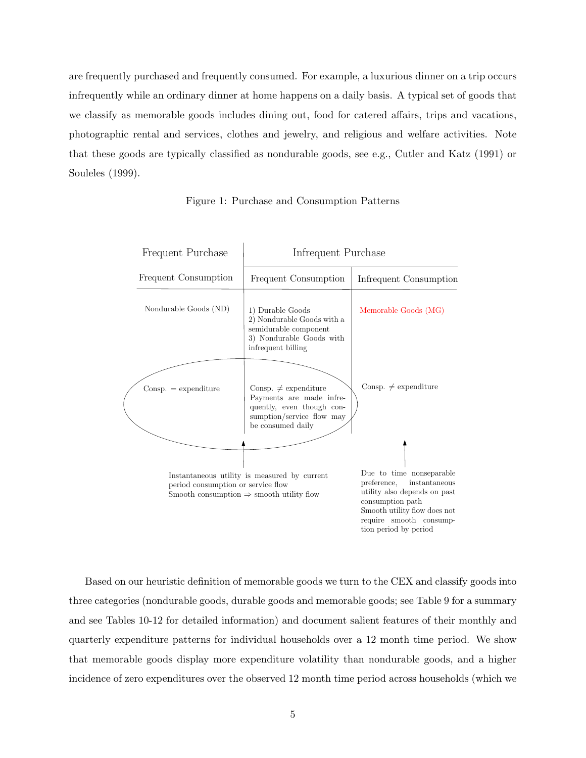are frequently purchased and frequently consumed. For example, a luxurious dinner on a trip occurs infrequently while an ordinary dinner at home happens on a daily basis. A typical set of goods that we classify as memorable goods includes dining out, food for catered affairs, trips and vacations, photographic rental and services, clothes and jewelry, and religious and welfare activities. Note that these goods are typically classified as nondurable goods, see e.g., Cutler and Katz (1991) or Souleles (1999).

| Frequent Purchase                  | Infrequent Purchase                                                                                                                  |                                                                                                                                                                                                  |
|------------------------------------|--------------------------------------------------------------------------------------------------------------------------------------|--------------------------------------------------------------------------------------------------------------------------------------------------------------------------------------------------|
| Frequent Consumption               | Frequent Consumption                                                                                                                 | Infrequent Consumption                                                                                                                                                                           |
| Nondurable Goods (ND)              | 1) Durable Goods<br>2) Nondurable Goods with a<br>semidurable component<br>3) Nondurable Goods with<br>infrequent billing            | Memorable Goods (MG)                                                                                                                                                                             |
| $Consp. =$ expenditure             | Consp. $\neq$ expenditure<br>Payments are made infre-<br>quently, even though con-<br>sumption/service flow may<br>be consumed daily | Consp. $\neq$ expenditure                                                                                                                                                                        |
| period consumption or service flow | Instantaneous utility is measured by current<br>Smooth consumption $\Rightarrow$ smooth utility flow                                 | Due to time nonseparable<br>instantaneous<br>preference,<br>utility also depends on past<br>consumption path<br>Smooth utility flow does not<br>require smooth consump-<br>tion period by period |

Figure 1: Purchase and Consumption Patterns

Based on our heuristic definition of memorable goods we turn to the CEX and classify goods into three categories (nondurable goods, durable goods and memorable goods; see Table 9 for a summary and see Tables 10-12 for detailed information) and document salient features of their monthly and quarterly expenditure patterns for individual households over a 12 month time period. We show that memorable goods display more expenditure volatility than nondurable goods, and a higher incidence of zero expenditures over the observed 12 month time period across households (which we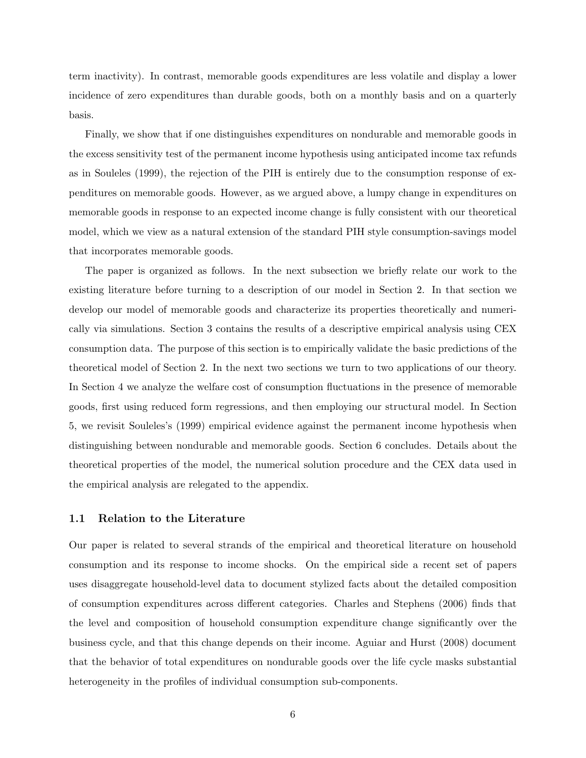term inactivity). In contrast, memorable goods expenditures are less volatile and display a lower incidence of zero expenditures than durable goods, both on a monthly basis and on a quarterly basis.

Finally, we show that if one distinguishes expenditures on nondurable and memorable goods in the excess sensitivity test of the permanent income hypothesis using anticipated income tax refunds as in Souleles (1999), the rejection of the PIH is entirely due to the consumption response of expenditures on memorable goods. However, as we argued above, a lumpy change in expenditures on memorable goods in response to an expected income change is fully consistent with our theoretical model, which we view as a natural extension of the standard PIH style consumption-savings model that incorporates memorable goods.

The paper is organized as follows. In the next subsection we briefly relate our work to the existing literature before turning to a description of our model in Section 2. In that section we develop our model of memorable goods and characterize its properties theoretically and numerically via simulations. Section 3 contains the results of a descriptive empirical analysis using CEX consumption data. The purpose of this section is to empirically validate the basic predictions of the theoretical model of Section 2. In the next two sections we turn to two applications of our theory. In Section 4 we analyze the welfare cost of consumption fluctuations in the presence of memorable goods, first using reduced form regressions, and then employing our structural model. In Section 5, we revisit Souleles's (1999) empirical evidence against the permanent income hypothesis when distinguishing between nondurable and memorable goods. Section 6 concludes. Details about the theoretical properties of the model, the numerical solution procedure and the CEX data used in the empirical analysis are relegated to the appendix.

#### 1.1 Relation to the Literature

Our paper is related to several strands of the empirical and theoretical literature on household consumption and its response to income shocks. On the empirical side a recent set of papers uses disaggregate household-level data to document stylized facts about the detailed composition of consumption expenditures across different categories. Charles and Stephens (2006) finds that the level and composition of household consumption expenditure change significantly over the business cycle, and that this change depends on their income. Aguiar and Hurst (2008) document that the behavior of total expenditures on nondurable goods over the life cycle masks substantial heterogeneity in the profiles of individual consumption sub-components.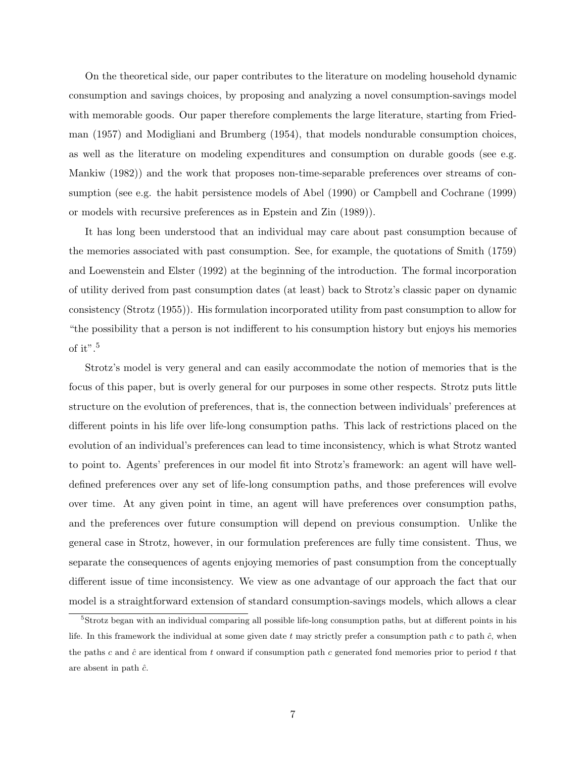On the theoretical side, our paper contributes to the literature on modeling household dynamic consumption and savings choices, by proposing and analyzing a novel consumption-savings model with memorable goods. Our paper therefore complements the large literature, starting from Friedman (1957) and Modigliani and Brumberg (1954), that models nondurable consumption choices, as well as the literature on modeling expenditures and consumption on durable goods (see e.g. Mankiw (1982)) and the work that proposes non-time-separable preferences over streams of consumption (see e.g. the habit persistence models of Abel (1990) or Campbell and Cochrane (1999) or models with recursive preferences as in Epstein and Zin (1989)).

It has long been understood that an individual may care about past consumption because of the memories associated with past consumption. See, for example, the quotations of Smith (1759) and Loewenstein and Elster (1992) at the beginning of the introduction. The formal incorporation of utility derived from past consumption dates (at least) back to Strotz's classic paper on dynamic consistency (Strotz (1955)). His formulation incorporated utility from past consumption to allow for "the possibility that a person is not indifferent to his consumption history but enjoys his memories of it".<sup>5</sup>

Strotz's model is very general and can easily accommodate the notion of memories that is the focus of this paper, but is overly general for our purposes in some other respects. Strotz puts little structure on the evolution of preferences, that is, the connection between individuals' preferences at different points in his life over life-long consumption paths. This lack of restrictions placed on the evolution of an individual's preferences can lead to time inconsistency, which is what Strotz wanted to point to. Agents' preferences in our model fit into Strotz's framework: an agent will have welldefined preferences over any set of life-long consumption paths, and those preferences will evolve over time. At any given point in time, an agent will have preferences over consumption paths, and the preferences over future consumption will depend on previous consumption. Unlike the general case in Strotz, however, in our formulation preferences are fully time consistent. Thus, we separate the consequences of agents enjoying memories of past consumption from the conceptually different issue of time inconsistency. We view as one advantage of our approach the fact that our model is a straightforward extension of standard consumption-savings models, which allows a clear

<sup>5</sup>Strotz began with an individual comparing all possible life-long consumption paths, but at different points in his life. In this framework the individual at some given date t may strictly prefer a consumption path  $c$  to path  $\hat{c}$ , when the paths c and  $\hat{c}$  are identical from t onward if consumption path c generated fond memories prior to period t that are absent in path  $\hat{c}$ .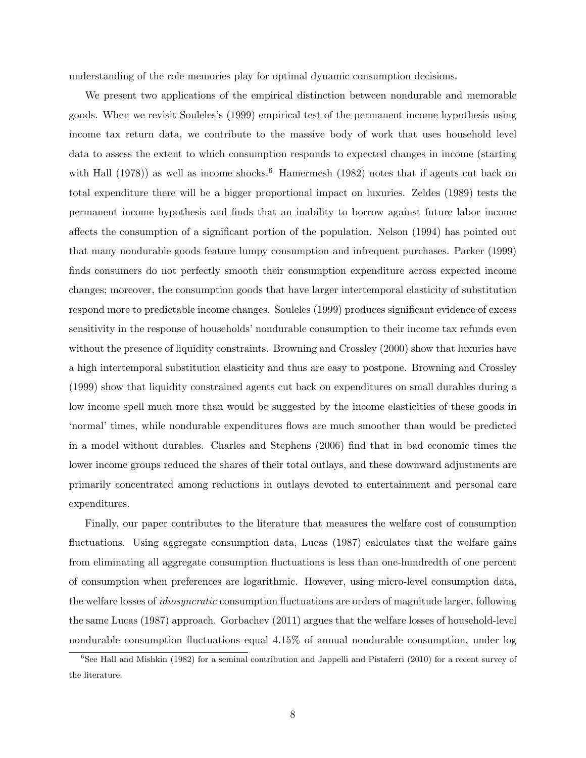understanding of the role memories play for optimal dynamic consumption decisions.

We present two applications of the empirical distinction between nondurable and memorable goods. When we revisit Souleles's (1999) empirical test of the permanent income hypothesis using income tax return data, we contribute to the massive body of work that uses household level data to assess the extent to which consumption responds to expected changes in income (starting with Hall  $(1978)$ ) as well as income shocks.<sup>6</sup> Hamermesh  $(1982)$  notes that if agents cut back on total expenditure there will be a bigger proportional impact on luxuries. Zeldes (1989) tests the permanent income hypothesis and finds that an inability to borrow against future labor income affects the consumption of a significant portion of the population. Nelson (1994) has pointed out that many nondurable goods feature lumpy consumption and infrequent purchases. Parker (1999) finds consumers do not perfectly smooth their consumption expenditure across expected income changes; moreover, the consumption goods that have larger intertemporal elasticity of substitution respond more to predictable income changes. Souleles (1999) produces significant evidence of excess sensitivity in the response of households' nondurable consumption to their income tax refunds even without the presence of liquidity constraints. Browning and Crossley (2000) show that luxuries have a high intertemporal substitution elasticity and thus are easy to postpone. Browning and Crossley (1999) show that liquidity constrained agents cut back on expenditures on small durables during a low income spell much more than would be suggested by the income elasticities of these goods in 'normal' times, while nondurable expenditures flows are much smoother than would be predicted in a model without durables. Charles and Stephens (2006) find that in bad economic times the lower income groups reduced the shares of their total outlays, and these downward adjustments are primarily concentrated among reductions in outlays devoted to entertainment and personal care expenditures.

Finally, our paper contributes to the literature that measures the welfare cost of consumption fluctuations. Using aggregate consumption data, Lucas (1987) calculates that the welfare gains from eliminating all aggregate consumption fluctuations is less than one-hundredth of one percent of consumption when preferences are logarithmic. However, using micro-level consumption data, the welfare losses of idiosyncratic consumption fluctuations are orders of magnitude larger, following the same Lucas (1987) approach. Gorbachev (2011) argues that the welfare losses of household-level nondurable consumption fluctuations equal 4.15% of annual nondurable consumption, under log

 $6$ See Hall and Mishkin (1982) for a seminal contribution and Jappelli and Pistaferri (2010) for a recent survey of the literature.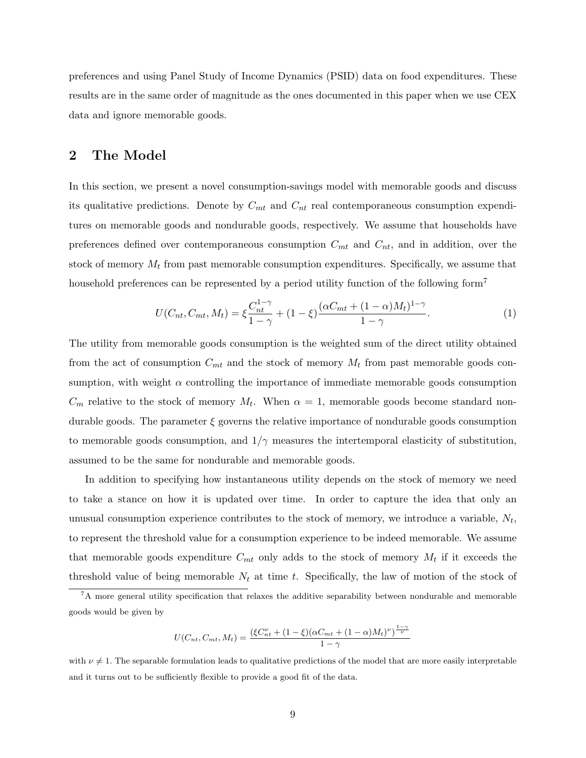preferences and using Panel Study of Income Dynamics (PSID) data on food expenditures. These results are in the same order of magnitude as the ones documented in this paper when we use CEX data and ignore memorable goods.

### 2 The Model

In this section, we present a novel consumption-savings model with memorable goods and discuss its qualitative predictions. Denote by  $C_{mt}$  and  $C_{nt}$  real contemporaneous consumption expenditures on memorable goods and nondurable goods, respectively. We assume that households have preferences defined over contemporaneous consumption  $C_{mt}$  and  $C_{nt}$ , and in addition, over the stock of memory  $M_t$  from past memorable consumption expenditures. Specifically, we assume that household preferences can be represented by a period utility function of the following form<sup>7</sup>

$$
U(C_{nt}, C_{mt}, M_t) = \xi \frac{C_{nt}^{1-\gamma}}{1-\gamma} + (1-\xi) \frac{(\alpha C_{mt} + (1-\alpha)M_t)^{1-\gamma}}{1-\gamma}.
$$
 (1)

The utility from memorable goods consumption is the weighted sum of the direct utility obtained from the act of consumption  $C_{mt}$  and the stock of memory  $M_t$  from past memorable goods consumption, with weight  $\alpha$  controlling the importance of immediate memorable goods consumption  $C_m$  relative to the stock of memory  $M_t$ . When  $\alpha = 1$ , memorable goods become standard nondurable goods. The parameter  $\xi$  governs the relative importance of nondurable goods consumption to memorable goods consumption, and  $1/\gamma$  measures the intertemporal elasticity of substitution, assumed to be the same for nondurable and memorable goods.

In addition to specifying how instantaneous utility depends on the stock of memory we need to take a stance on how it is updated over time. In order to capture the idea that only an unusual consumption experience contributes to the stock of memory, we introduce a variable,  $N_t$ , to represent the threshold value for a consumption experience to be indeed memorable. We assume that memorable goods expenditure  $C_{mt}$  only adds to the stock of memory  $M_t$  if it exceeds the threshold value of being memorable  $N_t$  at time t. Specifically, the law of motion of the stock of

$$
U(C_{nt}, C_{mt}, M_t) = \frac{(\xi C_{nt}^{\nu} + (1 - \xi)(\alpha C_{mt} + (1 - \alpha)M_t)^{\nu})^{\frac{1 - \gamma}{\nu}}}{1 - \gamma}
$$

with  $\nu \neq 1$ . The separable formulation leads to qualitative predictions of the model that are more easily interpretable and it turns out to be sufficiently flexible to provide a good fit of the data.

<sup>&</sup>lt;sup>7</sup>A more general utility specification that relaxes the additive separability between nondurable and memorable goods would be given by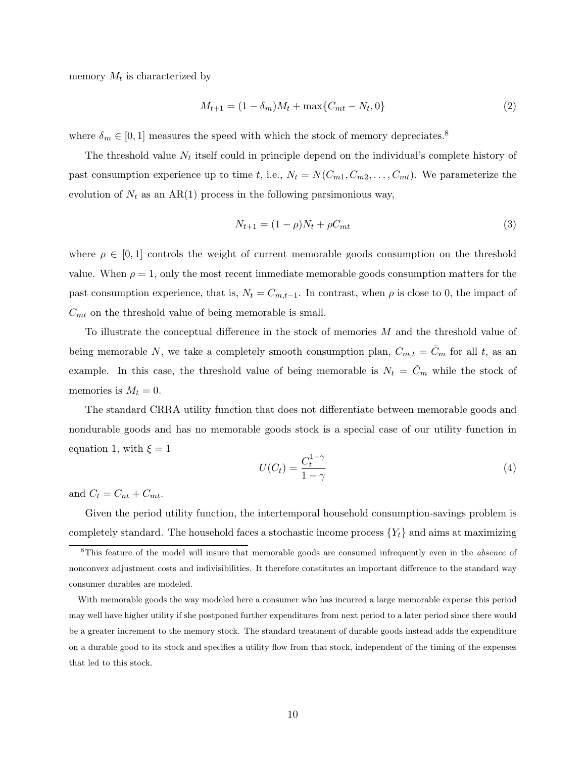memory  $M_t$  is characterized by

$$
M_{t+1} = (1 - \delta_m)M_t + \max\{C_{mt} - N_t, 0\}
$$
 (2)

where  $\delta_m \in [0, 1]$  measures the speed with which the stock of memory depreciates.<sup>8</sup>

The threshold value  $N_t$  itself could in principle depend on the individual's complete history of past consumption experience up to time t, i.e.,  $N_t = N(C_{m1}, C_{m2}, \ldots, C_{mt})$ . We parameterize the evolution of  $N_t$  as an AR(1) process in the following parsimonious way,

$$
N_{t+1} = (1 - \rho)N_t + \rho C_{mt}
$$
\n(3)

where  $\rho \in [0,1]$  controls the weight of current memorable goods consumption on the threshold value. When  $\rho = 1$ , only the most recent immediate memorable goods consumption matters for the past consumption experience, that is,  $N_t = C_{m,t-1}$ . In contrast, when  $\rho$  is close to 0, the impact of  $C_{mt}$  on the threshold value of being memorable is small.

To illustrate the conceptual difference in the stock of memories  $M$  and the threshold value of being memorable N, we take a completely smooth consumption plan,  $C_{m,t} = C_m$  for all t, as an example. In this case, the threshold value of being memorable is  $N_t = \bar{C}_m$  while the stock of memories is  $M_t = 0$ .

The standard CRRA utility function that does not differentiate between memorable goods and nondurable goods and has no memorable goods stock is a special case of our utility function in equation 1, with  $\xi = 1$ 

$$
U(C_t) = \frac{C_t^{1-\gamma}}{1-\gamma}
$$
\n<sup>(4)</sup>

and  $C_t = C_{nt} + C_{mt}$ .

Given the period utility function, the intertemporal household consumption-savings problem is completely standard. The household faces a stochastic income process  ${Y_t}$  and aims at maximizing

With memorable goods the way modeled here a consumer who has incurred a large memorable expense this period may well have higher utility if she postponed further expenditures from next period to a later period since there would be a greater increment to the memory stock. The standard treatment of durable goods instead adds the expenditure on a durable good to its stock and specifies a utility flow from that stock, independent of the timing of the expenses that led to this stock.

<sup>&</sup>lt;sup>8</sup>This feature of the model will insure that memorable goods are consumed infrequently even in the *absence* of nonconvex adjustment costs and indivisibilities. It therefore constitutes an important difference to the standard way consumer durables are modeled.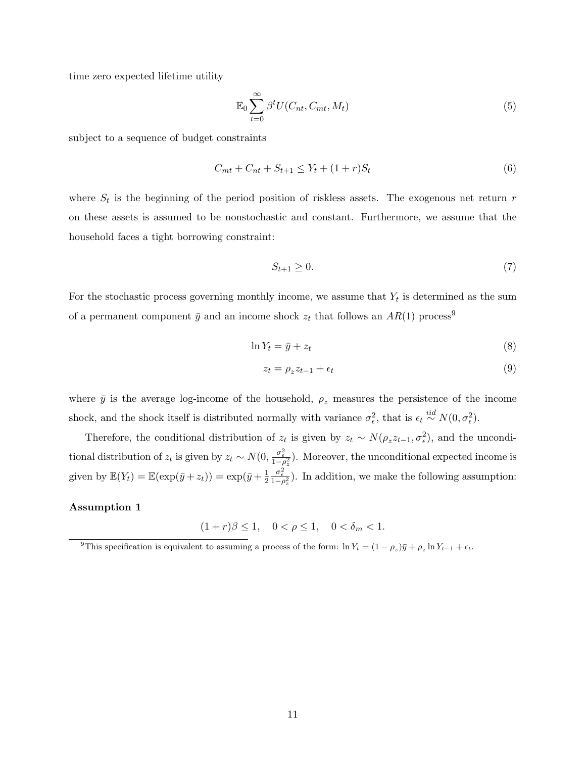time zero expected lifetime utility

$$
\mathbb{E}_0 \sum_{t=0}^{\infty} \beta^t U(C_{nt}, C_{mt}, M_t) \tag{5}
$$

subject to a sequence of budget constraints

$$
C_{mt} + C_{nt} + S_{t+1} \le Y_t + (1+r)S_t \tag{6}
$$

where  $S_t$  is the beginning of the period position of riskless assets. The exogenous net return  $r$ on these assets is assumed to be nonstochastic and constant. Furthermore, we assume that the household faces a tight borrowing constraint:

$$
S_{t+1} \ge 0. \tag{7}
$$

For the stochastic process governing monthly income, we assume that  $Y_t$  is determined as the sum of a permanent component  $\bar{y}$  and an income shock  $z_t$  that follows an  $AR(1)$  process<sup>9</sup>

$$
\ln Y_t = \bar{y} + z_t \tag{8}
$$

$$
z_t = \rho_z z_{t-1} + \epsilon_t \tag{9}
$$

where  $\bar{y}$  is the average log-income of the household,  $\rho_z$  measures the persistence of the income shock, and the shock itself is distributed normally with variance  $\sigma_{\epsilon}^2$ , that is  $\epsilon_t \stackrel{iid}{\sim} N(0, \sigma_{\epsilon}^2)$ .

Therefore, the conditional distribution of  $z_t$  is given by  $z_t \sim N(\rho_z z_{t-1}, \sigma_\epsilon^2)$ , and the unconditional distribution of  $z_t$  is given by  $z_t \sim N(0, \frac{\sigma_{\epsilon}^2}{1-\rho_z^2})$ . Moreover, the unconditional expected income is given by  $\mathbb{E}(Y_t) = \mathbb{E}(\exp(\bar{y} + z_t)) = \exp(\bar{y} + \frac{1}{2})$  $\overline{2}$  $\frac{\sigma_{\epsilon}^2}{1-\rho_{z}^2}$ ). In addition, we make the following assumption:

#### Assumption 1

 $(1 + r)\beta \le 1, \quad 0 < \rho \le 1, \quad 0 < \delta_m < 1.$ 

<sup>&</sup>lt;sup>9</sup>This specification is equivalent to assuming a process of the form:  $\ln Y_t = (1 - \rho_z)\bar{y} + \rho_z \ln Y_{t-1} + \epsilon_t$ .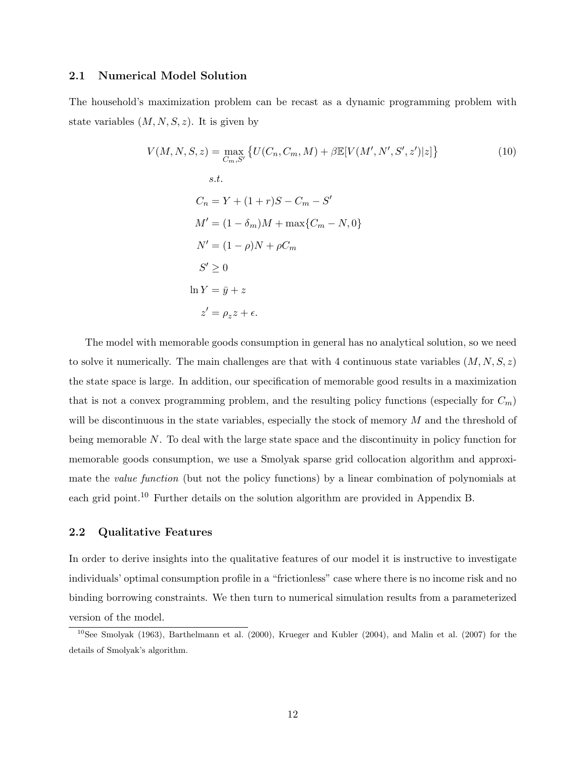#### 2.1 Numerical Model Solution

The household's maximization problem can be recast as a dynamic programming problem with state variables  $(M, N, S, z)$ . It is given by

$$
V(M, N, S, z) = \max_{C_m, S'} \{ U(C_n, C_m, M) + \beta \mathbb{E}[V(M', N', S', z')]z] \}
$$
\n
$$
s.t.
$$
\n
$$
C_n = Y + (1+r)S - C_m - S'
$$
\n
$$
M' = (1 - \delta_m)M + \max\{C_m - N, 0\}
$$
\n
$$
N' = (1 - \rho)N + \rho C_m
$$
\n
$$
S' \ge 0
$$
\n
$$
\ln Y = \bar{y} + z
$$
\n
$$
z' = \rho_z z + \epsilon.
$$
\n(10)

The model with memorable goods consumption in general has no analytical solution, so we need to solve it numerically. The main challenges are that with 4 continuous state variables  $(M, N, S, z)$ the state space is large. In addition, our specification of memorable good results in a maximization that is not a convex programming problem, and the resulting policy functions (especially for  $C_m$ ) will be discontinuous in the state variables, especially the stock of memory M and the threshold of being memorable N. To deal with the large state space and the discontinuity in policy function for memorable goods consumption, we use a Smolyak sparse grid collocation algorithm and approximate the value function (but not the policy functions) by a linear combination of polynomials at each grid point.<sup>10</sup> Further details on the solution algorithm are provided in Appendix B.

#### 2.2 Qualitative Features

In order to derive insights into the qualitative features of our model it is instructive to investigate individuals' optimal consumption profile in a "frictionless" case where there is no income risk and no binding borrowing constraints. We then turn to numerical simulation results from a parameterized version of the model.

<sup>&</sup>lt;sup>10</sup>See Smolyak (1963), Barthelmann et al. (2000), Krueger and Kubler (2004), and Malin et al. (2007) for the details of Smolyak's algorithm.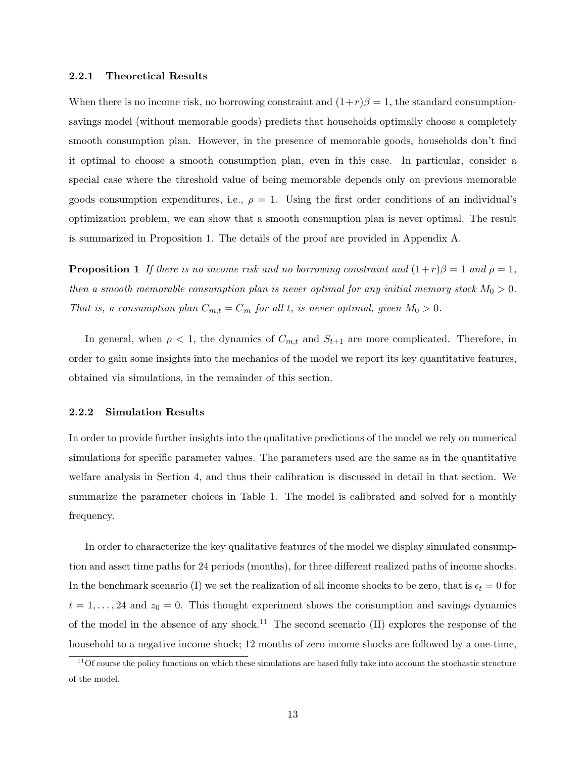#### 2.2.1 Theoretical Results

When there is no income risk, no borrowing constraint and  $(1+r)\beta = 1$ , the standard consumptionsavings model (without memorable goods) predicts that households optimally choose a completely smooth consumption plan. However, in the presence of memorable goods, households don't find it optimal to choose a smooth consumption plan, even in this case. In particular, consider a special case where the threshold value of being memorable depends only on previous memorable goods consumption expenditures, i.e.,  $\rho = 1$ . Using the first order conditions of an individual's optimization problem, we can show that a smooth consumption plan is never optimal. The result is summarized in Proposition 1. The details of the proof are provided in Appendix A.

**Proposition 1** If there is no income risk and no borrowing constraint and  $(1+r)\beta = 1$  and  $\rho = 1$ , then a smooth memorable consumption plan is never optimal for any initial memory stock  $M_0 > 0$ . That is, a consumption plan  $C_{m,t} = \overline{C}_m$  for all t, is never optimal, given  $M_0 > 0$ .

In general, when  $\rho < 1$ , the dynamics of  $C_{m,t}$  and  $S_{t+1}$  are more complicated. Therefore, in order to gain some insights into the mechanics of the model we report its key quantitative features, obtained via simulations, in the remainder of this section.

#### 2.2.2 Simulation Results

In order to provide further insights into the qualitative predictions of the model we rely on numerical simulations for specific parameter values. The parameters used are the same as in the quantitative welfare analysis in Section 4, and thus their calibration is discussed in detail in that section. We summarize the parameter choices in Table 1. The model is calibrated and solved for a monthly frequency.

In order to characterize the key qualitative features of the model we display simulated consumption and asset time paths for 24 periods (months), for three different realized paths of income shocks. In the benchmark scenario (I) we set the realization of all income shocks to be zero, that is  $\epsilon_t = 0$  for  $t = 1, \ldots, 24$  and  $z_0 = 0$ . This thought experiment shows the consumption and savings dynamics of the model in the absence of any shock.<sup>11</sup> The second scenario  $(II)$  explores the response of the household to a negative income shock; 12 months of zero income shocks are followed by a one-time,

 $11$ Of course the policy functions on which these simulations are based fully take into account the stochastic structure of the model.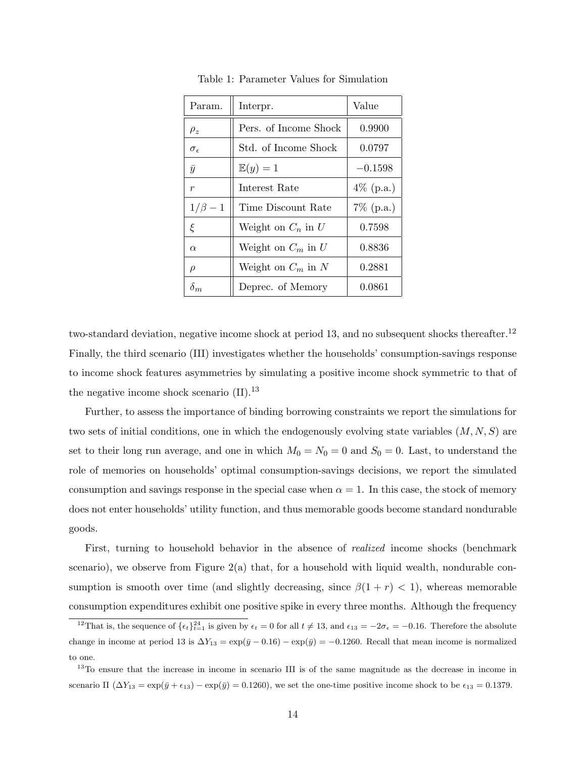| Param.              | Interpr.              | Value        |
|---------------------|-----------------------|--------------|
| $\rho_z$            | Pers. of Income Shock | 0.9900       |
| $\sigma_{\epsilon}$ | Std. of Income Shock  | 0.0797       |
| $\bar{y}$           | $\mathbb{E}(y)=1$     | $-0.1598$    |
| $\boldsymbol{r}$    | Interest Rate         | $4\%$ (p.a.) |
| $1/\beta-1$         | Time Discount Rate    | $7\%$ (p.a.) |
| ξ                   | Weight on $C_n$ in U  | 0.7598       |
| $\alpha$            | Weight on $C_m$ in U  | 0.8836       |
| $\rho$              | Weight on $C_m$ in N  | 0.2881       |
| $\delta_m$          | Deprec. of Memory     | 0.0861       |

Table 1: Parameter Values for Simulation

two-standard deviation, negative income shock at period 13, and no subsequent shocks thereafter.<sup>12</sup> Finally, the third scenario (III) investigates whether the households' consumption-savings response to income shock features asymmetries by simulating a positive income shock symmetric to that of the negative income shock scenario  $(II).<sup>13</sup>$ 

Further, to assess the importance of binding borrowing constraints we report the simulations for two sets of initial conditions, one in which the endogenously evolving state variables  $(M, N, S)$  are set to their long run average, and one in which  $M_0 = N_0 = 0$  and  $S_0 = 0$ . Last, to understand the role of memories on households' optimal consumption-savings decisions, we report the simulated consumption and savings response in the special case when  $\alpha = 1$ . In this case, the stock of memory does not enter households' utility function, and thus memorable goods become standard nondurable goods.

First, turning to household behavior in the absence of realized income shocks (benchmark scenario), we observe from Figure  $2(a)$  that, for a household with liquid wealth, nondurable consumption is smooth over time (and slightly decreasing, since  $\beta(1 + r) < 1$ ), whereas memorable consumption expenditures exhibit one positive spike in every three months. Although the frequency

<sup>&</sup>lt;sup>12</sup>That is, the sequence of  $\{\epsilon_t\}_{t=1}^{24}$  is given by  $\epsilon_t = 0$  for all  $t \neq 13$ , and  $\epsilon_{13} = -2\sigma_{\epsilon} = -0.16$ . Therefore the absolute change in income at period 13 is  $\Delta Y_{13} = \exp(\bar{y} - 0.16) - \exp(\bar{y}) = -0.1260$ . Recall that mean income is normalized to one.

<sup>&</sup>lt;sup>13</sup>To ensure that the increase in income in scenario III is of the same magnitude as the decrease in income in scenario II  $(\Delta Y_{13} = \exp(\bar{y} + \epsilon_{13}) - \exp(\bar{y}) = 0.1260)$ , we set the one-time positive income shock to be  $\epsilon_{13} = 0.1379$ .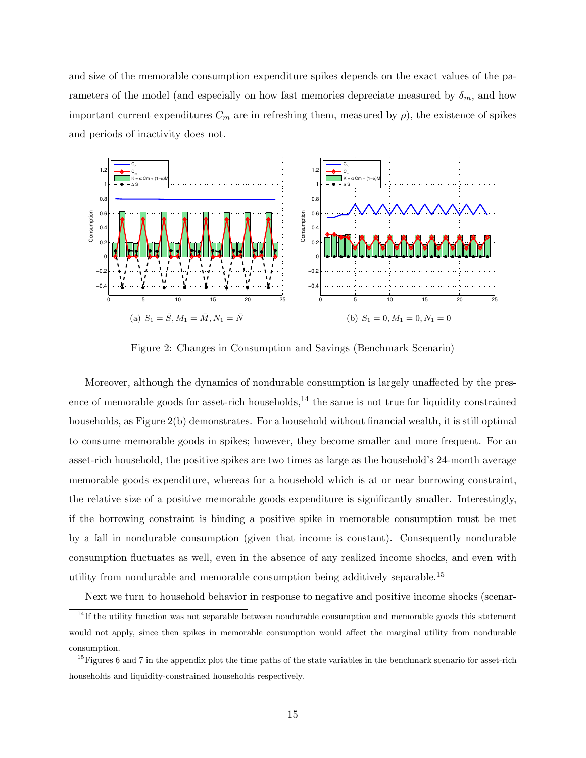and size of the memorable consumption expenditure spikes depends on the exact values of the parameters of the model (and especially on how fast memories depreciate measured by  $\delta_m$ , and how important current expenditures  $C_m$  are in refreshing them, measured by  $\rho$ ), the existence of spikes and periods of inactivity does not.



Figure 2: Changes in Consumption and Savings (Benchmark Scenario)

Moreover, although the dynamics of nondurable consumption is largely unaffected by the presence of memorable goods for asset-rich households, $^{14}$  the same is not true for liquidity constrained households, as Figure 2(b) demonstrates. For a household without financial wealth, it is still optimal to consume memorable goods in spikes; however, they become smaller and more frequent. For an asset-rich household, the positive spikes are two times as large as the household's 24-month average memorable goods expenditure, whereas for a household which is at or near borrowing constraint, the relative size of a positive memorable goods expenditure is significantly smaller. Interestingly, if the borrowing constraint is binding a positive spike in memorable consumption must be met by a fall in nondurable consumption (given that income is constant). Consequently nondurable consumption fluctuates as well, even in the absence of any realized income shocks, and even with utility from nondurable and memorable consumption being additively separable.<sup>15</sup>

Next we turn to household behavior in response to negative and positive income shocks (scenar-

 $14$ If the utility function was not separable between nondurable consumption and memorable goods this statement would not apply, since then spikes in memorable consumption would affect the marginal utility from nondurable consumption.

 $15$  Figures 6 and 7 in the appendix plot the time paths of the state variables in the benchmark scenario for asset-rich households and liquidity-constrained households respectively.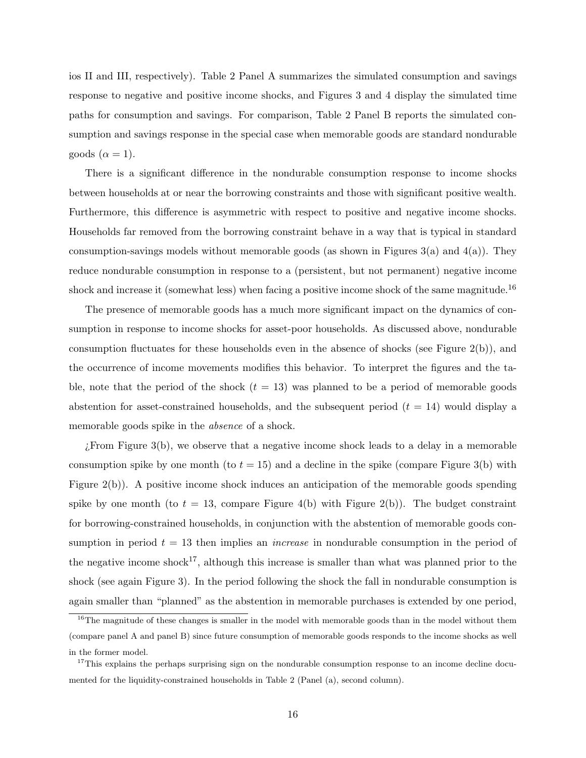ios II and III, respectively). Table 2 Panel A summarizes the simulated consumption and savings response to negative and positive income shocks, and Figures 3 and 4 display the simulated time paths for consumption and savings. For comparison, Table 2 Panel B reports the simulated consumption and savings response in the special case when memorable goods are standard nondurable goods ( $\alpha = 1$ ).

There is a significant difference in the nondurable consumption response to income shocks between households at or near the borrowing constraints and those with significant positive wealth. Furthermore, this difference is asymmetric with respect to positive and negative income shocks. Households far removed from the borrowing constraint behave in a way that is typical in standard consumption-savings models without memorable goods (as shown in Figures  $3(a)$  and  $4(a)$ ). They reduce nondurable consumption in response to a (persistent, but not permanent) negative income shock and increase it (somewhat less) when facing a positive income shock of the same magnitude.<sup>16</sup>

The presence of memorable goods has a much more significant impact on the dynamics of consumption in response to income shocks for asset-poor households. As discussed above, nondurable consumption fluctuates for these households even in the absence of shocks (see Figure 2(b)), and the occurrence of income movements modifies this behavior. To interpret the figures and the table, note that the period of the shock  $(t = 13)$  was planned to be a period of memorable goods abstention for asset-constrained households, and the subsequent period  $(t = 14)$  would display a memorable goods spike in the *absence* of a shock.

 $i$ . From Figure 3(b), we observe that a negative income shock leads to a delay in a memorable consumption spike by one month (to  $t = 15$ ) and a decline in the spike (compare Figure 3(b) with Figure 2(b)). A positive income shock induces an anticipation of the memorable goods spending spike by one month (to  $t = 13$ , compare Figure 4(b) with Figure 2(b)). The budget constraint for borrowing-constrained households, in conjunction with the abstention of memorable goods consumption in period  $t = 13$  then implies an *increase* in nondurable consumption in the period of the negative income shock<sup>17</sup>, although this increase is smaller than what was planned prior to the shock (see again Figure 3). In the period following the shock the fall in nondurable consumption is again smaller than "planned" as the abstention in memorable purchases is extended by one period,

<sup>&</sup>lt;sup>16</sup>The magnitude of these changes is smaller in the model with memorable goods than in the model without them (compare panel A and panel B) since future consumption of memorable goods responds to the income shocks as well in the former model.

<sup>&</sup>lt;sup>17</sup>This explains the perhaps surprising sign on the nondurable consumption response to an income decline documented for the liquidity-constrained households in Table 2 (Panel (a), second column).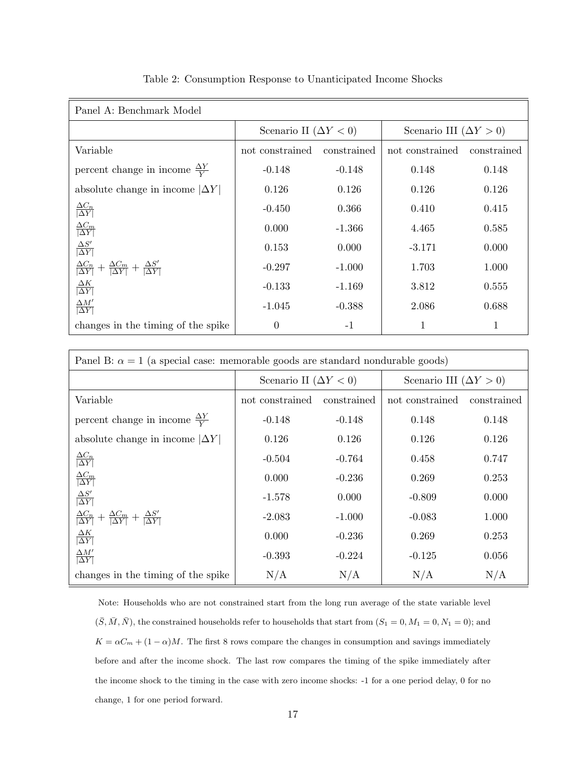| Panel A: Benchmark Model                                                                       |                              |             |                               |             |
|------------------------------------------------------------------------------------------------|------------------------------|-------------|-------------------------------|-------------|
|                                                                                                | Scenario II $(\Delta Y < 0)$ |             | Scenario III $(\Delta Y > 0)$ |             |
| Variable                                                                                       | not constrained              | constrained | not constrained               | constrained |
| percent change in income $\frac{\Delta Y}{V}$                                                  | $-0.148$                     | $-0.148$    | 0.148                         | 0.148       |
| absolute change in income $ \Delta Y $                                                         | 0.126                        | 0.126       | 0.126                         | 0.126       |
| $\frac{\Delta C_n}{ \Delta Y }$                                                                | $-0.450$                     | 0.366       | 0.410                         | 0.415       |
| $\frac{\Delta C_m}{ \Delta Y }$                                                                | 0.000                        | $-1.366$    | 4.465                         | 0.585       |
| $\frac{\Delta S'}{ \Delta Y }$                                                                 | 0.153                        | 0.000       | $-3.171$                      | 0.000       |
| $\frac{\Delta C_n}{ \Delta Y } + \frac{\Delta C_m}{ \Delta Y } + \frac{\Delta S'}{ \Delta Y }$ | $-0.297$                     | $-1.000$    | 1.703                         | 1.000       |
| $\frac{\Delta K}{ \Delta Y }$                                                                  | $-0.133$                     | $-1.169$    | 3.812                         | 0.555       |
| $\Delta M'$<br>$ \overline{\Delta Y} $                                                         | $-1.045$                     | $-0.388$    | 2.086                         | 0.688       |
| changes in the timing of the spike                                                             | $\Omega$                     | $-1$        |                               | 1           |

Table 2: Consumption Response to Unanticipated Income Shocks

| Panel B: $\alpha = 1$ (a special case: memorable goods are standard nondurable goods)          |                                |             |                               |             |
|------------------------------------------------------------------------------------------------|--------------------------------|-------------|-------------------------------|-------------|
|                                                                                                | Scenario II ( $\Delta Y < 0$ ) |             | Scenario III $(\Delta Y > 0)$ |             |
| Variable                                                                                       | not constrained                | constrained | not constrained               | constrained |
| percent change in income $\frac{\Delta Y}{Y}$                                                  | $-0.148$                       | $-0.148$    | 0.148                         | 0.148       |
| absolute change in income $ \Delta Y $                                                         | 0.126                          | 0.126       | 0.126                         | 0.126       |
| $\frac{\Delta C_n}{ \Delta Y }$                                                                | $-0.504$                       | $-0.764$    | 0.458                         | 0.747       |
| $\frac{\Delta C_m}{ \Delta Y }$                                                                | 0.000                          | $-0.236$    | 0.269                         | 0.253       |
| $\frac{\Delta S'}{ \Delta Y }$                                                                 | $-1.578$                       | 0.000       | $-0.809$                      | 0.000       |
| $\frac{\Delta C_n}{ \Delta Y } + \frac{\Delta C_m}{ \Delta Y } + \frac{\Delta S'}{ \Delta Y }$ | $-2.083$                       | $-1.000$    | $-0.083$                      | 1.000       |
| $\frac{\Delta K}{ \Delta Y }$                                                                  | 0.000                          | $-0.236$    | 0.269                         | 0.253       |
| $\frac{\Delta M'}{ \Delta Y }$                                                                 | $-0.393$                       | $-0.224$    | $-0.125$                      | 0.056       |
| changes in the timing of the spike                                                             | N/A                            | N/A         | N/A                           | N/A         |

Note: Households who are not constrained start from the long run average of the state variable level  $(\bar{S}, \bar{M}, \bar{N})$ , the constrained households refer to households that start from  $(S_1 = 0, M_1 = 0, N_1 = 0)$ ; and  $K = \alpha C_m + (1 - \alpha)M$ . The first 8 rows compare the changes in consumption and savings immediately before and after the income shock. The last row compares the timing of the spike immediately after the income shock to the timing in the case with zero income shocks: -1 for a one period delay, 0 for no change, 1 for one period forward.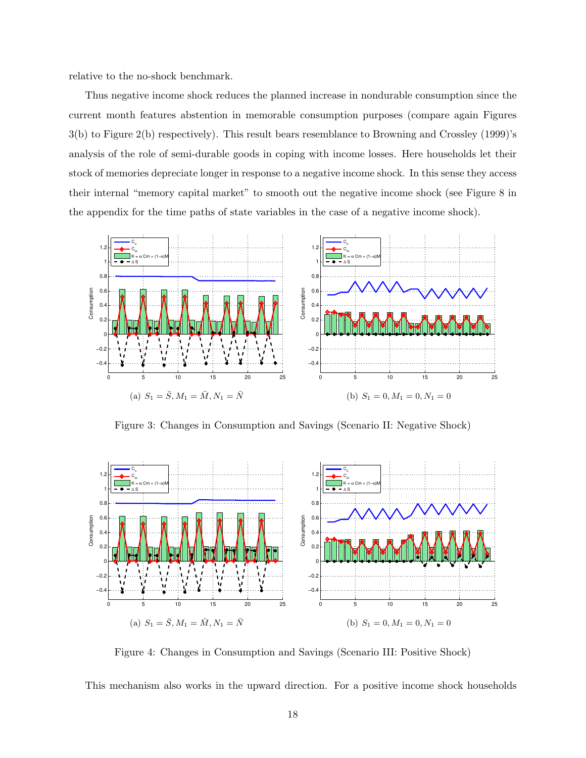relative to the no-shock benchmark.

Thus negative income shock reduces the planned increase in nondurable consumption since the current month features abstention in memorable consumption purposes (compare again Figures 3(b) to Figure 2(b) respectively). This result bears resemblance to Browning and Crossley (1999)'s analysis of the role of semi-durable goods in coping with income losses. Here households let their stock of memories depreciate longer in response to a negative income shock. In this sense they access their internal "memory capital market" to smooth out the negative income shock (see Figure 8 in the appendix for the time paths of state variables in the case of a negative income shock).



Figure 3: Changes in Consumption and Savings (Scenario II: Negative Shock)



Figure 4: Changes in Consumption and Savings (Scenario III: Positive Shock)

This mechanism also works in the upward direction. For a positive income shock households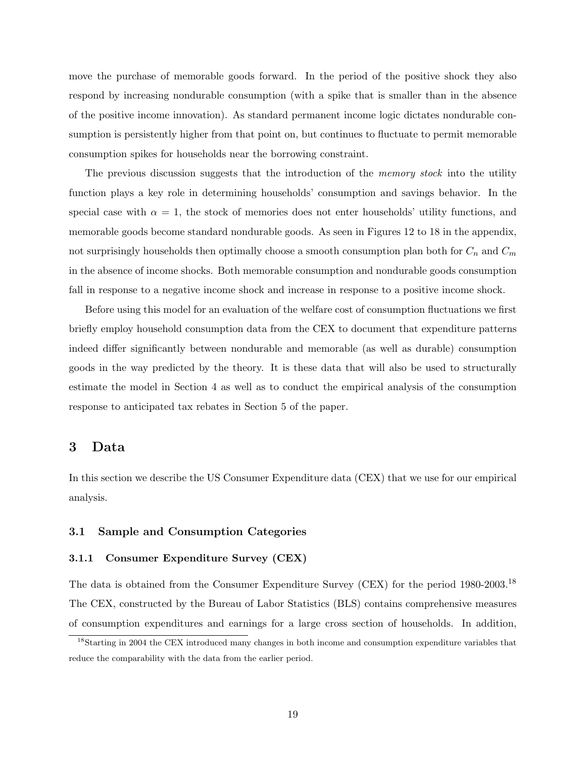move the purchase of memorable goods forward. In the period of the positive shock they also respond by increasing nondurable consumption (with a spike that is smaller than in the absence of the positive income innovation). As standard permanent income logic dictates nondurable consumption is persistently higher from that point on, but continues to fluctuate to permit memorable consumption spikes for households near the borrowing constraint.

The previous discussion suggests that the introduction of the *memory stock* into the utility function plays a key role in determining households' consumption and savings behavior. In the special case with  $\alpha = 1$ , the stock of memories does not enter households' utility functions, and memorable goods become standard nondurable goods. As seen in Figures 12 to 18 in the appendix, not surprisingly households then optimally choose a smooth consumption plan both for  $C_n$  and  $C_m$ in the absence of income shocks. Both memorable consumption and nondurable goods consumption fall in response to a negative income shock and increase in response to a positive income shock.

Before using this model for an evaluation of the welfare cost of consumption fluctuations we first briefly employ household consumption data from the CEX to document that expenditure patterns indeed differ significantly between nondurable and memorable (as well as durable) consumption goods in the way predicted by the theory. It is these data that will also be used to structurally estimate the model in Section 4 as well as to conduct the empirical analysis of the consumption response to anticipated tax rebates in Section 5 of the paper.

## 3 Data

In this section we describe the US Consumer Expenditure data (CEX) that we use for our empirical analysis.

#### 3.1 Sample and Consumption Categories

#### 3.1.1 Consumer Expenditure Survey (CEX)

The data is obtained from the Consumer Expenditure Survey (CEX) for the period 1980-2003.<sup>18</sup> The CEX, constructed by the Bureau of Labor Statistics (BLS) contains comprehensive measures of consumption expenditures and earnings for a large cross section of households. In addition,

<sup>&</sup>lt;sup>18</sup>Starting in 2004 the CEX introduced many changes in both income and consumption expenditure variables that reduce the comparability with the data from the earlier period.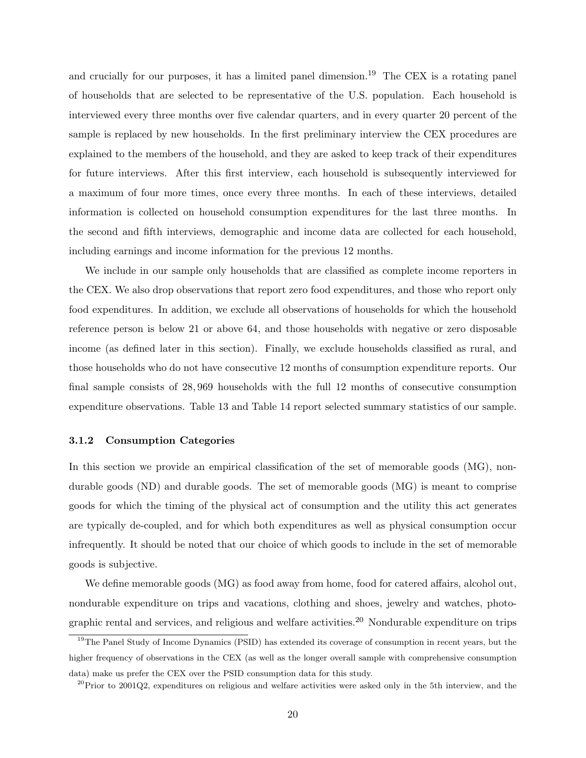and crucially for our purposes, it has a limited panel dimension.<sup>19</sup> The CEX is a rotating panel of households that are selected to be representative of the U.S. population. Each household is interviewed every three months over five calendar quarters, and in every quarter 20 percent of the sample is replaced by new households. In the first preliminary interview the CEX procedures are explained to the members of the household, and they are asked to keep track of their expenditures for future interviews. After this first interview, each household is subsequently interviewed for a maximum of four more times, once every three months. In each of these interviews, detailed information is collected on household consumption expenditures for the last three months. In the second and fifth interviews, demographic and income data are collected for each household, including earnings and income information for the previous 12 months.

We include in our sample only households that are classified as complete income reporters in the CEX. We also drop observations that report zero food expenditures, and those who report only food expenditures. In addition, we exclude all observations of households for which the household reference person is below 21 or above 64, and those households with negative or zero disposable income (as defined later in this section). Finally, we exclude households classified as rural, and those households who do not have consecutive 12 months of consumption expenditure reports. Our final sample consists of 28, 969 households with the full 12 months of consecutive consumption expenditure observations. Table 13 and Table 14 report selected summary statistics of our sample.

#### 3.1.2 Consumption Categories

In this section we provide an empirical classification of the set of memorable goods (MG), nondurable goods (ND) and durable goods. The set of memorable goods (MG) is meant to comprise goods for which the timing of the physical act of consumption and the utility this act generates are typically de-coupled, and for which both expenditures as well as physical consumption occur infrequently. It should be noted that our choice of which goods to include in the set of memorable goods is subjective.

We define memorable goods (MG) as food away from home, food for catered affairs, alcohol out, nondurable expenditure on trips and vacations, clothing and shoes, jewelry and watches, photographic rental and services, and religious and welfare activities.<sup>20</sup> Nondurable expenditure on trips

<sup>&</sup>lt;sup>19</sup>The Panel Study of Income Dynamics (PSID) has extended its coverage of consumption in recent years, but the higher frequency of observations in the CEX (as well as the longer overall sample with comprehensive consumption data) make us prefer the CEX over the PSID consumption data for this study.

 $^{20}$ Prior to 2001Q2, expenditures on religious and welfare activities were asked only in the 5th interview, and the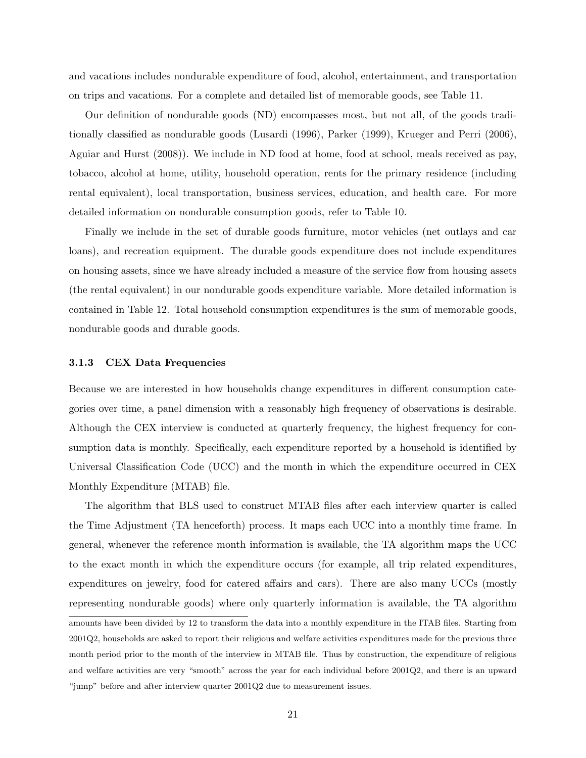and vacations includes nondurable expenditure of food, alcohol, entertainment, and transportation on trips and vacations. For a complete and detailed list of memorable goods, see Table 11.

Our definition of nondurable goods (ND) encompasses most, but not all, of the goods traditionally classified as nondurable goods (Lusardi (1996), Parker (1999), Krueger and Perri (2006), Aguiar and Hurst (2008)). We include in ND food at home, food at school, meals received as pay, tobacco, alcohol at home, utility, household operation, rents for the primary residence (including rental equivalent), local transportation, business services, education, and health care. For more detailed information on nondurable consumption goods, refer to Table 10.

Finally we include in the set of durable goods furniture, motor vehicles (net outlays and car loans), and recreation equipment. The durable goods expenditure does not include expenditures on housing assets, since we have already included a measure of the service flow from housing assets (the rental equivalent) in our nondurable goods expenditure variable. More detailed information is contained in Table 12. Total household consumption expenditures is the sum of memorable goods, nondurable goods and durable goods.

#### 3.1.3 CEX Data Frequencies

Because we are interested in how households change expenditures in different consumption categories over time, a panel dimension with a reasonably high frequency of observations is desirable. Although the CEX interview is conducted at quarterly frequency, the highest frequency for consumption data is monthly. Specifically, each expenditure reported by a household is identified by Universal Classification Code (UCC) and the month in which the expenditure occurred in CEX Monthly Expenditure (MTAB) file.

The algorithm that BLS used to construct MTAB files after each interview quarter is called the Time Adjustment (TA henceforth) process. It maps each UCC into a monthly time frame. In general, whenever the reference month information is available, the TA algorithm maps the UCC to the exact month in which the expenditure occurs (for example, all trip related expenditures, expenditures on jewelry, food for catered affairs and cars). There are also many UCCs (mostly representing nondurable goods) where only quarterly information is available, the TA algorithm amounts have been divided by 12 to transform the data into a monthly expenditure in the ITAB files. Starting from 2001Q2, households are asked to report their religious and welfare activities expenditures made for the previous three month period prior to the month of the interview in MTAB file. Thus by construction, the expenditure of religious and welfare activities are very "smooth" across the year for each individual before 2001Q2, and there is an upward "jump" before and after interview quarter 2001Q2 due to measurement issues.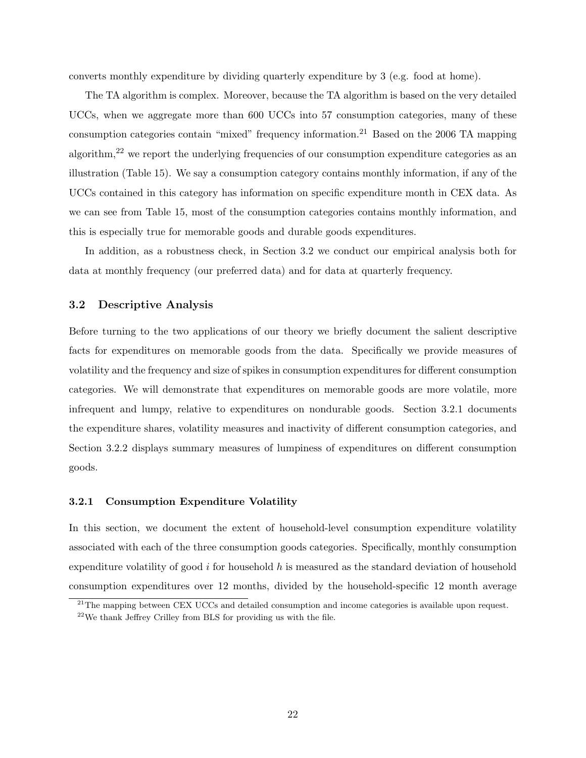converts monthly expenditure by dividing quarterly expenditure by 3 (e.g. food at home).

The TA algorithm is complex. Moreover, because the TA algorithm is based on the very detailed UCCs, when we aggregate more than 600 UCCs into 57 consumption categories, many of these consumption categories contain "mixed" frequency information.<sup>21</sup> Based on the 2006 TA mapping algorithm,<sup>22</sup> we report the underlying frequencies of our consumption expenditure categories as an illustration (Table 15). We say a consumption category contains monthly information, if any of the UCCs contained in this category has information on specific expenditure month in CEX data. As we can see from Table 15, most of the consumption categories contains monthly information, and this is especially true for memorable goods and durable goods expenditures.

In addition, as a robustness check, in Section 3.2 we conduct our empirical analysis both for data at monthly frequency (our preferred data) and for data at quarterly frequency.

#### 3.2 Descriptive Analysis

Before turning to the two applications of our theory we briefly document the salient descriptive facts for expenditures on memorable goods from the data. Specifically we provide measures of volatility and the frequency and size of spikes in consumption expenditures for different consumption categories. We will demonstrate that expenditures on memorable goods are more volatile, more infrequent and lumpy, relative to expenditures on nondurable goods. Section 3.2.1 documents the expenditure shares, volatility measures and inactivity of different consumption categories, and Section 3.2.2 displays summary measures of lumpiness of expenditures on different consumption goods.

#### 3.2.1 Consumption Expenditure Volatility

In this section, we document the extent of household-level consumption expenditure volatility associated with each of the three consumption goods categories. Specifically, monthly consumption expenditure volatility of good i for household  $h$  is measured as the standard deviation of household consumption expenditures over 12 months, divided by the household-specific 12 month average

<sup>&</sup>lt;sup>21</sup>The mapping between CEX UCCs and detailed consumption and income categories is available upon request.

 $22$ We thank Jeffrey Crilley from BLS for providing us with the file.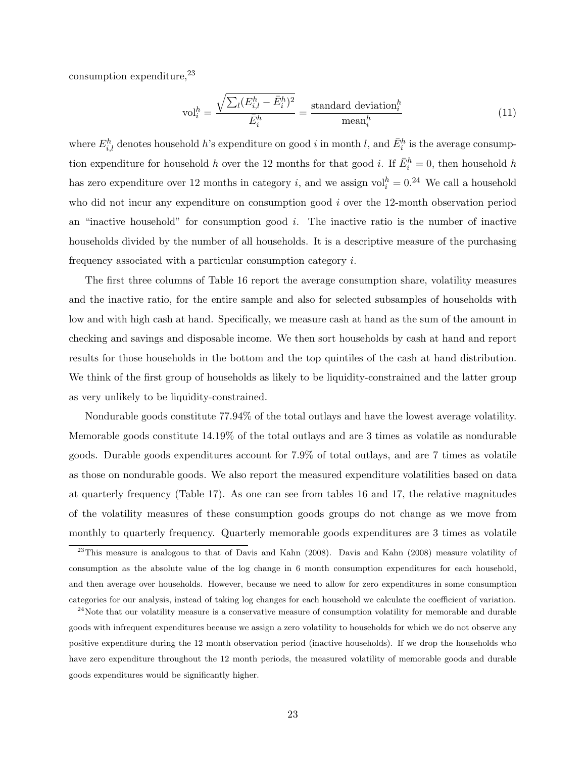consumption expenditure,  $23$ 

$$
\text{vol}_i^h = \frac{\sqrt{\sum_l (E_{i,l}^h - \bar{E}_i^h)^2}}{\bar{E}_i^h} = \frac{\text{standard deviation}_i^h}{\text{mean}_i^h} \tag{11}
$$

where  $E_{i,l}^h$  denotes household h's expenditure on good i in month l, and  $\bar{E}_i^h$  is the average consumption expenditure for household h over the 12 months for that good i. If  $\bar{E}_i^h = 0$ , then household h has zero expenditure over 12 months in category *i*, and we assign  $\text{vol}_i^h = 0$ .<sup>24</sup> We call a household who did not incur any expenditure on consumption good i over the 12-month observation period an "inactive household" for consumption good  $i$ . The inactive ratio is the number of inactive households divided by the number of all households. It is a descriptive measure of the purchasing frequency associated with a particular consumption category i.

The first three columns of Table 16 report the average consumption share, volatility measures and the inactive ratio, for the entire sample and also for selected subsamples of households with low and with high cash at hand. Specifically, we measure cash at hand as the sum of the amount in checking and savings and disposable income. We then sort households by cash at hand and report results for those households in the bottom and the top quintiles of the cash at hand distribution. We think of the first group of households as likely to be liquidity-constrained and the latter group as very unlikely to be liquidity-constrained.

Nondurable goods constitute 77.94% of the total outlays and have the lowest average volatility. Memorable goods constitute 14.19% of the total outlays and are 3 times as volatile as nondurable goods. Durable goods expenditures account for 7.9% of total outlays, and are 7 times as volatile as those on nondurable goods. We also report the measured expenditure volatilities based on data at quarterly frequency (Table 17). As one can see from tables 16 and 17, the relative magnitudes of the volatility measures of these consumption goods groups do not change as we move from monthly to quarterly frequency. Quarterly memorable goods expenditures are 3 times as volatile

<sup>&</sup>lt;sup>23</sup>This measure is analogous to that of Davis and Kahn (2008). Davis and Kahn (2008) measure volatility of consumption as the absolute value of the log change in 6 month consumption expenditures for each household, and then average over households. However, because we need to allow for zero expenditures in some consumption categories for our analysis, instead of taking log changes for each household we calculate the coefficient of variation.

 $^{24}$ Note that our volatility measure is a conservative measure of consumption volatility for memorable and durable goods with infrequent expenditures because we assign a zero volatility to households for which we do not observe any positive expenditure during the 12 month observation period (inactive households). If we drop the households who have zero expenditure throughout the 12 month periods, the measured volatility of memorable goods and durable goods expenditures would be significantly higher.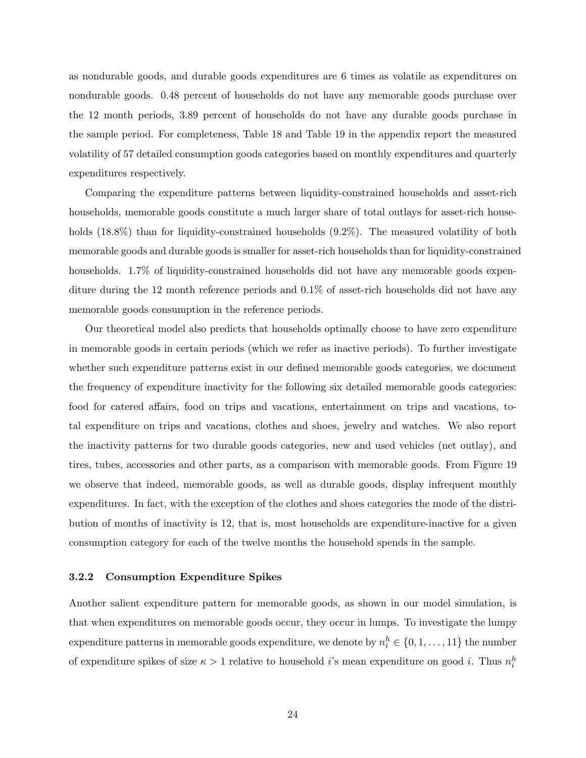as nondurable goods, and durable goods expenditures are 6 times as volatile as expenditures on nondurable goods. 0.48 percent of households do not have any memorable goods purchase over the 12 month periods, 3.89 percent of households do not have any durable goods purchase in the sample period. For completeness, Table 18 and Table 19 in the appendix report the measured volatility of 57 detailed consumption goods categories based on monthly expenditures and quarterly expenditures respectively.

Comparing the expenditure patterns between liquidity-constrained households and asset-rich households, memorable goods constitute a much larger share of total outlays for asset-rich households (18.8%) than for liquidity-constrained households (9.2%). The measured volatility of both memorable goods and durable goods is smaller for asset-rich households than for liquidity-constrained households. 1.7% of liquidity-constrained households did not have any memorable goods expenditure during the 12 month reference periods and 0.1% of asset-rich households did not have any memorable goods consumption in the reference periods.

Our theoretical model also predicts that households optimally choose to have zero expenditure in memorable goods in certain periods (which we refer as inactive periods). To further investigate whether such expenditure patterns exist in our defined memorable goods categories, we document the frequency of expenditure inactivity for the following six detailed memorable goods categories: food for catered affairs, food on trips and vacations, entertainment on trips and vacations, total expenditure on trips and vacations, clothes and shoes, jewelry and watches. We also report the inactivity patterns for two durable goods categories, new and used vehicles (net outlay), and tires, tubes, accessories and other parts, as a comparison with memorable goods. From Figure 19 we observe that indeed, memorable goods, as well as durable goods, display infrequent monthly expenditures. In fact, with the exception of the clothes and shoes categories the mode of the distribution of months of inactivity is 12, that is, most households are expenditure-inactive for a given consumption category for each of the twelve months the household spends in the sample.

#### 3.2.2 Consumption Expenditure Spikes

Another salient expenditure pattern for memorable goods, as shown in our model simulation, is that when expenditures on memorable goods occur, they occur in lumps. To investigate the lumpy expenditure patterns in memorable goods expenditure, we denote by  $n_i^h \in \{0, 1, ..., 11\}$  the number of expenditure spikes of size  $\kappa > 1$  relative to household *i*'s mean expenditure on good *i*. Thus  $n_i^h$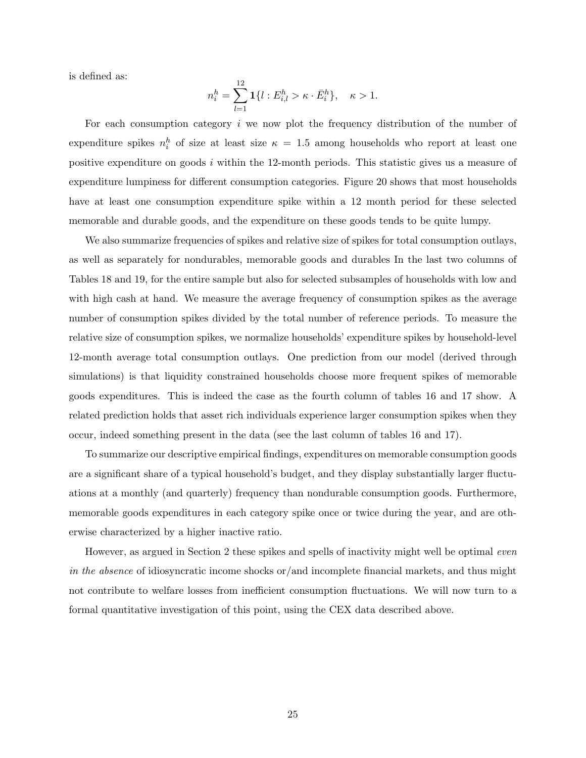is defined as:

$$
n_i^h = \sum_{l=1}^{12} \mathbf{1} \{ l : E_{i,l}^h > \kappa \cdot \bar{E}_i^h \}, \quad \kappa > 1.
$$

For each consumption category i we now plot the frequency distribution of the number of expenditure spikes  $n_i^h$  of size at least size  $\kappa = 1.5$  among households who report at least one positive expenditure on goods  $i$  within the 12-month periods. This statistic gives us a measure of expenditure lumpiness for different consumption categories. Figure 20 shows that most households have at least one consumption expenditure spike within a 12 month period for these selected memorable and durable goods, and the expenditure on these goods tends to be quite lumpy.

We also summarize frequencies of spikes and relative size of spikes for total consumption outlays, as well as separately for nondurables, memorable goods and durables In the last two columns of Tables 18 and 19, for the entire sample but also for selected subsamples of households with low and with high cash at hand. We measure the average frequency of consumption spikes as the average number of consumption spikes divided by the total number of reference periods. To measure the relative size of consumption spikes, we normalize households' expenditure spikes by household-level 12-month average total consumption outlays. One prediction from our model (derived through simulations) is that liquidity constrained households choose more frequent spikes of memorable goods expenditures. This is indeed the case as the fourth column of tables 16 and 17 show. A related prediction holds that asset rich individuals experience larger consumption spikes when they occur, indeed something present in the data (see the last column of tables 16 and 17).

To summarize our descriptive empirical findings, expenditures on memorable consumption goods are a significant share of a typical household's budget, and they display substantially larger fluctuations at a monthly (and quarterly) frequency than nondurable consumption goods. Furthermore, memorable goods expenditures in each category spike once or twice during the year, and are otherwise characterized by a higher inactive ratio.

However, as argued in Section 2 these spikes and spells of inactivity might well be optimal even in the absence of idiosyncratic income shocks or/and incomplete financial markets, and thus might not contribute to welfare losses from inefficient consumption fluctuations. We will now turn to a formal quantitative investigation of this point, using the CEX data described above.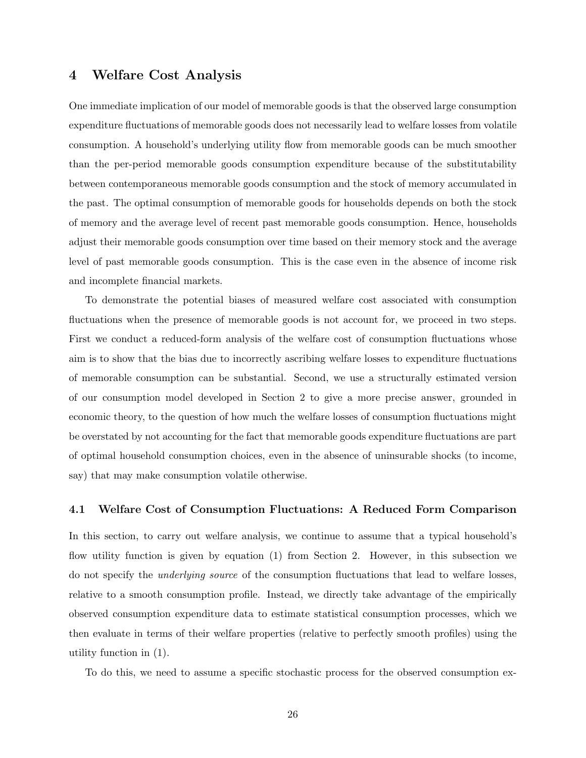# 4 Welfare Cost Analysis

One immediate implication of our model of memorable goods is that the observed large consumption expenditure fluctuations of memorable goods does not necessarily lead to welfare losses from volatile consumption. A household's underlying utility flow from memorable goods can be much smoother than the per-period memorable goods consumption expenditure because of the substitutability between contemporaneous memorable goods consumption and the stock of memory accumulated in the past. The optimal consumption of memorable goods for households depends on both the stock of memory and the average level of recent past memorable goods consumption. Hence, households adjust their memorable goods consumption over time based on their memory stock and the average level of past memorable goods consumption. This is the case even in the absence of income risk and incomplete financial markets.

To demonstrate the potential biases of measured welfare cost associated with consumption fluctuations when the presence of memorable goods is not account for, we proceed in two steps. First we conduct a reduced-form analysis of the welfare cost of consumption fluctuations whose aim is to show that the bias due to incorrectly ascribing welfare losses to expenditure fluctuations of memorable consumption can be substantial. Second, we use a structurally estimated version of our consumption model developed in Section 2 to give a more precise answer, grounded in economic theory, to the question of how much the welfare losses of consumption fluctuations might be overstated by not accounting for the fact that memorable goods expenditure fluctuations are part of optimal household consumption choices, even in the absence of uninsurable shocks (to income, say) that may make consumption volatile otherwise.

#### 4.1 Welfare Cost of Consumption Fluctuations: A Reduced Form Comparison

In this section, to carry out welfare analysis, we continue to assume that a typical household's flow utility function is given by equation (1) from Section 2. However, in this subsection we do not specify the underlying source of the consumption fluctuations that lead to welfare losses, relative to a smooth consumption profile. Instead, we directly take advantage of the empirically observed consumption expenditure data to estimate statistical consumption processes, which we then evaluate in terms of their welfare properties (relative to perfectly smooth profiles) using the utility function in (1).

To do this, we need to assume a specific stochastic process for the observed consumption ex-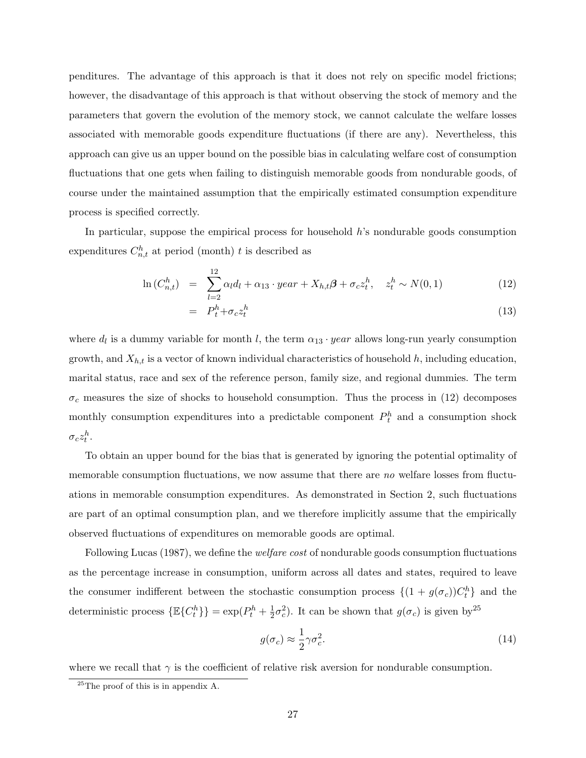penditures. The advantage of this approach is that it does not rely on specific model frictions; however, the disadvantage of this approach is that without observing the stock of memory and the parameters that govern the evolution of the memory stock, we cannot calculate the welfare losses associated with memorable goods expenditure fluctuations (if there are any). Nevertheless, this approach can give us an upper bound on the possible bias in calculating welfare cost of consumption fluctuations that one gets when failing to distinguish memorable goods from nondurable goods, of course under the maintained assumption that the empirically estimated consumption expenditure process is specified correctly.

In particular, suppose the empirical process for household h's nondurable goods consumption expenditures  $C_{n,t}^h$  at period (month) t is described as

$$
\ln(C_{n,t}^h) = \sum_{l=2}^{12} \alpha_l d_l + \alpha_{13} \cdot year + X_{h,t} \beta + \sigma_c z_t^h, \quad z_t^h \sim N(0,1)
$$
 (12)

$$
= P_t^h + \sigma_c z_t^h \tag{13}
$$

where  $d_l$  is a dummy variable for month l, the term  $\alpha_{13} \cdot year$  allows long-run yearly consumption growth, and  $X_{h,t}$  is a vector of known individual characteristics of household h, including education, marital status, race and sex of the reference person, family size, and regional dummies. The term  $\sigma_c$  measures the size of shocks to household consumption. Thus the process in (12) decomposes monthly consumption expenditures into a predictable component  $P_t^h$  and a consumption shock  $\sigma_c z_t^h$ .

To obtain an upper bound for the bias that is generated by ignoring the potential optimality of memorable consumption fluctuations, we now assume that there are no welfare losses from fluctuations in memorable consumption expenditures. As demonstrated in Section 2, such fluctuations are part of an optimal consumption plan, and we therefore implicitly assume that the empirically observed fluctuations of expenditures on memorable goods are optimal.

Following Lucas (1987), we define the welfare cost of nondurable goods consumption fluctuations as the percentage increase in consumption, uniform across all dates and states, required to leave the consumer indifferent between the stochastic consumption process  $\{(1 + g(\sigma_c))C_t^h\}$  and the deterministic process  $\{\mathbb{E}\{C_t^h\}\} = \exp(P_t^h + \frac{1}{2})$  $\frac{1}{2}\sigma_c^2$ ). It can be shown that  $g(\sigma_c)$  is given by <sup>25</sup>

$$
g(\sigma_c) \approx \frac{1}{2}\gamma \sigma_c^2. \tag{14}
$$

where we recall that  $\gamma$  is the coefficient of relative risk aversion for nondurable consumption.

 $^{25}$ The proof of this is in appendix A.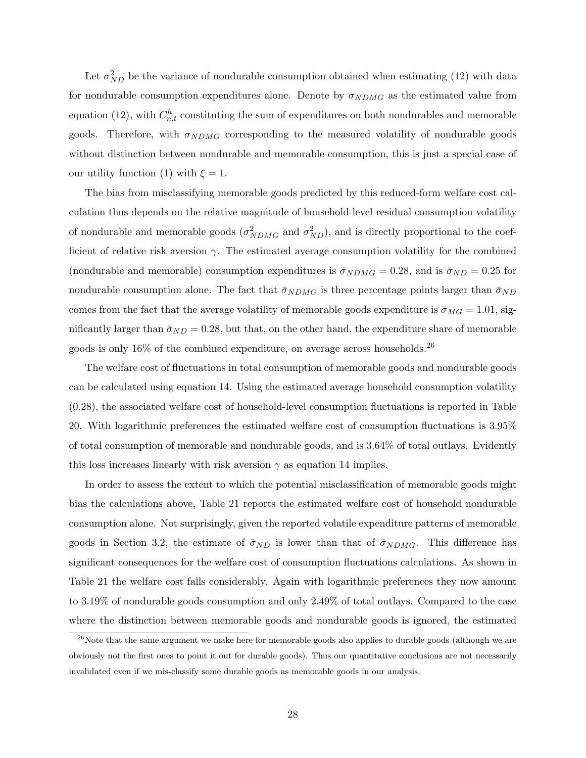Let  $\sigma_{ND}^2$  be the variance of nondurable consumption obtained when estimating (12) with data for nondurable consumption expenditures alone. Denote by  $\sigma_{NDMG}$  as the estimated value from equation (12), with  $C_{n,t}^h$  constituting the sum of expenditures on both nondurables and memorable goods. Therefore, with  $\sigma_{NDMG}$  corresponding to the measured volatility of nondurable goods without distinction between nondurable and memorable consumption, this is just a special case of our utility function (1) with  $\xi = 1$ .

The bias from misclassifying memorable goods predicted by this reduced-form welfare cost calculation thus depends on the relative magnitude of household-level residual consumption volatility of nondurable and memorable goods  $(\sigma_{NDMG}^2$  and  $\sigma_{ND}^2)$ , and is directly proportional to the coefficient of relative risk aversion  $\gamma$ . The estimated average consumption volatility for the combined (nondurable and memorable) consumption expenditures is  $\bar{\sigma}_{NDMG} = 0.28$ , and is  $\bar{\sigma}_{ND} = 0.25$  for nondurable consumption alone. The fact that  $\bar{\sigma}_{NDMG}$  is three percentage points larger than  $\bar{\sigma}_{ND}$ comes from the fact that the average volatility of memorable goods expenditure is  $\bar{\sigma}_{MG} = 1.01$ , significantly larger than  $\bar{\sigma}_{ND} = 0.28$ , but that, on the other hand, the expenditure share of memorable goods is only  $16\%$  of the combined expenditure, on average across households.<sup>26</sup>

The welfare cost of fluctuations in total consumption of memorable goods and nondurable goods can be calculated using equation 14. Using the estimated average household consumption volatility (0.28), the associated welfare cost of household-level consumption fluctuations is reported in Table 20. With logarithmic preferences the estimated welfare cost of consumption fluctuations is 3.95% of total consumption of memorable and nondurable goods, and is 3.64% of total outlays. Evidently this loss increases linearly with risk aversion  $\gamma$  as equation 14 implies.

In order to assess the extent to which the potential misclassification of memorable goods might bias the calculations above, Table 21 reports the estimated welfare cost of household nondurable consumption alone. Not surprisingly, given the reported volatile expenditure patterns of memorable goods in Section 3.2, the estimate of  $\bar{\sigma}_{ND}$  is lower than that of  $\bar{\sigma}_{NDMG}$ . This difference has significant consequences for the welfare cost of consumption fluctuations calculations. As shown in Table 21 the welfare cost falls considerably. Again with logarithmic preferences they now amount to 3.19% of nondurable goods consumption and only 2.49% of total outlays. Compared to the case where the distinction between memorable goods and nondurable goods is ignored, the estimated

<sup>&</sup>lt;sup>26</sup>Note that the same argument we make here for memorable goods also applies to durable goods (although we are obviously not the first ones to point it out for durable goods). Thus our quantitative conclusions are not necessarily invalidated even if we mis-classify some durable goods as memorable goods in our analysis.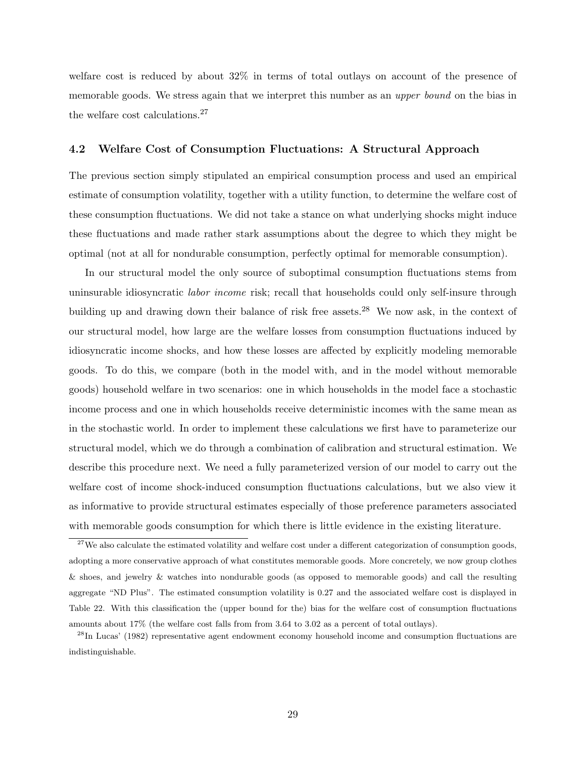welfare cost is reduced by about 32% in terms of total outlays on account of the presence of memorable goods. We stress again that we interpret this number as an *upper bound* on the bias in the welfare cost calculations.<sup>27</sup>

#### 4.2 Welfare Cost of Consumption Fluctuations: A Structural Approach

The previous section simply stipulated an empirical consumption process and used an empirical estimate of consumption volatility, together with a utility function, to determine the welfare cost of these consumption fluctuations. We did not take a stance on what underlying shocks might induce these fluctuations and made rather stark assumptions about the degree to which they might be optimal (not at all for nondurable consumption, perfectly optimal for memorable consumption).

In our structural model the only source of suboptimal consumption fluctuations stems from uninsurable idiosyncratic *labor income* risk; recall that households could only self-insure through building up and drawing down their balance of risk free assets.<sup>28</sup> We now ask, in the context of our structural model, how large are the welfare losses from consumption fluctuations induced by idiosyncratic income shocks, and how these losses are affected by explicitly modeling memorable goods. To do this, we compare (both in the model with, and in the model without memorable goods) household welfare in two scenarios: one in which households in the model face a stochastic income process and one in which households receive deterministic incomes with the same mean as in the stochastic world. In order to implement these calculations we first have to parameterize our structural model, which we do through a combination of calibration and structural estimation. We describe this procedure next. We need a fully parameterized version of our model to carry out the welfare cost of income shock-induced consumption fluctuations calculations, but we also view it as informative to provide structural estimates especially of those preference parameters associated with memorable goods consumption for which there is little evidence in the existing literature.

<sup>&</sup>lt;sup>27</sup>We also calculate the estimated volatility and welfare cost under a different categorization of consumption goods, adopting a more conservative approach of what constitutes memorable goods. More concretely, we now group clothes & shoes, and jewelry & watches into nondurable goods (as opposed to memorable goods) and call the resulting aggregate "ND Plus". The estimated consumption volatility is 0.27 and the associated welfare cost is displayed in Table 22. With this classification the (upper bound for the) bias for the welfare cost of consumption fluctuations amounts about 17% (the welfare cost falls from from 3.64 to 3.02 as a percent of total outlays).

 $^{28}$ In Lucas' (1982) representative agent endowment economy household income and consumption fluctuations are indistinguishable.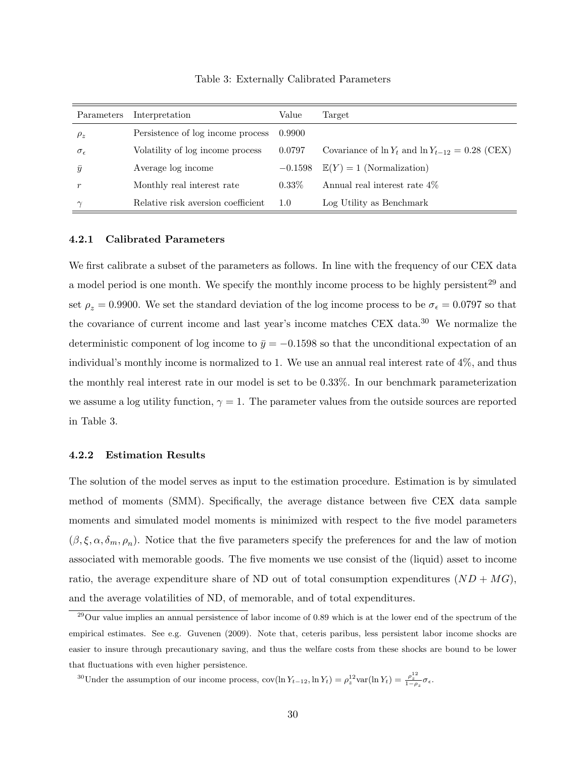| Parameters          | Interpretation                     | Value     | Target                                                  |
|---------------------|------------------------------------|-----------|---------------------------------------------------------|
| $\rho_z$            | Persistence of log income process  | 0.9900    |                                                         |
| $\sigma_{\epsilon}$ | Volatility of log income process   | 0.0797    | Covariance of $\ln Y_t$ and $\ln Y_{t-12} = 0.28$ (CEX) |
| $\bar{y}$           | Average log income                 | $-0.1598$ | $\mathbb{E}(Y) = 1$ (Normalization)                     |
| $\boldsymbol{r}$    | Monthly real interest rate         | $0.33\%$  | Annual real interest rate 4\%                           |
| $\sim$              | Relative risk aversion coefficient | 1.0       | Log Utility as Benchmark                                |

Table 3: Externally Calibrated Parameters

#### 4.2.1 Calibrated Parameters

We first calibrate a subset of the parameters as follows. In line with the frequency of our CEX data a model period is one month. We specify the monthly income process to be highly persistent<sup>29</sup> and set  $\rho_z = 0.9900$ . We set the standard deviation of the log income process to be  $\sigma_{\epsilon} = 0.0797$  so that the covariance of current income and last year's income matches CEX data.<sup>30</sup> We normalize the deterministic component of log income to  $\bar{y} = -0.1598$  so that the unconditional expectation of an individual's monthly income is normalized to 1. We use an annual real interest rate of 4%, and thus the monthly real interest rate in our model is set to be 0.33%. In our benchmark parameterization we assume a log utility function,  $\gamma = 1$ . The parameter values from the outside sources are reported in Table 3.

#### 4.2.2 Estimation Results

The solution of the model serves as input to the estimation procedure. Estimation is by simulated method of moments (SMM). Specifically, the average distance between five CEX data sample moments and simulated model moments is minimized with respect to the five model parameters  $(\beta, \xi, \alpha, \delta_m, \rho_n)$ . Notice that the five parameters specify the preferences for and the law of motion associated with memorable goods. The five moments we use consist of the (liquid) asset to income ratio, the average expenditure share of ND out of total consumption expenditures  $(ND + MG)$ , and the average volatilities of ND, of memorable, and of total expenditures.

<sup>30</sup>Under the assumption of our income process,  $\text{cov}(\ln Y_{t-12}, \ln Y_t) = \rho_z^{12} \text{var}(\ln Y_t) = \frac{\rho_z^{12}}{1-\rho_z} \sigma_{\epsilon}$ .

 $^{29}$ Our value implies an annual persistence of labor income of 0.89 which is at the lower end of the spectrum of the empirical estimates. See e.g. Guvenen (2009). Note that, ceteris paribus, less persistent labor income shocks are easier to insure through precautionary saving, and thus the welfare costs from these shocks are bound to be lower that fluctuations with even higher persistence.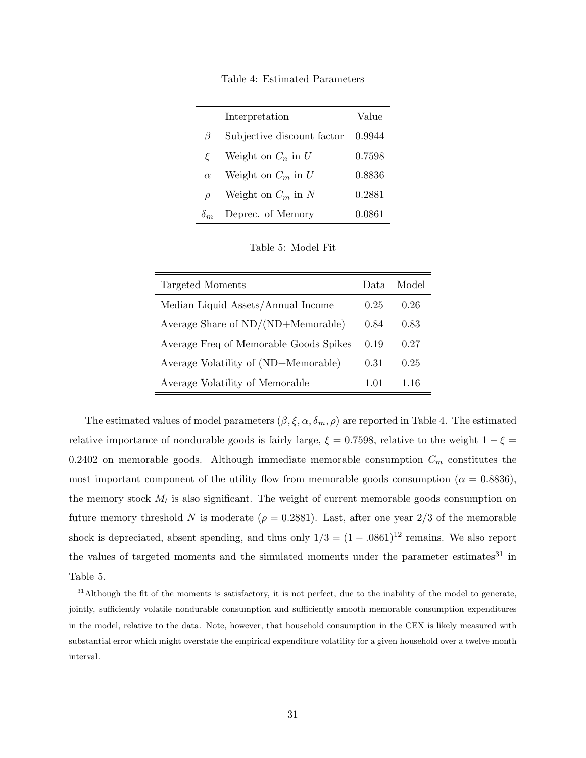Table 4: Estimated Parameters

|            | Interpretation             | Value  |
|------------|----------------------------|--------|
| $\beta$    | Subjective discount factor | 0.9944 |
| ξ          | Weight on $C_n$ in U       | 0.7598 |
| $\alpha$   | Weight on $C_m$ in U       | 0.8836 |
| $\rho$     | Weight on $C_m$ in N       | 0.2881 |
| $\delta_m$ | Deprec. of Memory          | 0.0861 |

Table 5: Model Fit

| Targeted Moments                       | Data. | Model |
|----------------------------------------|-------|-------|
| Median Liquid Assets/Annual Income     | 0.25  | 0.26  |
| Average Share of $ND/(ND+Memorable)$   | 0.84  | 0.83  |
| Average Freq of Memorable Goods Spikes | 0.19  | 0.27  |
| Average Volatility of (ND+Memorable)   | 0.31  | 0.25  |
| Average Volatility of Memorable        | 1.01  | 1.16  |

The estimated values of model parameters  $(\beta, \xi, \alpha, \delta_m, \rho)$  are reported in Table 4. The estimated relative importance of nondurable goods is fairly large,  $\xi = 0.7598$ , relative to the weight  $1 - \xi =$ 0.2402 on memorable goods. Although immediate memorable consumption  $C_m$  constitutes the most important component of the utility flow from memorable goods consumption ( $\alpha = 0.8836$ ). the memory stock  $M_t$  is also significant. The weight of current memorable goods consumption on future memory threshold N is moderate ( $\rho = 0.2881$ ). Last, after one year 2/3 of the memorable shock is depreciated, absent spending, and thus only  $1/3 = (1 - .0861)^{12}$  remains. We also report the values of targeted moments and the simulated moments under the parameter estimates<sup>31</sup> in Table 5.

<sup>&</sup>lt;sup>31</sup>Although the fit of the moments is satisfactory, it is not perfect, due to the inability of the model to generate, jointly, sufficiently volatile nondurable consumption and sufficiently smooth memorable consumption expenditures in the model, relative to the data. Note, however, that household consumption in the CEX is likely measured with substantial error which might overstate the empirical expenditure volatility for a given household over a twelve month interval.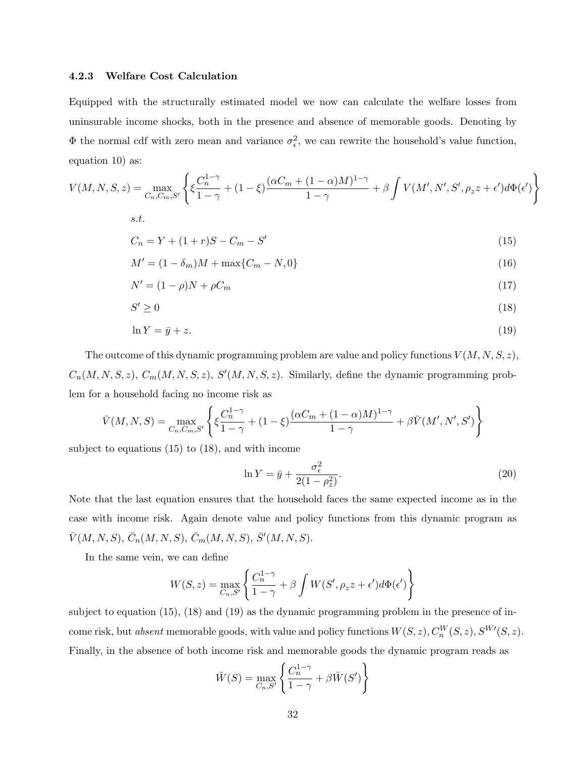#### 4.2.3 Welfare Cost Calculation

Equipped with the structurally estimated model we now can calculate the welfare losses from uninsurable income shocks, both in the presence and absence of memorable goods. Denoting by  $\Phi$  the normal cdf with zero mean and variance  $\sigma_{\epsilon}^2$ , we can rewrite the household's value function, equation 10) as:

$$
V(M, N, S, z) = \max_{C_n, C_m, S'} \left\{ \xi \frac{C_n^{1-\gamma}}{1-\gamma} + (1-\xi) \frac{(\alpha C_m + (1-\alpha)M)^{1-\gamma}}{1-\gamma} + \beta \int V(M', N', S', \rho_z z + \epsilon') d\Phi(\epsilon') \right\}
$$
  
s.t.

$$
C_n = Y + (1+r)S - C_m - S'
$$
\n(15)

$$
M' = (1 - \delta_m)M + \max\{C_m - N, 0\}
$$
\n(16)

$$
N' = (1 - \rho)N + \rho C_m \tag{17}
$$

$$
S' \ge 0 \tag{18}
$$

$$
\ln Y = \bar{y} + z. \tag{19}
$$

The outcome of this dynamic programming problem are value and policy functions  $V(M, N, S, z)$ ,  $C_n(M, N, S, z)$ ,  $C_m(M, N, S, z)$ ,  $S'(M, N, S, z)$ . Similarly, define the dynamic programming problem for a household facing no income risk as

$$
\bar{V}(M, N, S) = \max_{C_n, C_m, S'} \left\{ \xi \frac{C_n^{1-\gamma}}{1-\gamma} + (1-\xi) \frac{(\alpha C_m + (1-\alpha)M)^{1-\gamma}}{1-\gamma} + \beta \bar{V}(M', N', S') \right\}
$$

subject to equations (15) to (18), and with income

$$
\ln Y = \bar{y} + \frac{\sigma_{\epsilon}^2}{2(1 - \rho_z^2)}.
$$
\n
$$
(20)
$$

Note that the last equation ensures that the household faces the same expected income as in the case with income risk. Again denote value and policy functions from this dynamic program as  $\bar{V}(M, N, S), \bar{C}_n(M, N, S), \bar{C}_m(M, N, S), \bar{S}'(M, N, S).$ 

In the same vein, we can define

$$
W(S, z) = \max_{C_n, S'} \left\{ \frac{C_n^{1-\gamma}}{1-\gamma} + \beta \int W(S', \rho_z z + \epsilon') d\Phi(\epsilon') \right\}
$$

subject to equation (15), (18) and (19) as the dynamic programming problem in the presence of income risk, but *absent* memorable goods, with value and policy functions  $W(S, z)$ ,  $C_n^W(S, z)$ ,  $S^{W'}(S, z)$ . Finally, in the absence of both income risk and memorable goods the dynamic program reads as

$$
\bar{W}(S) = \max_{C_n, S'} \left\{ \frac{C_n^{1-\gamma}}{1-\gamma} + \beta \bar{W}(S') \right\}
$$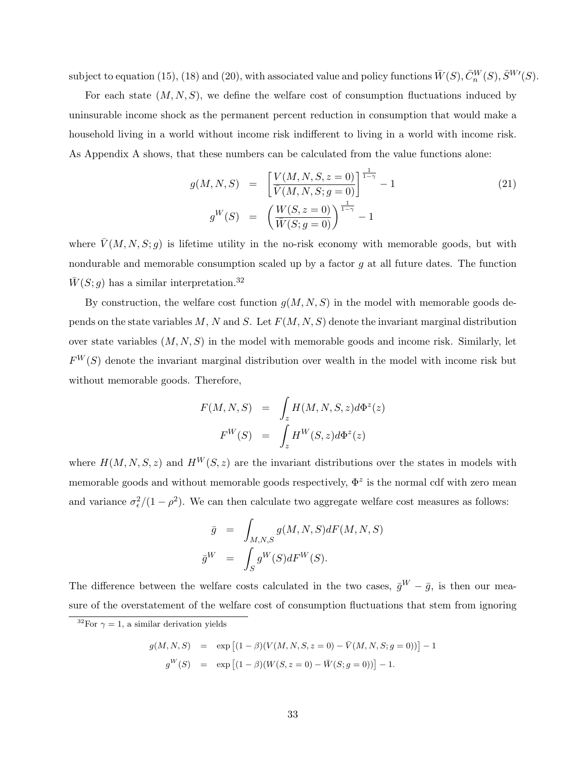subject to equation (15), (18) and (20), with associated value and policy functions  $\bar{W}(S), \bar{C}^{W}_{n}(S), \bar{S}^{W \prime}(S)$ .

For each state  $(M, N, S)$ , we define the welfare cost of consumption fluctuations induced by uninsurable income shock as the permanent percent reduction in consumption that would make a household living in a world without income risk indifferent to living in a world with income risk. As Appendix A shows, that these numbers can be calculated from the value functions alone:

$$
g(M, N, S) = \left[\frac{V(M, N, S, z = 0)}{\overline{V}(M, N, S; g = 0)}\right]^{\frac{1}{1 - \gamma}} - 1
$$
\n
$$
g^{W}(S) = \left(\frac{W(S, z = 0)}{\overline{W}(S; g = 0)}\right)^{\frac{1}{1 - \gamma}} - 1
$$
\n(21)

where  $\bar{V}(M, N, S; g)$  is lifetime utility in the no-risk economy with memorable goods, but with nondurable and memorable consumption scaled up by a factor  $g$  at all future dates. The function  $\overline{W}(S; g)$  has a similar interpretation.<sup>32</sup>

By construction, the welfare cost function  $g(M, N, S)$  in the model with memorable goods depends on the state variables  $M, N$  and  $S$ . Let  $F(M, N, S)$  denote the invariant marginal distribution over state variables  $(M, N, S)$  in the model with memorable goods and income risk. Similarly, let  $F^{W}(S)$  denote the invariant marginal distribution over wealth in the model with income risk but without memorable goods. Therefore,

$$
F(M, N, S) = \int_{z} H(M, N, S, z) d\Phi^{z}(z)
$$

$$
F^{W}(S) = \int_{z} H^{W}(S, z) d\Phi^{z}(z)
$$

where  $H(M, N, S, z)$  and  $H^W(S, z)$  are the invariant distributions over the states in models with memorable goods and without memorable goods respectively,  $\Phi^z$  is the normal cdf with zero mean and variance  $\sigma_{\epsilon}^2/(1-\rho^2)$ . We can then calculate two aggregate welfare cost measures as follows:

$$
\bar{g} = \int_{M,N,S} g(M, N, S) dF(M, N, S)
$$

$$
\bar{g}^{W} = \int_{S} g^{W}(S) dF^{W}(S).
$$

The difference between the welfare costs calculated in the two cases,  $\bar{g}^W - \bar{g}$ , is then our measure of the overstatement of the welfare cost of consumption fluctuations that stem from ignoring

$$
g(M, N, S) = \exp [(1 - \beta)(V(M, N, S, z = 0) - \bar{V}(M, N, S; g = 0))] - 1
$$
  

$$
g^{W}(S) = \exp [(1 - \beta)(W(S, z = 0) - \bar{W}(S; g = 0))] - 1.
$$

<sup>&</sup>lt;sup>32</sup>For  $\gamma = 1$ , a similar derivation yields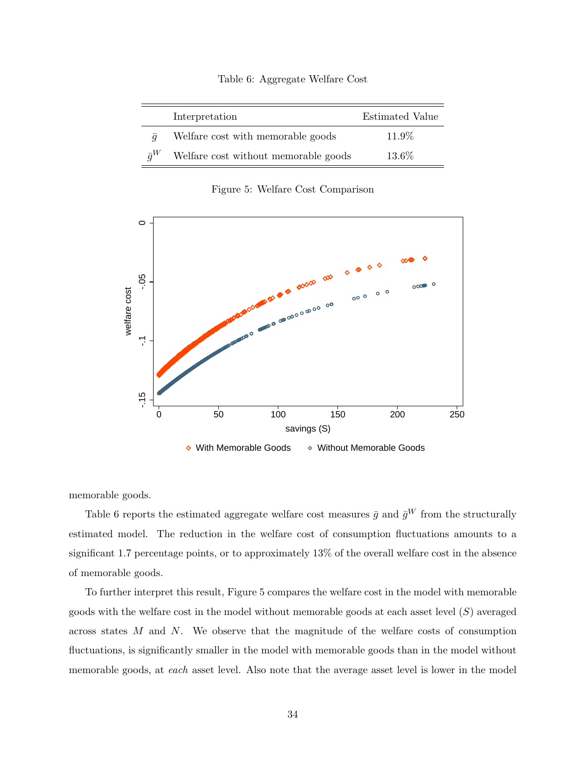|  | Table 6: Aggregate Welfare Cost |  |  |
|--|---------------------------------|--|--|
|--|---------------------------------|--|--|

|                | Interpretation                       | Estimated Value |
|----------------|--------------------------------------|-----------------|
| $\overline{a}$ | Welfare cost with memorable goods    | 11.9%           |
| $\bar{a}^W$    | Welfare cost without memorable goods | 13.6%           |

Figure 5: Welfare Cost Comparison



memorable goods.

Table 6 reports the estimated aggregate welfare cost measures  $\bar{g}$  and  $\bar{g}^W$  from the structurally estimated model. The reduction in the welfare cost of consumption fluctuations amounts to a significant 1.7 percentage points, or to approximately 13% of the overall welfare cost in the absence of memorable goods.

To further interpret this result, Figure 5 compares the welfare cost in the model with memorable goods with the welfare cost in the model without memorable goods at each asset level  $(S)$  averaged across states M and N. We observe that the magnitude of the welfare costs of consumption fluctuations, is significantly smaller in the model with memorable goods than in the model without memorable goods, at each asset level. Also note that the average asset level is lower in the model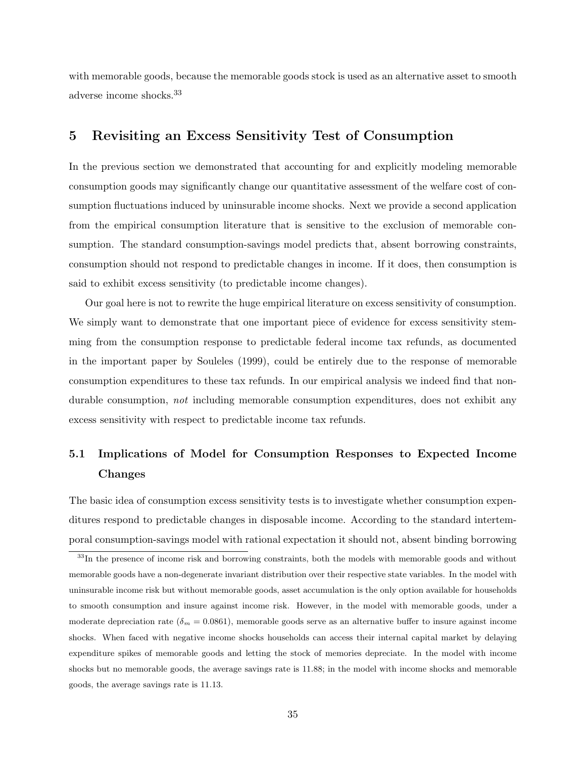with memorable goods, because the memorable goods stock is used as an alternative asset to smooth adverse income shocks.<sup>33</sup>

## 5 Revisiting an Excess Sensitivity Test of Consumption

In the previous section we demonstrated that accounting for and explicitly modeling memorable consumption goods may significantly change our quantitative assessment of the welfare cost of consumption fluctuations induced by uninsurable income shocks. Next we provide a second application from the empirical consumption literature that is sensitive to the exclusion of memorable consumption. The standard consumption-savings model predicts that, absent borrowing constraints, consumption should not respond to predictable changes in income. If it does, then consumption is said to exhibit excess sensitivity (to predictable income changes).

Our goal here is not to rewrite the huge empirical literature on excess sensitivity of consumption. We simply want to demonstrate that one important piece of evidence for excess sensitivity stemming from the consumption response to predictable federal income tax refunds, as documented in the important paper by Souleles (1999), could be entirely due to the response of memorable consumption expenditures to these tax refunds. In our empirical analysis we indeed find that nondurable consumption, *not* including memorable consumption expenditures, does not exhibit any excess sensitivity with respect to predictable income tax refunds.

# 5.1 Implications of Model for Consumption Responses to Expected Income Changes

The basic idea of consumption excess sensitivity tests is to investigate whether consumption expenditures respond to predictable changes in disposable income. According to the standard intertemporal consumption-savings model with rational expectation it should not, absent binding borrowing

<sup>&</sup>lt;sup>33</sup>In the presence of income risk and borrowing constraints, both the models with memorable goods and without memorable goods have a non-degenerate invariant distribution over their respective state variables. In the model with uninsurable income risk but without memorable goods, asset accumulation is the only option available for households to smooth consumption and insure against income risk. However, in the model with memorable goods, under a moderate depreciation rate ( $\delta_m = 0.0861$ ), memorable goods serve as an alternative buffer to insure against income shocks. When faced with negative income shocks households can access their internal capital market by delaying expenditure spikes of memorable goods and letting the stock of memories depreciate. In the model with income shocks but no memorable goods, the average savings rate is 11.88; in the model with income shocks and memorable goods, the average savings rate is 11.13.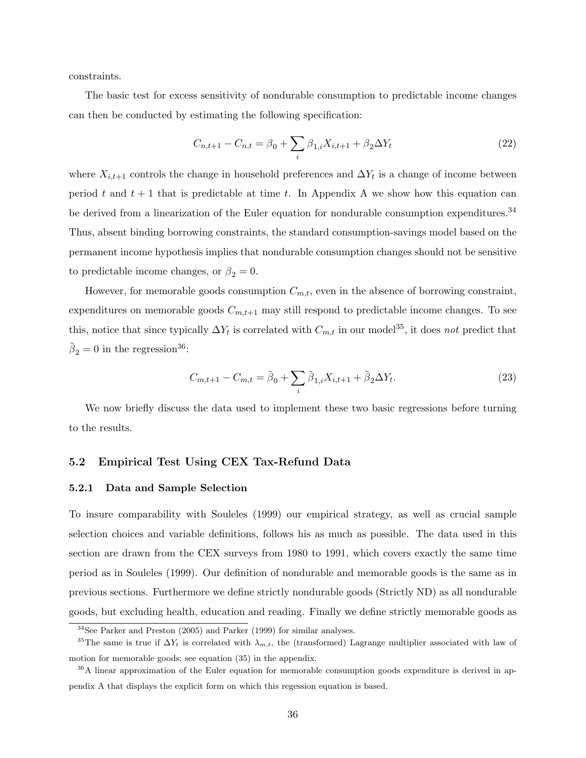constraints.

The basic test for excess sensitivity of nondurable consumption to predictable income changes can then be conducted by estimating the following specification:

$$
C_{n,t+1} - C_{n,t} = \beta_0 + \sum_i \beta_{1,i} X_{i,t+1} + \beta_2 \Delta Y_t
$$
\n(22)

where  $X_{i,t+1}$  controls the change in household preferences and  $\Delta Y_t$  is a change of income between period t and  $t + 1$  that is predictable at time t. In Appendix A we show how this equation can be derived from a linearization of the Euler equation for nondurable consumption expenditures.<sup>34</sup> Thus, absent binding borrowing constraints, the standard consumption-savings model based on the permanent income hypothesis implies that nondurable consumption changes should not be sensitive to predictable income changes, or  $\beta_2 = 0$ .

However, for memorable goods consumption  $C_{m,t}$ , even in the absence of borrowing constraint, expenditures on memorable goods  $C_{m,t+1}$  may still respond to predictable income changes. To see this, notice that since typically  $\Delta Y_t$  is correlated with  $C_{m,t}$  in our model<sup>35</sup>, it does not predict that  $\tilde{\beta}_2 = 0$  in the regression<sup>36</sup>:

$$
C_{m,t+1} - C_{m,t} = \tilde{\beta}_0 + \sum_i \tilde{\beta}_{1,i} X_{i,t+1} + \tilde{\beta}_2 \Delta Y_t.
$$
 (23)

We now briefly discuss the data used to implement these two basic regressions before turning to the results.

### 5.2 Empirical Test Using CEX Tax-Refund Data

### 5.2.1 Data and Sample Selection

To insure comparability with Souleles (1999) our empirical strategy, as well as crucial sample selection choices and variable definitions, follows his as much as possible. The data used in this section are drawn from the CEX surveys from 1980 to 1991, which covers exactly the same time period as in Souleles (1999). Our definition of nondurable and memorable goods is the same as in previous sections. Furthermore we define strictly nondurable goods (Strictly ND) as all nondurable goods, but excluding health, education and reading. Finally we define strictly memorable goods as

<sup>34</sup>See Parker and Preston (2005) and Parker (1999) for similar analyses.

<sup>&</sup>lt;sup>35</sup>The same is true if  $\Delta Y_t$  is correlated with  $\lambda_{m,t}$ , the (transformed) Lagrange multiplier associated with law of motion for memorable goods; see equation (35) in the appendix.

<sup>36</sup>A linear approximation of the Euler equation for memorable consumption goods expenditure is derived in appendix A that displays the explicit form on which this regession equation is based.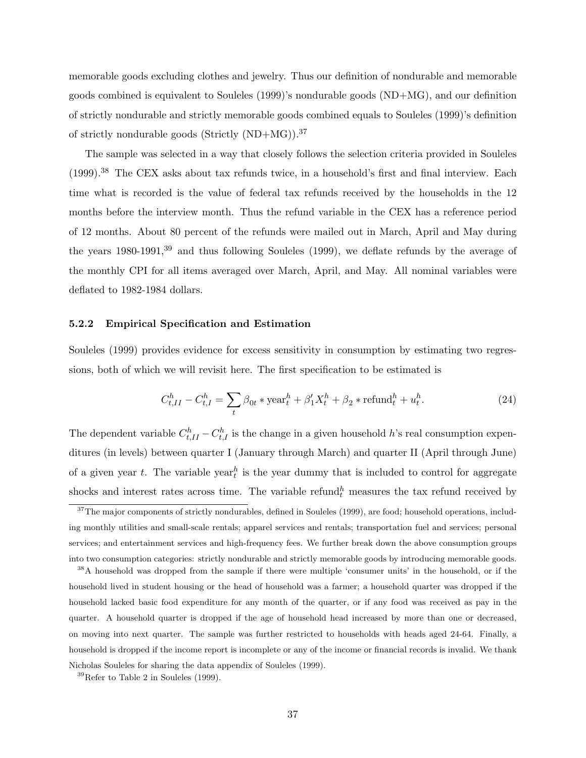memorable goods excluding clothes and jewelry. Thus our definition of nondurable and memorable goods combined is equivalent to Souleles (1999)'s nondurable goods (ND+MG), and our definition of strictly nondurable and strictly memorable goods combined equals to Souleles (1999)'s definition of strictly nondurable goods (Strictly  $(ND+MG)$ ).<sup>37</sup>

The sample was selected in a way that closely follows the selection criteria provided in Souleles (1999).<sup>38</sup> The CEX asks about tax refunds twice, in a household's first and final interview. Each time what is recorded is the value of federal tax refunds received by the households in the 12 months before the interview month. Thus the refund variable in the CEX has a reference period of 12 months. About 80 percent of the refunds were mailed out in March, April and May during the years 1980-1991,<sup>39</sup> and thus following Souleles (1999), we deflate refunds by the average of the monthly CPI for all items averaged over March, April, and May. All nominal variables were deflated to 1982-1984 dollars.

### 5.2.2 Empirical Specification and Estimation

Souleles (1999) provides evidence for excess sensitivity in consumption by estimating two regressions, both of which we will revisit here. The first specification to be estimated is

$$
C_{t,II}^h - C_{t,I}^h = \sum_t \beta_{0t} * \text{year}_t^h + \beta_1' X_t^h + \beta_2 * \text{refund}_t^h + u_t^h. \tag{24}
$$

The dependent variable  $C_{t,II}^h - C_{t,I}^h$  is the change in a given household h's real consumption expenditures (in levels) between quarter I (January through March) and quarter II (April through June) of a given year t. The variable year is the year dummy that is included to control for aggregate shocks and interest rates across time. The variable refundh measures the tax refund received by

<sup>38</sup>A household was dropped from the sample if there were multiple 'consumer units' in the household, or if the household lived in student housing or the head of household was a farmer; a household quarter was dropped if the household lacked basic food expenditure for any month of the quarter, or if any food was received as pay in the quarter. A household quarter is dropped if the age of household head increased by more than one or decreased, on moving into next quarter. The sample was further restricted to households with heads aged 24-64. Finally, a household is dropped if the income report is incomplete or any of the income or financial records is invalid. We thank Nicholas Souleles for sharing the data appendix of Souleles (1999).

 $37$ The major components of strictly nondurables, defined in Souleles (1999), are food; household operations, including monthly utilities and small-scale rentals; apparel services and rentals; transportation fuel and services; personal services; and entertainment services and high-frequency fees. We further break down the above consumption groups into two consumption categories: strictly nondurable and strictly memorable goods by introducing memorable goods.

 $39$ Refer to Table 2 in Souleles (1999).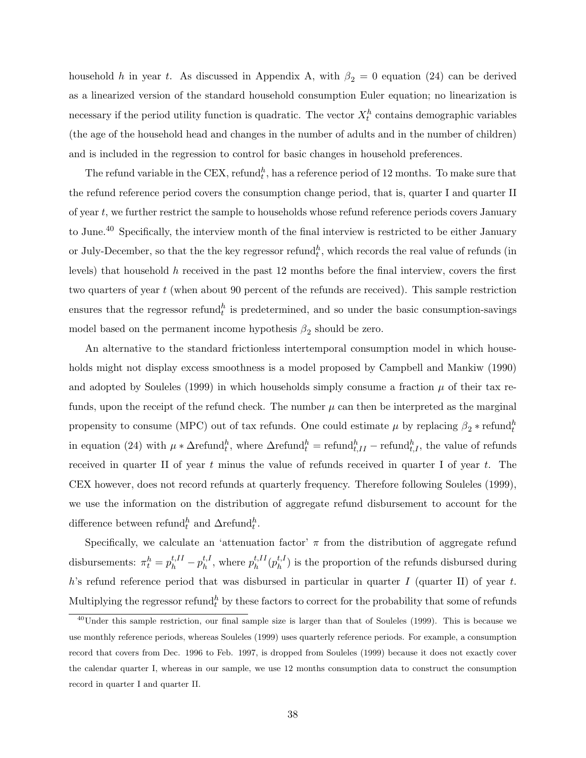household h in year t. As discussed in Appendix A, with  $\beta_2 = 0$  equation (24) can be derived as a linearized version of the standard household consumption Euler equation; no linearization is necessary if the period utility function is quadratic. The vector  $X_t^h$  contains demographic variables (the age of the household head and changes in the number of adults and in the number of children) and is included in the regression to control for basic changes in household preferences.

The refund variable in the CEX, refund<sup>h</sup>, has a reference period of 12 months. To make sure that the refund reference period covers the consumption change period, that is, quarter I and quarter II of year t, we further restrict the sample to households whose refund reference periods covers January to June.<sup>40</sup> Specifically, the interview month of the final interview is restricted to be either January or July-December, so that the the key regressor refund<sup>h</sup>, which records the real value of refunds (in levels) that household h received in the past 12 months before the final interview, covers the first two quarters of year t (when about 90 percent of the refunds are received). This sample restriction ensures that the regressor refund<sup>h</sup> is predetermined, and so under the basic consumption-savings model based on the permanent income hypothesis  $\beta_2$  should be zero.

An alternative to the standard frictionless intertemporal consumption model in which households might not display excess smoothness is a model proposed by Campbell and Mankiw (1990) and adopted by Souleles (1999) in which households simply consume a fraction  $\mu$  of their tax refunds, upon the receipt of the refund check. The number  $\mu$  can then be interpreted as the marginal propensity to consume (MPC) out of tax refunds. One could estimate  $\mu$  by replacing  $\beta_2 * \text{refund}_t^h$ in equation (24) with  $\mu * \Delta$ refund ${}_{t}^{h}$ , where  $\Delta$ refund ${}_{t}^{h}$  = refund ${}_{t,II}^{h}$  – refunds, the value of refunds received in quarter II of year t minus the value of refunds received in quarter I of year t. The CEX however, does not record refunds at quarterly frequency. Therefore following Souleles (1999), we use the information on the distribution of aggregate refund disbursement to account for the difference between refund<sup>h</sup> and  $\Delta$ refund<sup>h</sup>.

Specifically, we calculate an 'attenuation factor'  $\pi$  from the distribution of aggregate refund disbursements:  $\pi_t^h = p_h^{t,II} - p_h^{t,I}$  $h^{t,I}_h$ , where  $p^{t,II}_h$  $_{h}^{t,II}(p_{h}^{t,I}% ,\theta_{h}^{t,1})\rightarrow\alpha\rightarrow\alpha\rightarrow\gamma\gamma$  $\binom{t, t}{h}$  is the proportion of the refunds disbursed during h's refund reference period that was disbursed in particular in quarter I (quarter II) of year t. Multiplying the regressor refund ${}^h_t$  by these factors to correct for the probability that some of refunds

<sup>&</sup>lt;sup>40</sup>Under this sample restriction, our final sample size is larger than that of Souleles (1999). This is because we use monthly reference periods, whereas Souleles (1999) uses quarterly reference periods. For example, a consumption record that covers from Dec. 1996 to Feb. 1997, is dropped from Souleles (1999) because it does not exactly cover the calendar quarter I, whereas in our sample, we use 12 months consumption data to construct the consumption record in quarter I and quarter II.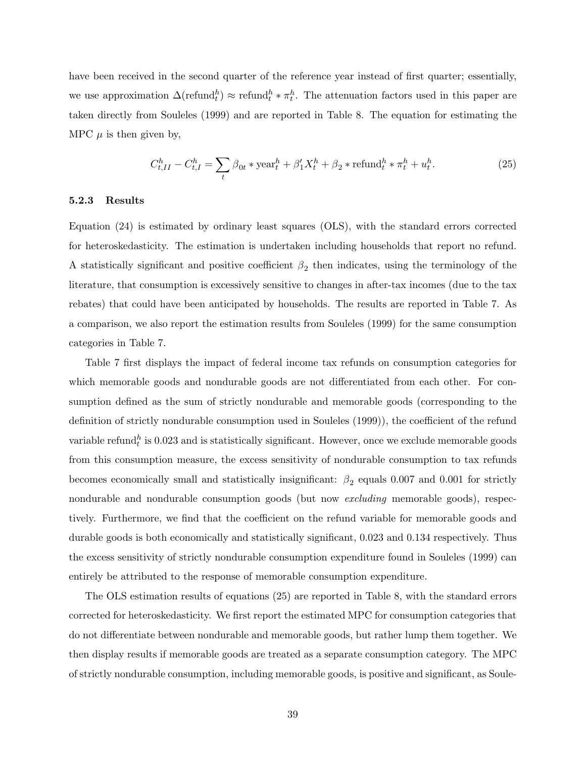have been received in the second quarter of the reference year instead of first quarter; essentially, we use approximation  $\Delta(\text{refund}_t^h) \approx \text{refund}_t^h * \pi_t^h$ . The attenuation factors used in this paper are taken directly from Souleles (1999) and are reported in Table 8. The equation for estimating the MPC  $\mu$  is then given by,

$$
C_{t,II}^h - C_{t,I}^h = \sum_t \beta_{0t} * \text{year}_t^h + \beta_1' X_t^h + \beta_2 * \text{refund}_t^h * \pi_t^h + u_t^h. \tag{25}
$$

### 5.2.3 Results

Equation (24) is estimated by ordinary least squares (OLS), with the standard errors corrected for heteroskedasticity. The estimation is undertaken including households that report no refund. A statistically significant and positive coefficient  $\beta_2$  then indicates, using the terminology of the literature, that consumption is excessively sensitive to changes in after-tax incomes (due to the tax rebates) that could have been anticipated by households. The results are reported in Table 7. As a comparison, we also report the estimation results from Souleles (1999) for the same consumption categories in Table 7.

Table 7 first displays the impact of federal income tax refunds on consumption categories for which memorable goods and nondurable goods are not differentiated from each other. For consumption defined as the sum of strictly nondurable and memorable goods (corresponding to the definition of strictly nondurable consumption used in Souleles (1999)), the coefficient of the refund variable refund $_{t}^{h}$  is 0.023 and is statistically significant. However, once we exclude memorable goods from this consumption measure, the excess sensitivity of nondurable consumption to tax refunds becomes economically small and statistically insignificant:  $\beta_2$  equals 0.007 and 0.001 for strictly nondurable and nondurable consumption goods (but now *excluding* memorable goods), respectively. Furthermore, we find that the coefficient on the refund variable for memorable goods and durable goods is both economically and statistically significant, 0.023 and 0.134 respectively. Thus the excess sensitivity of strictly nondurable consumption expenditure found in Souleles (1999) can entirely be attributed to the response of memorable consumption expenditure.

The OLS estimation results of equations (25) are reported in Table 8, with the standard errors corrected for heteroskedasticity. We first report the estimated MPC for consumption categories that do not differentiate between nondurable and memorable goods, but rather lump them together. We then display results if memorable goods are treated as a separate consumption category. The MPC of strictly nondurable consumption, including memorable goods, is positive and significant, as Soule-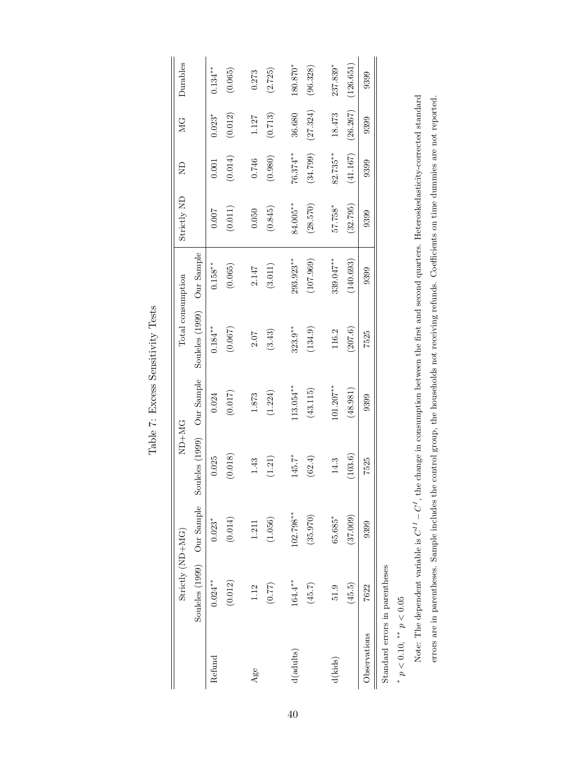|                            | Strictly (ND+MG)               |             | ND+NG           |              | Total consumption |            | Strictly ND | £           | ЙC<br>М  | Durables   |
|----------------------------|--------------------------------|-------------|-----------------|--------------|-------------------|------------|-------------|-------------|----------|------------|
|                            | Souleles (1999) Our Sample     |             | Souleles (1999) | Our Sample   | Souleles (1999)   | Our Sample |             |             |          |            |
| Refund                     | $0.024***$                     | $0.023*$    | 0.025           | 0.024        | $0.184***$        | $0.158***$ | 0.007       | 0.001       | $0.023*$ | $0.134***$ |
|                            | (0.012)                        | (0.014)     | (0.018)         | (0.017)      | (0.067)           | (0.065)    | (0.011)     | (0.014)     | (0.012)  | (0.065)    |
| Age                        | 1.12                           | 1.211       | 1.43            | 1.873        | $2.07$            | 2.147      | 0.050       | 0.746       | 1.127    | 0.273      |
|                            | (77.0)                         | (1.056)     | (1.21)          | (1.224)      | (3.43)            | (3.011)    | (0.845)     | (0.980)     | (0.713)  | (2.725)    |
| $d($ adults $)$            | 164.4**                        | $102.798**$ | 145.7*          | $113.054***$ | $323.9***$        | 293.923**  | 84.005**    | $76.374***$ | 36.680   | 180.870*   |
|                            | (45.7)                         | (35.970)    | (62.4)          | (43.115)     | (134.9)           | (107.969)  | (28.570)    | (34.799)    | (27.324) | (96.328)   |
| d(kids)                    | 51.9                           | $65.685*$   | 14.3            | $101.207***$ | 116.2             | 339.047**  | 57.758*     | $82.735***$ | 18.473   | 237.839*   |
|                            | (45.5)                         | (37.009)    | (103.6)         | (48.981)     | (207.6)           | (140.693)  | (32.795)    | (41.167)    | (26.267) | (126.651)  |
| Observations               | 7622                           | 9399        | 7525            | 9399         | 7525              | 9399       | 9399        | 9399        | 9399     | 9399       |
|                            | Standard errors in parentheses |             |                 |              |                   |            |             |             |          |            |
| * $n < 0.10$ ** $n < 0.05$ |                                |             |                 |              |                   |            |             |             |          |            |

Table 7: Excess Sensitivity Tests Table 7: Excess Sensitivity Tests

> $p < 0.10, T_p < 0.05$ \*  $p < 0.10$ , \*\*  $p < 0.05$

Note: The dependent variable is  $C^{II} - C^{I}$ , the change in consumption between the first and second quarters. Heteroskedasticity-corrected standard errors are in parentheses. Sample includes the control group, the households not receiving refunds. Coefficients on time dummies are not reported. Note: The dependent variable is  $C^{II} - C^{I}$ , the change in consumption between the first and second quarters. Heteroskedasticity-corrected standard errors are in parentheses. Sample includes the control group, the households not receiving refunds. Coefficients on time dummies are not reported.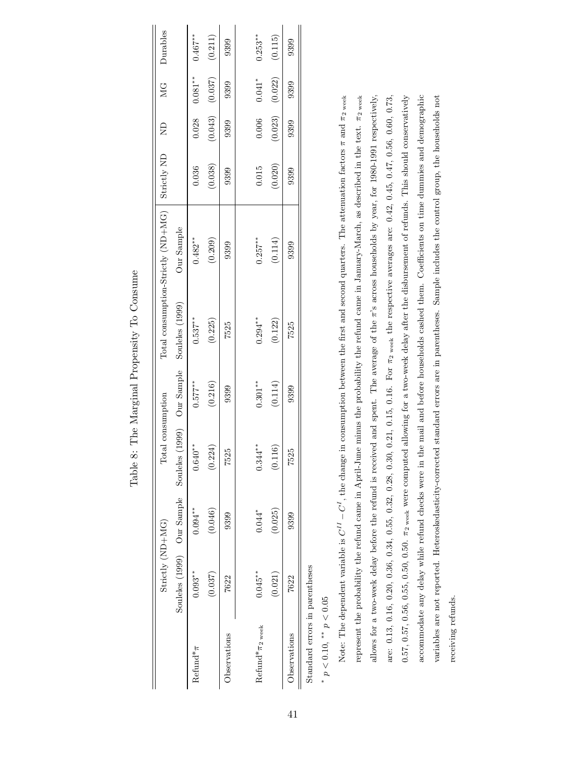|                                  | $String(D+MG)$                      |            | Total consumption           |            |                                   | Total consumption-Strictly (ND+MG) | Strictly ND | $\Xi$   | MG                  | Durables   |
|----------------------------------|-------------------------------------|------------|-----------------------------|------------|-----------------------------------|------------------------------------|-------------|---------|---------------------|------------|
|                                  | Souleles (1999) Our Sample Souleles |            |                             |            | (1999) Our Sample Souleles (1999) | Our Sample                         |             |         |                     |            |
| $Refund^* \pi$                   | $0.093**$                           | $0.094***$ | $0.640**$                   | $0.577***$ | $0.537***$                        | $0.482**$                          | 0.036       |         | $0.028$ $0.081***$  | $0.467***$ |
|                                  | (0.037)                             | (0.046)    | (0.224)                     | (0.216)    | (0.225)                           | (0.209)                            | (0.038)     |         | $(0.043)$ $(0.037)$ | (0.211)    |
| Observations                     | 7622                                | 9399       | 7525                        | 9399       | 7525                              | 9399                               | 9399        | 9399    | 9399                | 9399       |
|                                  |                                     |            |                             |            |                                   |                                    |             |         |                     |            |
| Refund <sup>*</sup> $\pi_2$ week | $0.045**$                           | $0.044*$   | $*$<br>$*$<br>$0.344^\circ$ | $0.301***$ | $0.294***$                        | $0.257***$                         | 0.015       | 0.006   | $0.041*$            | $0.253**$  |
|                                  | (0.021)                             | (0.025)    | (0.116)                     | (0.114)    | (0.122)                           | (0.114)                            | (0.020)     | (0.023) | (0.022)             | (0.115)    |
| Observations                     | 7622                                | 9399       | 7525                        | 9399       | 7525                              | 9399                               | 9399        | 9399    | 9399                | 9399       |
|                                  |                                     |            |                             |            |                                   |                                    |             |         |                     |            |

Table 8: The Marginal Propensity To Consume Table 8: The Marginal Propensity To Consume

> Standard errors in parentheses Standard errors in parentheses

 $*$   $p<0.10,$   $^{**}$   $p<0.05$ \*  $p < 0.10$ , \*\*  $p < 0.05$ 

accommodate any delay while refund checks were in the mail and before households cashed them. Coefficients on time dummies and demographic Note: The dependent variable is  $C^{II} - C^{I}$ , the change in consumption between the first and second quarters. The attenuation factors  $\pi$  and  $\pi_2$  week represent the probability the refund came in April-June minus the probability the refund came in January-March, as described in the text.  $\pi_2$  week allows for a two-week delay before the refund is received and spent. The average of the  $\pi$ 's across households by year, for 1980-1991 respectively, are: 0.13, 0.16, 0.20, 0.36, 0.34, 0.55, 0.32, 0.28, 0.30, 0.21, 0.15, 0.16. For  $\pi_2$  weak the respective averages are: 0.42, 0.45, 0.47, 0.56, 0.60, 0.73,  $0.57, 0.56, 0.56, 0.55, 0.50, 0.50.$   $\pi_2$  were computed allowing for a two-week delay after the disbursement of refunds. This should conservatively variables are not reported. Heteroskedasticity-corrected standard errors are in parentheses. Sample includes the control group, the households not Note: The dependent variable is  $C^{II} - C^{I}$ , the change in consumption between the first and second quarters. The attenuation factors  $\pi$  and  $\pi_2$  week represent the probability the refund came in April-June minus the probability the refund came in January-March, as described in the text. π2 week allows for a two-week delay before the refund is received and spent. The average of the π's across households by year, for 1980-1991 respectively, are: 0.13, 0.16, 0.20, 0.36, 0.34, 0.55, 0.32, 0.28, 0.30, 0.21, 0.15, 0.16. For π2 week the respective averages are: 0.42, 0.45, 0.47, 0.56, 0.60, 0.73,  $0.57, 0.57, 0.56, 0.55, 0.50, 0.50$ .  $\pi_2$  week were computed allowing for a two-week delay after the disbursement of refunds. This should conservatively accommodate any delay while refund checks were in the mail and before households cashed them. Coefficients on time dummies and demographic variables are not reported. Heteroskedasticity-corrected standard errors are in parentheses. Sample includes the control group, the households not receiving refunds. receiving refunds.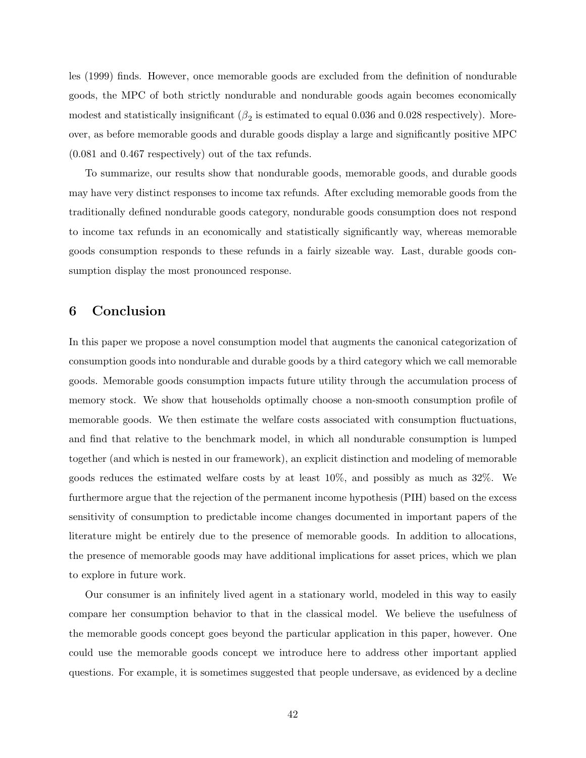les (1999) finds. However, once memorable goods are excluded from the definition of nondurable goods, the MPC of both strictly nondurable and nondurable goods again becomes economically modest and statistically insignificant ( $\beta_2$  is estimated to equal 0.036 and 0.028 respectively). Moreover, as before memorable goods and durable goods display a large and significantly positive MPC (0.081 and 0.467 respectively) out of the tax refunds.

To summarize, our results show that nondurable goods, memorable goods, and durable goods may have very distinct responses to income tax refunds. After excluding memorable goods from the traditionally defined nondurable goods category, nondurable goods consumption does not respond to income tax refunds in an economically and statistically significantly way, whereas memorable goods consumption responds to these refunds in a fairly sizeable way. Last, durable goods consumption display the most pronounced response.

## 6 Conclusion

In this paper we propose a novel consumption model that augments the canonical categorization of consumption goods into nondurable and durable goods by a third category which we call memorable goods. Memorable goods consumption impacts future utility through the accumulation process of memory stock. We show that households optimally choose a non-smooth consumption profile of memorable goods. We then estimate the welfare costs associated with consumption fluctuations, and find that relative to the benchmark model, in which all nondurable consumption is lumped together (and which is nested in our framework), an explicit distinction and modeling of memorable goods reduces the estimated welfare costs by at least 10%, and possibly as much as 32%. We furthermore argue that the rejection of the permanent income hypothesis (PIH) based on the excess sensitivity of consumption to predictable income changes documented in important papers of the literature might be entirely due to the presence of memorable goods. In addition to allocations, the presence of memorable goods may have additional implications for asset prices, which we plan to explore in future work.

Our consumer is an infinitely lived agent in a stationary world, modeled in this way to easily compare her consumption behavior to that in the classical model. We believe the usefulness of the memorable goods concept goes beyond the particular application in this paper, however. One could use the memorable goods concept we introduce here to address other important applied questions. For example, it is sometimes suggested that people undersave, as evidenced by a decline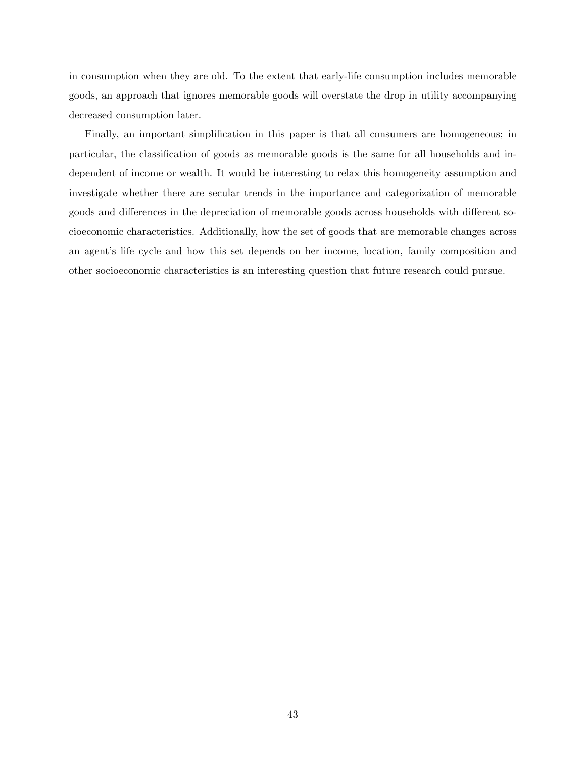in consumption when they are old. To the extent that early-life consumption includes memorable goods, an approach that ignores memorable goods will overstate the drop in utility accompanying decreased consumption later.

Finally, an important simplification in this paper is that all consumers are homogeneous; in particular, the classification of goods as memorable goods is the same for all households and independent of income or wealth. It would be interesting to relax this homogeneity assumption and investigate whether there are secular trends in the importance and categorization of memorable goods and differences in the depreciation of memorable goods across households with different socioeconomic characteristics. Additionally, how the set of goods that are memorable changes across an agent's life cycle and how this set depends on her income, location, family composition and other socioeconomic characteristics is an interesting question that future research could pursue.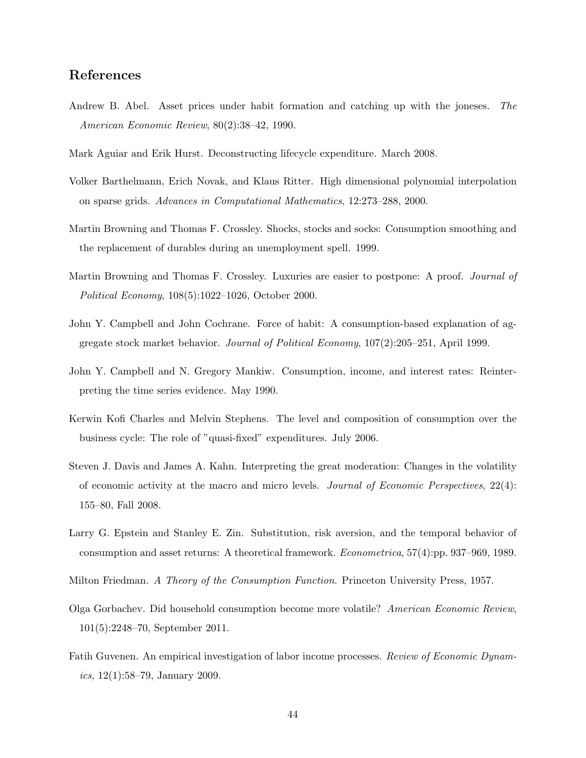## References

- Andrew B. Abel. Asset prices under habit formation and catching up with the joneses. The American Economic Review, 80(2):38–42, 1990.
- Mark Aguiar and Erik Hurst. Deconstructing lifecycle expenditure. March 2008.
- Volker Barthelmann, Erich Novak, and Klaus Ritter. High dimensional polynomial interpolation on sparse grids. Advances in Computational Mathematics, 12:273–288, 2000.
- Martin Browning and Thomas F. Crossley. Shocks, stocks and socks: Consumption smoothing and the replacement of durables during an unemployment spell. 1999.
- Martin Browning and Thomas F. Crossley. Luxuries are easier to postpone: A proof. *Journal of* Political Economy, 108(5):1022–1026, October 2000.
- John Y. Campbell and John Cochrane. Force of habit: A consumption-based explanation of aggregate stock market behavior. Journal of Political Economy, 107(2):205–251, April 1999.
- John Y. Campbell and N. Gregory Mankiw. Consumption, income, and interest rates: Reinterpreting the time series evidence. May 1990.
- Kerwin Kofi Charles and Melvin Stephens. The level and composition of consumption over the business cycle: The role of "quasi-fixed" expenditures. July 2006.
- Steven J. Davis and James A. Kahn. Interpreting the great moderation: Changes in the volatility of economic activity at the macro and micro levels. Journal of Economic Perspectives, 22(4): 155–80, Fall 2008.
- Larry G. Epstein and Stanley E. Zin. Substitution, risk aversion, and the temporal behavior of consumption and asset returns: A theoretical framework. Econometrica, 57(4):pp. 937–969, 1989.
- Milton Friedman. A Theory of the Consumption Function. Princeton University Press, 1957.
- Olga Gorbachev. Did household consumption become more volatile? American Economic Review, 101(5):2248–70, September 2011.
- Fatih Guvenen. An empirical investigation of labor income processes. Review of Economic Dynamics,  $12(1):58-79$ , January 2009.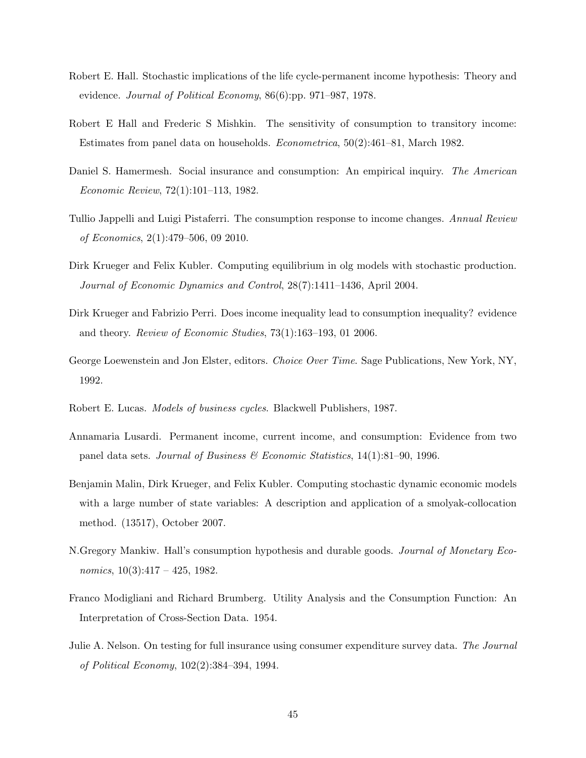- Robert E. Hall. Stochastic implications of the life cycle-permanent income hypothesis: Theory and evidence. Journal of Political Economy, 86(6):pp. 971–987, 1978.
- Robert E Hall and Frederic S Mishkin. The sensitivity of consumption to transitory income: Estimates from panel data on households. Econometrica, 50(2):461–81, March 1982.
- Daniel S. Hamermesh. Social insurance and consumption: An empirical inquiry. The American Economic Review, 72(1):101–113, 1982.
- Tullio Jappelli and Luigi Pistaferri. The consumption response to income changes. Annual Review of Economics, 2(1):479–506, 09 2010.
- Dirk Krueger and Felix Kubler. Computing equilibrium in olg models with stochastic production. Journal of Economic Dynamics and Control, 28(7):1411–1436, April 2004.
- Dirk Krueger and Fabrizio Perri. Does income inequality lead to consumption inequality? evidence and theory. Review of Economic Studies, 73(1):163–193, 01 2006.
- George Loewenstein and Jon Elster, editors. Choice Over Time. Sage Publications, New York, NY, 1992.
- Robert E. Lucas. Models of business cycles. Blackwell Publishers, 1987.
- Annamaria Lusardi. Permanent income, current income, and consumption: Evidence from two panel data sets. Journal of Business & Economic Statistics,  $14(1):81-90$ , 1996.
- Benjamin Malin, Dirk Krueger, and Felix Kubler. Computing stochastic dynamic economic models with a large number of state variables: A description and application of a smolyak-collocation method. (13517), October 2007.
- N.Gregory Mankiw. Hall's consumption hypothesis and durable goods. Journal of Monetary Economics,  $10(3):417 - 425$ , 1982.
- Franco Modigliani and Richard Brumberg. Utility Analysis and the Consumption Function: An Interpretation of Cross-Section Data. 1954.
- Julie A. Nelson. On testing for full insurance using consumer expenditure survey data. The Journal of Political Economy, 102(2):384–394, 1994.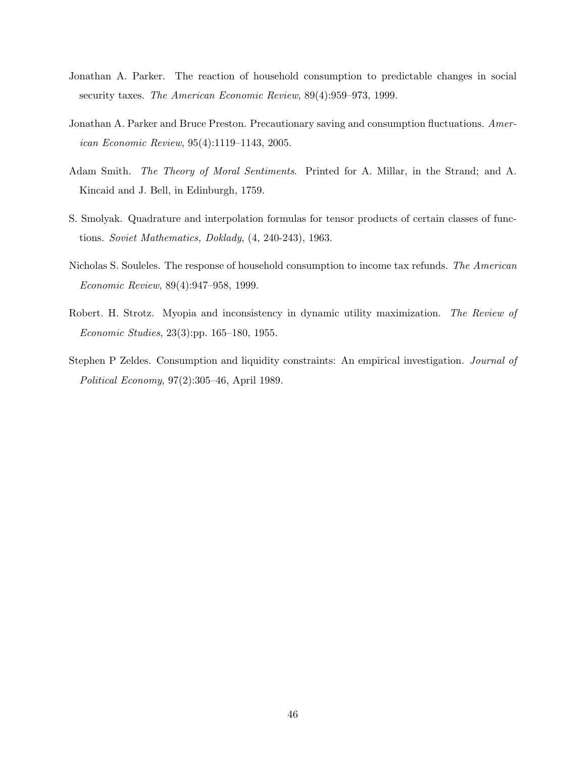- Jonathan A. Parker. The reaction of household consumption to predictable changes in social security taxes. The American Economic Review, 89(4):959–973, 1999.
- Jonathan A. Parker and Bruce Preston. Precautionary saving and consumption fluctuations. American Economic Review, 95(4):1119–1143, 2005.
- Adam Smith. The Theory of Moral Sentiments. Printed for A. Millar, in the Strand; and A. Kincaid and J. Bell, in Edinburgh, 1759.
- S. Smolyak. Quadrature and interpolation formulas for tensor products of certain classes of functions. Soviet Mathematics, Doklady, (4, 240-243), 1963.
- Nicholas S. Souleles. The response of household consumption to income tax refunds. The American Economic Review, 89(4):947–958, 1999.
- Robert. H. Strotz. Myopia and inconsistency in dynamic utility maximization. The Review of Economic Studies, 23(3):pp. 165–180, 1955.
- Stephen P Zeldes. Consumption and liquidity constraints: An empirical investigation. Journal of Political Economy, 97(2):305–46, April 1989.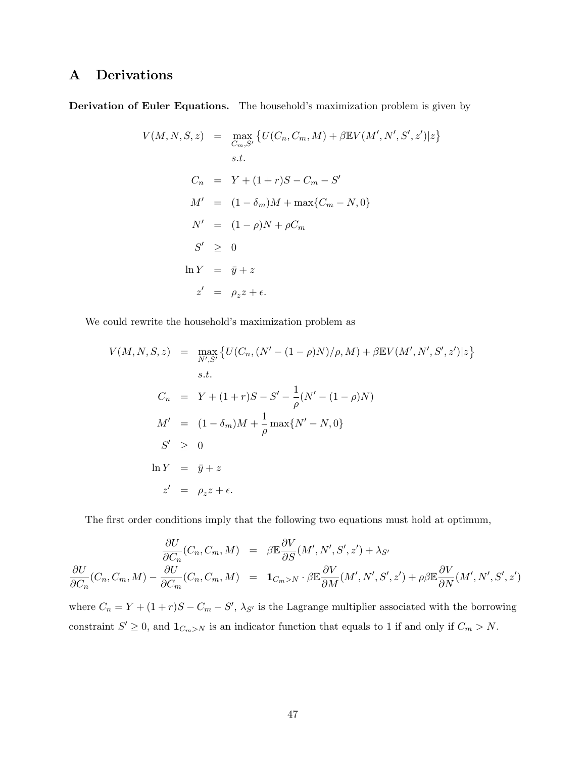# A Derivations

Derivation of Euler Equations. The household's maximization problem is given by

$$
V(M, N, S, z) = \max_{C_m, S'} \{ U(C_n, C_m, M) + \beta \mathbb{E} V(M', N', S', z') | z \}
$$
  
s.t.  

$$
C_n = Y + (1 + r)S - C_m - S'
$$

$$
M' = (1 - \delta_m)M + \max\{C_m - N, 0\}
$$

$$
N' = (1 - \rho)N + \rho C_m
$$

$$
S' \ge 0
$$

$$
\ln Y = \bar{y} + z
$$

$$
z' = \rho_z z + \epsilon.
$$

We could rewrite the household's maximization problem as

$$
V(M, N, S, z) = \max_{N', S'} \{ U(C_n, (N' - (1 - \rho)N)/\rho, M) + \beta \mathbb{E}V(M', N', S', z') | z \}
$$
  
s.t.  

$$
C_n = Y + (1 + r)S - S' - \frac{1}{\rho}(N' - (1 - \rho)N)
$$
  

$$
M' = (1 - \delta_m)M + \frac{1}{\rho} \max\{N' - N, 0\}
$$
  

$$
S' \geq 0
$$
  

$$
\ln Y = \bar{y} + z
$$
  

$$
z' = \rho_z z + \epsilon.
$$

The first order conditions imply that the following two equations must hold at optimum,

$$
\frac{\partial U}{\partial C_n}(C_n, C_m, M) = \beta \mathbb{E} \frac{\partial V}{\partial S}(M', N', S', z') + \lambda_{S'}
$$
\n
$$
\frac{\partial U}{\partial C_n}(C_n, C_m, M) - \frac{\partial U}{\partial C_m}(C_n, C_m, M) = \mathbf{1}_{C_m > N} \cdot \beta \mathbb{E} \frac{\partial V}{\partial M}(M', N', S', z') + \rho \beta \mathbb{E} \frac{\partial V}{\partial N}(M', N', S', z')
$$

where  $C_n = Y + (1+r)S - C_m - S'$ ,  $\lambda_{S'}$  is the Lagrange multiplier associated with the borrowing constraint  $S' \geq 0$ , and  $\mathbf{1}_{C_m > N}$  is an indicator function that equals to 1 if and only if  $C_m > N$ .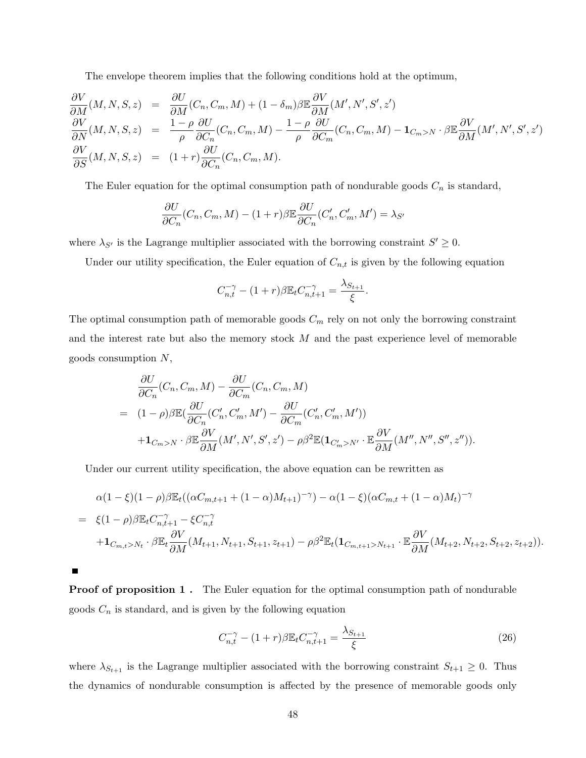The envelope theorem implies that the following conditions hold at the optimum,

$$
\frac{\partial V}{\partial M}(M, N, S, z) = \frac{\partial U}{\partial M}(C_n, C_m, M) + (1 - \delta_m)\beta \mathbb{E} \frac{\partial V}{\partial M}(M', N', S', z')
$$
\n
$$
\frac{\partial V}{\partial N}(M, N, S, z) = \frac{1 - \rho}{\rho} \frac{\partial U}{\partial C_n}(C_n, C_m, M) - \frac{1 - \rho}{\rho} \frac{\partial U}{\partial C_m}(C_n, C_m, M) - \mathbf{1}_{C_m > N} \cdot \beta \mathbb{E} \frac{\partial V}{\partial M}(M', N', S', z')
$$
\n
$$
\frac{\partial V}{\partial S}(M, N, S, z) = (1 + r) \frac{\partial U}{\partial C_n}(C_n, C_m, M).
$$

The Euler equation for the optimal consumption path of nondurable goods  $C_n$  is standard,

$$
\frac{\partial U}{\partial C_n}(C_n, C_m, M) - (1+r)\beta \mathbb{E}\frac{\partial U}{\partial C_n}(C'_n, C'_m, M') = \lambda_{S'}
$$

where  $\lambda_{S'}$  is the Lagrange multiplier associated with the borrowing constraint  $S' \geq 0$ .

Under our utility specification, the Euler equation of  $C_{n,t}$  is given by the following equation

$$
C_{n,t}^{-\gamma} - (1+r)\beta \mathbb{E}_t C_{n,t+1}^{-\gamma} = \frac{\lambda_{S_{t+1}}}{\xi}.
$$

The optimal consumption path of memorable goods  $C_m$  rely on not only the borrowing constraint and the interest rate but also the memory stock  $M$  and the past experience level of memorable goods consumption N,

$$
\frac{\partial U}{\partial C_n}(C_n, C_m, M) - \frac{\partial U}{\partial C_m}(C_n, C_m, M)
$$
\n
$$
= (1 - \rho)\beta \mathbb{E}(\frac{\partial U}{\partial C_n}(C'_n, C'_m, M') - \frac{\partial U}{\partial C_m}(C'_n, C'_m, M'))
$$
\n
$$
+ \mathbf{1}_{C_m > N} \cdot \beta \mathbb{E} \frac{\partial V}{\partial M}(M', N', S', z') - \rho \beta^2 \mathbb{E}(\mathbf{1}_{C'_m > N'} \cdot \mathbb{E} \frac{\partial V}{\partial M}(M'', N'', S'', z'')).
$$

Under our current utility specification, the above equation can be rewritten as

$$
\alpha(1-\xi)(1-\rho)\beta \mathbb{E}_t((\alpha C_{m,t+1} + (1-\alpha)M_{t+1})^{-\gamma}) - \alpha(1-\xi)(\alpha C_{m,t} + (1-\alpha)M_t)^{-\gamma}
$$
\n
$$
= \xi(1-\rho)\beta \mathbb{E}_t C_{n,t+1}^{-\gamma} - \xi C_{n,t}^{-\gamma}
$$
\n
$$
+ \mathbf{1}_{C_{m,t}>N_t} \cdot \beta \mathbb{E}_t \frac{\partial V}{\partial M}(M_{t+1}, N_{t+1}, S_{t+1}, z_{t+1}) - \rho \beta^2 \mathbb{E}_t(\mathbf{1}_{C_{m,t+1}>N_{t+1}} \cdot \mathbb{E} \frac{\partial V}{\partial M}(M_{t+2}, N_{t+2}, S_{t+2}, z_{t+2})).
$$

 $\blacksquare$ 

Proof of proposition 1. The Euler equation for the optimal consumption path of nondurable goods  $C_n$  is standard, and is given by the following equation

$$
C_{n,t}^{-\gamma} - (1+r)\beta \mathbb{E}_t C_{n,t+1}^{-\gamma} = \frac{\lambda_{S_{t+1}}}{\xi} \tag{26}
$$

where  $\lambda_{S_{t+1}}$  is the Lagrange multiplier associated with the borrowing constraint  $S_{t+1} \geq 0$ . Thus the dynamics of nondurable consumption is affected by the presence of memorable goods only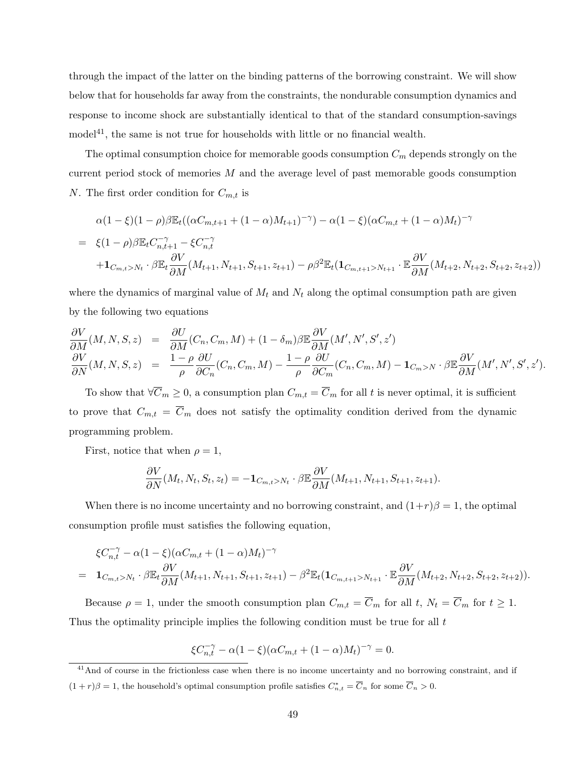through the impact of the latter on the binding patterns of the borrowing constraint. We will show below that for households far away from the constraints, the nondurable consumption dynamics and response to income shock are substantially identical to that of the standard consumption-savings  $\text{model}^{41}$ , the same is not true for households with little or no financial wealth.

The optimal consumption choice for memorable goods consumption  $C_m$  depends strongly on the current period stock of memories  $M$  and the average level of past memorable goods consumption N. The first order condition for  $C_{m,t}$  is

$$
\alpha(1-\xi)(1-\rho)\beta \mathbb{E}_t((\alpha C_{m,t+1} + (1-\alpha)M_{t+1})^{-\gamma}) - \alpha(1-\xi)(\alpha C_{m,t} + (1-\alpha)M_t)^{-\gamma}
$$
  
=  $\xi(1-\rho)\beta \mathbb{E}_t C_{n,t+1}^{-\gamma} - \xi C_{n,t}^{-\gamma}$   
+  $1_{C_{m,t}>N_t} \cdot \beta \mathbb{E}_t \frac{\partial V}{\partial M}(M_{t+1}, N_{t+1}, S_{t+1}, z_{t+1}) - \rho \beta^2 \mathbb{E}_t (1_{C_{m,t+1}>N_{t+1}} \cdot \mathbb{E} \frac{\partial V}{\partial M}(M_{t+2}, N_{t+2}, S_{t+2}, z_{t+2}))$ 

where the dynamics of marginal value of  $M_t$  and  $N_t$  along the optimal consumption path are given by the following two equations

$$
\frac{\partial V}{\partial M}(M, N, S, z) = \frac{\partial U}{\partial M}(C_n, C_m, M) + (1 - \delta_m)\beta \mathbb{E} \frac{\partial V}{\partial M}(M', N', S', z')
$$
\n
$$
\frac{\partial V}{\partial N}(M, N, S, z) = \frac{1 - \rho}{\rho} \frac{\partial U}{\partial C_n}(C_n, C_m, M) - \frac{1 - \rho}{\rho} \frac{\partial U}{\partial C_m}(C_n, C_m, M) - \mathbf{1}_{C_m > N} \cdot \beta \mathbb{E} \frac{\partial V}{\partial M}(M', N', S', z').
$$

To show that  $\forall \overline{C}_m \geq 0$ , a consumption plan  $C_{m,t} = \overline{C}_m$  for all t is never optimal, it is sufficient to prove that  $C_{m,t} = \overline{C}_m$  does not satisfy the optimality condition derived from the dynamic programming problem.

First, notice that when  $\rho = 1$ ,

$$
\frac{\partial V}{\partial N}(M_t, N_t, S_t, z_t) = -\mathbf{1}_{C_{m,t} > N_t} \cdot \beta \mathbb{E} \frac{\partial V}{\partial M}(M_{t+1}, N_{t+1}, S_{t+1}, z_{t+1}).
$$

When there is no income uncertainty and no borrowing constraint, and  $(1+r)\beta = 1$ , the optimal consumption profile must satisfies the following equation,

$$
\xi C_{n,t}^{-\gamma} - \alpha (1 - \xi) (\alpha C_{m,t} + (1 - \alpha) M_t)^{-\gamma}
$$
\n
$$
= \mathbf{1}_{C_{m,t} > N_t} \cdot \beta \mathbb{E}_t \frac{\partial V}{\partial M} (M_{t+1}, N_{t+1}, S_{t+1}, z_{t+1}) - \beta^2 \mathbb{E}_t (\mathbf{1}_{C_{m,t+1} > N_{t+1}} \cdot \mathbb{E} \frac{\partial V}{\partial M} (M_{t+2}, N_{t+2}, S_{t+2}, z_{t+2})).
$$

Because  $\rho = 1$ , under the smooth consumption plan  $C_{m,t} = \overline{C}_m$  for all t,  $N_t = \overline{C}_m$  for  $t \ge 1$ . Thus the optimality principle implies the following condition must be true for all t

$$
\xi C_{n,t}^{-\gamma} - \alpha (1 - \xi) (\alpha C_{m,t} + (1 - \alpha) M_t)^{-\gamma} = 0.
$$

<sup>&</sup>lt;sup>41</sup>And of course in the frictionless case when there is no income uncertainty and no borrowing constraint, and if  $(1+r)\beta = 1$ , the household's optimal consumption profile satisfies  $C_{n,t}^* = \overline{C}_n$  for some  $\overline{C}_n > 0$ .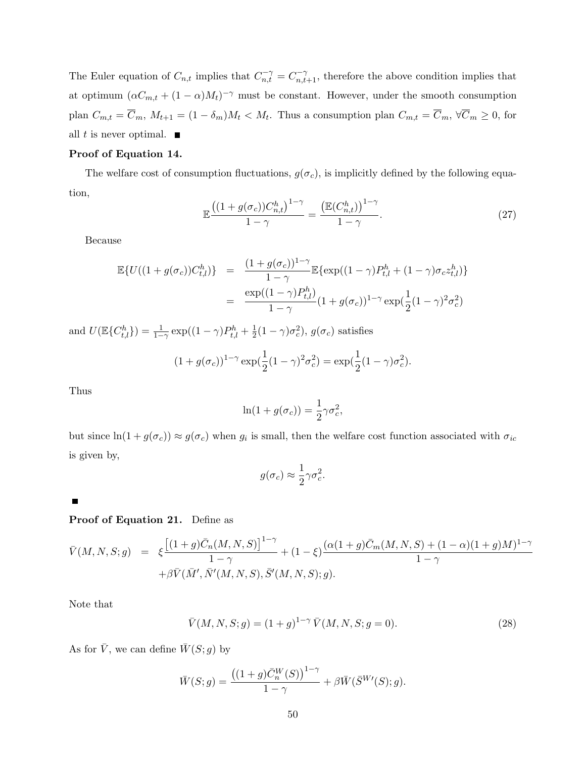The Euler equation of  $C_{n,t}$  implies that  $C_{n,t}^{-\gamma} = C_{n,t+1}^{-\gamma}$ , therefore the above condition implies that at optimum  $(\alpha C_{m,t} + (1 - \alpha)M_t)^{-\gamma}$  must be constant. However, under the smooth consumption plan  $C_{m,t} = \overline{C}_m$ ,  $M_{t+1} = (1 - \delta_m)M_t < M_t$ . Thus a consumption plan  $C_{m,t} = \overline{C}_m$ ,  $\forall \overline{C}_m \geq 0$ , for all t is never optimal.  $\blacksquare$ 

### Proof of Equation 14.

The welfare cost of consumption fluctuations,  $g(\sigma_c)$ , is implicitly defined by the following equation,

$$
\mathbb{E}\frac{\left((1+g(\sigma_c))C_{n,t}^h\right)^{1-\gamma}}{1-\gamma} = \frac{\left(\mathbb{E}(C_{n,t}^h)\right)^{1-\gamma}}{1-\gamma}.\tag{27}
$$

Because

$$
\mathbb{E}\{U((1+g(\sigma_c))C_{t,l}^h)\} = \frac{(1+g(\sigma_c))^{1-\gamma}}{1-\gamma}\mathbb{E}\{\exp((1-\gamma)P_{t,l}^h + (1-\gamma)\sigma_c z_{t,l}^h)\}
$$
  

$$
= \frac{\exp((1-\gamma)P_{t,l}^h)}{1-\gamma}(1+g(\sigma_c))^{1-\gamma}\exp(\frac{1}{2}(1-\gamma)^2\sigma_c^2)
$$

and  $U(\mathbb{E}\{C_{t,l}^h\}) = \frac{1}{1-\gamma} \exp((1-\gamma)P_{t,l}^h + \frac{1}{2})$  $\frac{1}{2}(1-\gamma)\sigma_c^2$ ,  $g(\sigma_c)$  satisfies

$$
(1 + g(\sigma_c))^{1-\gamma} \exp(\frac{1}{2}(1-\gamma)^2 \sigma_c^2) = \exp(\frac{1}{2}(1-\gamma)\sigma_c^2).
$$

Thus

$$
\ln(1+g(\sigma_c))=\frac{1}{2}\gamma\sigma_c^2,
$$

but since  $ln(1 + g(\sigma_c)) \approx g(\sigma_c)$  when  $g_i$  is small, then the welfare cost function associated with  $\sigma_{ic}$ is given by,

$$
g(\sigma_c) \approx \frac{1}{2} \gamma \sigma_c^2.
$$

 $\blacksquare$ 

## Proof of Equation 21. Define as

$$
\bar{V}(M,N,S;g) = \xi \frac{\left[ (1+g)\bar{C}_n(M,N,S) \right]^{1-\gamma}}{1-\gamma} + (1-\xi) \frac{(\alpha(1+g)\bar{C}_m(M,N,S) + (1-\alpha)(1+g)M)^{1-\gamma}}{1-\gamma} + \beta \bar{V}(\bar{M}',\bar{N}'(M,N,S),\bar{S}'(M,N,S);g).
$$

Note that

$$
\bar{V}(M, N, S; g) = (1+g)^{1-\gamma} \bar{V}(M, N, S; g = 0).
$$
\n(28)

As for  $\overline{V}$ , we can define  $\overline{W}(S; g)$  by

$$
\overline{W}(S; g) = \frac{((1+g)\overline{C}_{n}^{W}(S))^{1-\gamma}}{1-\gamma} + \beta \overline{W}(\overline{S}^{W\prime}(S); g).
$$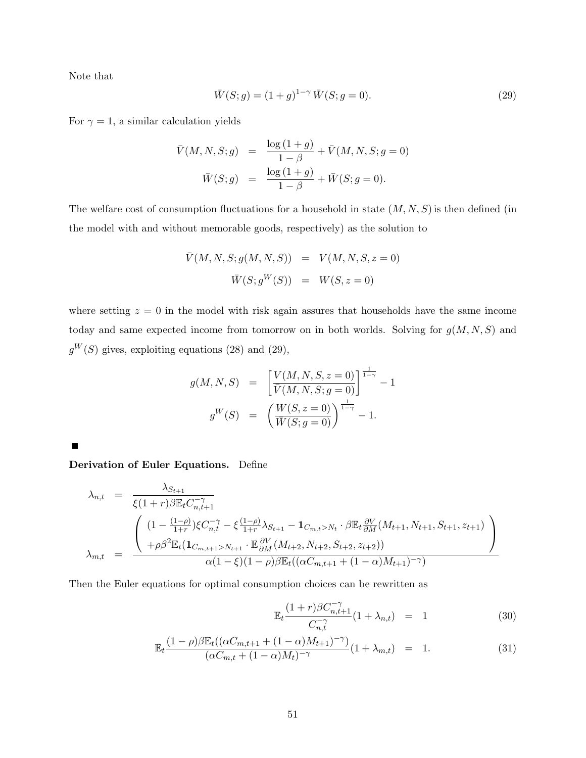Note that

$$
\bar{W}(S; g) = (1+g)^{1-\gamma} \bar{W}(S; g = 0).
$$
\n(29)

For  $\gamma = 1$ , a similar calculation yields

$$
\bar{V}(M, N, S; g) = \frac{\log (1+g)}{1-\beta} + \bar{V}(M, N, S; g = 0)
$$

$$
\bar{W}(S; g) = \frac{\log (1+g)}{1-\beta} + \bar{W}(S; g = 0).
$$

The welfare cost of consumption fluctuations for a household in state  $(M, N, S)$  is then defined (in the model with and without memorable goods, respectively) as the solution to

$$
\bar{V}(M, N, S; g(M, N, S)) = V(M, N, S, z = 0) \n\bar{W}(S; g^{W}(S)) = W(S, z = 0)
$$

where setting  $z = 0$  in the model with risk again assures that households have the same income today and same expected income from tomorrow on in both worlds. Solving for  $g(M, N, S)$  and  $g^W(S)$  gives, exploiting equations (28) and (29),

$$
g(M, N, S) = \left[\frac{V(M, N, S, z = 0)}{\overline{V}(M, N, S; g = 0)}\right]^{\frac{1}{1 - \gamma}} - 1
$$
  

$$
g^{W}(S) = \left(\frac{W(S, z = 0)}{\overline{W}(S; g = 0)}\right)^{\frac{1}{1 - \gamma}} - 1.
$$

 $\blacksquare$ 

Derivation of Euler Equations. Define

$$
\lambda_{n,t} = \frac{\lambda_{S_{t+1}}}{\xi(1+r)\beta \mathbb{E}_{t} C_{n,t+1}^{-\gamma}} \left( \frac{(1-\frac{(1-\rho)}{1+r})\xi C_{n,t}^{-\gamma} - \xi \frac{(1-\rho)}{1+r} \lambda_{S_{t+1}} - \mathbf{1}_{C_{m,t} > N_t} \cdot \beta \mathbb{E}_{t} \frac{\partial V}{\partial M}(M_{t+1}, N_{t+1}, S_{t+1}, z_{t+1})}{\phi \beta^{2} \mathbb{E}_{t} (\mathbf{1}_{C_{m,t+1} > N_{t+1}} \cdot \mathbb{E} \frac{\partial V}{\partial M}(M_{t+2}, N_{t+2}, S_{t+2}, z_{t+2}))} \right)
$$
\n
$$
\lambda_{m,t} = \frac{\lambda_{S_{t+1}}}{\alpha(1-\xi)(1-\rho)\beta \mathbb{E}_{t}((\alpha C_{m,t+1} + (1-\alpha)M_{t+1})^{-\gamma})} \cdot \mathbb{E}_{t} \frac{\partial V}{\partial M}(M_{t+1}, N_{t+1}, S_{t+1}, z_{t+1})}{\phi \left(1 - \xi \right)(1-\rho)\beta \mathbb{E}_{t}((\alpha C_{m,t+1} + (1-\alpha)M_{t+1})^{-\gamma})}.
$$

Then the Euler equations for optimal consumption choices can be rewritten as

$$
\mathbb{E}_{t} \frac{(1+r)\beta C_{n,t+1}^{-\gamma}}{C_{n,t}^{-\gamma}} (1+\lambda_{n,t}) = 1
$$
\n(30)

$$
\mathbb{E}_{t} \frac{(1-\rho)\beta \mathbb{E}_{t}((\alpha C_{m,t+1} + (1-\alpha)M_{t+1})^{-\gamma})}{(\alpha C_{m,t} + (1-\alpha)M_{t})^{-\gamma}}(1+\lambda_{m,t}) = 1.
$$
\n(31)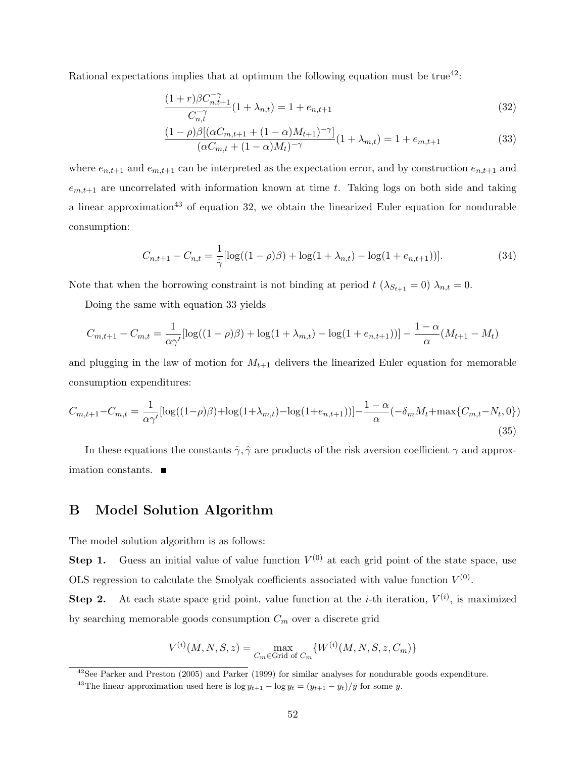Rational expectations implies that at optimum the following equation must be  $true^{42}$ .

$$
\frac{(1+r)\beta C_{n,t+1}^{-\gamma}}{C_{n,t}^{-\gamma}}(1+\lambda_{n,t}) = 1 + e_{n,t+1}
$$
\n(32)

$$
\frac{(1-\rho)\beta[(\alpha C_{m,t+1} + (1-\alpha)M_{t+1})^{-\gamma}]}{(\alpha C_{m,t} + (1-\alpha)M_t)^{-\gamma}}(1+\lambda_{m,t}) = 1 + e_{m,t+1}
$$
(33)

where  $e_{n,t+1}$  and  $e_{m,t+1}$  can be interpreted as the expectation error, and by construction  $e_{n,t+1}$  and  $e_{m,t+1}$  are uncorrelated with information known at time t. Taking logs on both side and taking a linear approximation<sup>43</sup> of equation 32, we obtain the linearized Euler equation for nondurable consumption:

$$
C_{n,t+1} - C_{n,t} = \frac{1}{\tilde{\gamma}} [\log((1-\rho)\beta) + \log(1+\lambda_{n,t}) - \log(1+e_{n,t+1}))].
$$
\n(34)

Note that when the borrowing constraint is not binding at period  $t$  ( $\lambda_{S_{t+1}} = 0$ )  $\lambda_{n,t} = 0$ .

Doing the same with equation 33 yields

$$
C_{m,t+1} - C_{m,t} = \frac{1}{\alpha \gamma'} [\log((1-\rho)\beta) + \log(1+\lambda_{m,t}) - \log(1+e_{n,t+1}))] - \frac{1-\alpha}{\alpha} (M_{t+1} - M_t)
$$

and plugging in the law of motion for  $M_{t+1}$  delivers the linearized Euler equation for memorable consumption expenditures:

$$
C_{m,t+1} - C_{m,t} = \frac{1}{\alpha \gamma'} [\log((1-\rho)\beta) + \log(1+\lambda_{m,t}) - \log(1+e_{n,t+1}))] - \frac{1-\alpha}{\alpha} (-\delta_m M_t + \max\{C_{m,t} - N_t, 0\})
$$
\n(35)

In these equations the constants  $\tilde{\gamma}, \hat{\gamma}$  are products of the risk aversion coefficient  $\gamma$  and approximation constants.

## B Model Solution Algorithm

The model solution algorithm is as follows:

**Step 1.** Guess an initial value of value function  $V^{(0)}$  at each grid point of the state space, use OLS regression to calculate the Smolyak coefficients associated with value function  $V^{(0)}$ .

**Step 2.** At each state space grid point, value function at the *i*-th iteration,  $V^{(i)}$ , is maximized by searching memorable goods consumption  $C_m$  over a discrete grid

$$
V^{(i)}(M, N, S, z) = \max_{C_m \in \text{Grid of } C_m} \{W^{(i)}(M, N, S, z, C_m)\}\
$$

 $42$ See Parker and Preston (2005) and Parker (1999) for similar analyses for nondurable goods expenditure.

<sup>&</sup>lt;sup>43</sup>The linear approximation used here is  $\log y_{t+1} - \log y_t = (y_{t+1} - y_t)/\bar{y}$  for some  $\bar{y}$ .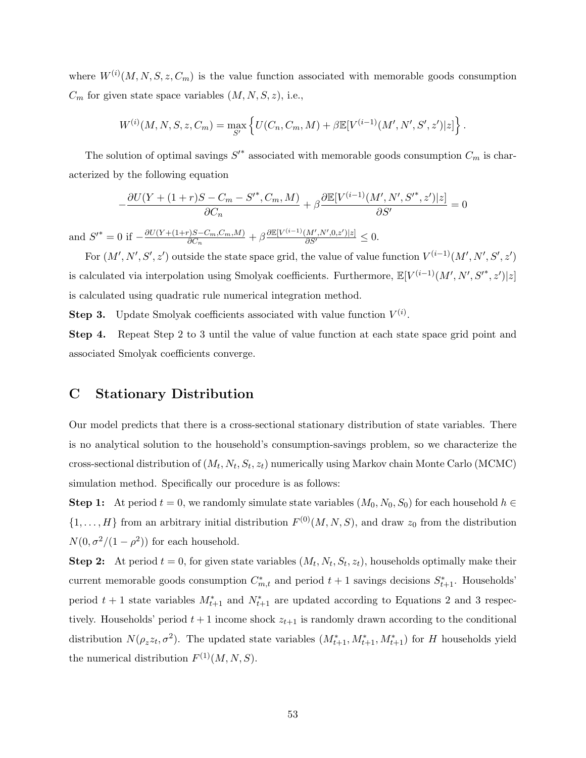where  $W^{(i)}(M, N, S, z, C_m)$  is the value function associated with memorable goods consumption  $C_m$  for given state space variables  $(M, N, S, z)$ , i.e.,

$$
W^{(i)}(M, N, S, z, C_m) = \max_{S'} \left\{ U(C_n, C_m, M) + \beta \mathbb{E}[V^{(i-1)}(M', N', S', z')]z] \right\}.
$$

The solution of optimal savings  $S'^*$  associated with memorable goods consumption  $C_m$  is characterized by the following equation

$$
-\frac{\partial U(Y + (1+r)S - C_m - S'^*, C_m, M)}{\partial C_n} + \beta \frac{\partial \mathbb{E}[V^{(i-1)}(M', N', S'^*, z')]z]}{\partial S'} = 0
$$

and  $S^{\prime*} = 0$  if  $-\frac{\partial U(Y + (1+r)S - C_m, C_m, M)}{\partial C_n}$  $\frac{\partial \Theta}{\partial C_n} + \beta \frac{\partial \mathbb{E}[V^{(i-1)}(M',N',0,z')]z]}{\partial S'} \leq 0.$ 

For  $(M', N', S', z')$  outside the state space grid, the value of value function  $V^{(i-1)}(M', N', S', z')$ is calculated via interpolation using Smolyak coefficients. Furthermore,  $\mathbb{E}[V^{(i-1)}(M',N',S'^*,z')|z]$ is calculated using quadratic rule numerical integration method.

**Step 3.** Update Smolyak coefficients associated with value function  $V^{(i)}$ .

Step 4. Repeat Step 2 to 3 until the value of value function at each state space grid point and associated Smolyak coefficients converge.

## C Stationary Distribution

Our model predicts that there is a cross-sectional stationary distribution of state variables. There is no analytical solution to the household's consumption-savings problem, so we characterize the cross-sectional distribution of  $(M_t, N_t, S_t, z_t)$  numerically using Markov chain Monte Carlo (MCMC) simulation method. Specifically our procedure is as follows:

Step 1: At period  $t = 0$ , we randomly simulate state variables  $(M_0, N_0, S_0)$  for each household  $h \in$  $\{1,\ldots,H\}$  from an arbitrary initial distribution  $F^{(0)}(M,N,S)$ , and draw  $z_0$  from the distribution  $N(0, \sigma^2/(1-\rho^2))$  for each household.

**Step 2:** At period  $t = 0$ , for given state variables  $(M_t, N_t, S_t, z_t)$ , households optimally make their current memorable goods consumption  $C_{m,t}^*$  and period  $t+1$  savings decisions  $S_{t+1}^*$ . Households' period  $t + 1$  state variables  $M_{t+1}^*$  and  $N_{t+1}^*$  are updated according to Equations 2 and 3 respectively. Households' period  $t + 1$  income shock  $z_{t+1}$  is randomly drawn according to the conditional distribution  $N(\rho_z z_t, \sigma^2)$ . The updated state variables  $(M^*_{t+1}, M^*_{t+1}, M^*_{t+1})$  for H households yield the numerical distribution  $F^{(1)}(M, N, S)$ .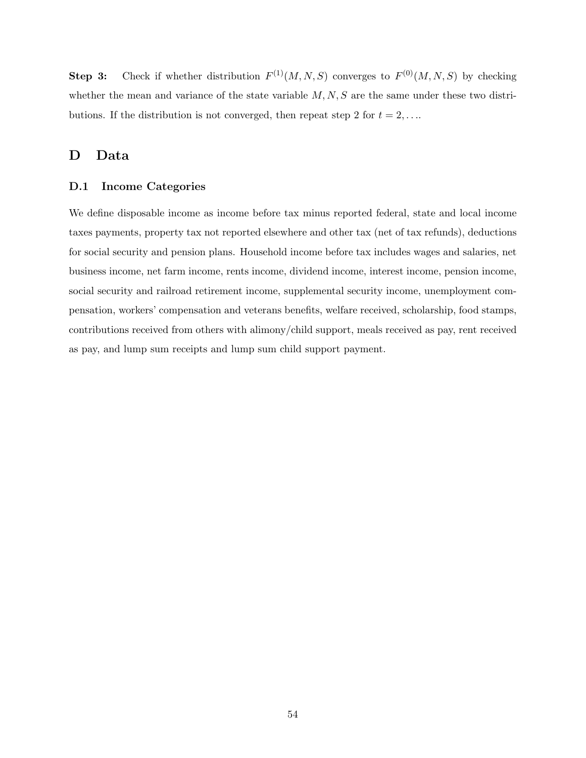**Step 3:** Check if whether distribution  $F^{(1)}(M, N, S)$  converges to  $F^{(0)}(M, N, S)$  by checking whether the mean and variance of the state variable  $M, N, S$  are the same under these two distributions. If the distribution is not converged, then repeat step 2 for  $t = 2, \ldots$ 

## D Data

### D.1 Income Categories

We define disposable income as income before tax minus reported federal, state and local income taxes payments, property tax not reported elsewhere and other tax (net of tax refunds), deductions for social security and pension plans. Household income before tax includes wages and salaries, net business income, net farm income, rents income, dividend income, interest income, pension income, social security and railroad retirement income, supplemental security income, unemployment compensation, workers' compensation and veterans benefits, welfare received, scholarship, food stamps, contributions received from others with alimony/child support, meals received as pay, rent received as pay, and lump sum receipts and lump sum child support payment.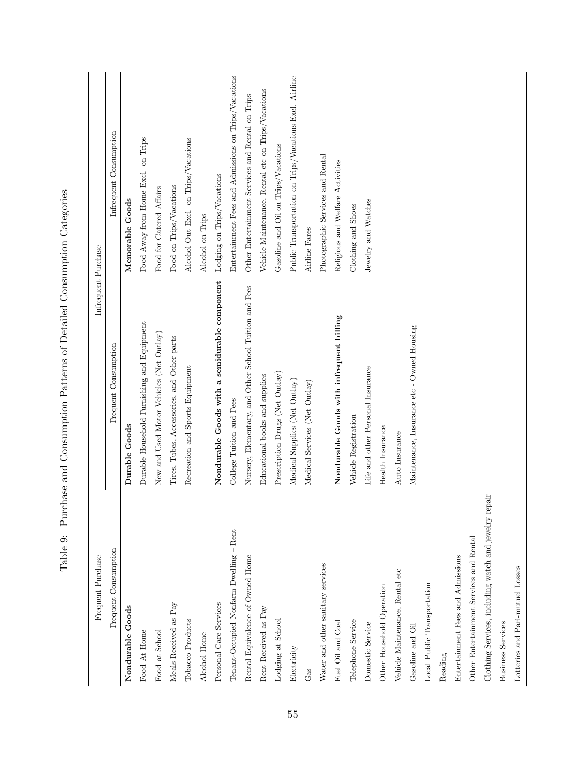| Frequent Purchase                                     | Infrequent Purchase                                    |                                                        |
|-------------------------------------------------------|--------------------------------------------------------|--------------------------------------------------------|
| Frequent Consumption                                  | Frequent Consumption                                   | Infrequent Consumption                                 |
| Nondurable Goods                                      | Durable Goods                                          | Memorable Goods                                        |
| Food At Home                                          | Durable Household Furnishing and Equipment             | Food Away from Home Excl. on Trips                     |
| Food at School                                        | New and Used Motor Vehicles (Net Outlay)               | Food for Catered Affairs                               |
| Meals Received as Pay                                 | Tires, Tubes, Accessories, and Other parts             | Food on Trips/Vacations                                |
| Tobacco Products                                      | Recreation and Sports Equipment                        | Alcohol Out Excl. on Trips/Vacations                   |
| Alcohol Home                                          |                                                        | Alcohol on Trips                                       |
| Personal Care Services                                | Nondurable Goods with a semidurable component          | Lodging on Trips/Vacations                             |
| Tenant-Occupied Nonfarm Dwelling - Rent               | College Tuition and Fees                               | Entertainment Fees and Admissions on Trips/Vacations   |
| Rental Equivalence of Owned Home                      | Nursery, Elementary, and Other School Tuition and Fees | Other Entertainment Services and Rental on Trips       |
| Rent Received as Pay                                  | Educational books and supplies                         | Vehicle Maintenance, Rental etc on Trips/Vacations     |
| Lodging at School                                     | Prescription Drugs (Net Outlay)                        | Gasoline and Oil on Trips/Vacations                    |
| Electricity                                           | Medical Supplies (Net Outlay)                          | Public Transportation on Trips/Vacations Excl. Airline |
| Gas                                                   | Medical Services (Net Outlay)                          | Airline Fares                                          |
| Water and other sanitary services                     |                                                        | Photographic Services and Rental                       |
| Fuel Oil and Coal                                     | Nondurable Goods with infrequent billing               | Religious and Welfare Activities                       |
| Telephone Service                                     | Vehicle Registration                                   | Clothing and Shoes                                     |
| Domestic Service                                      | Life and other Personal Insurance                      | Jewelry and Watches                                    |
| Other Household Operation                             | Health Insurance                                       |                                                        |
| Vehicle Maintenance, Rental etc                       | Auto Insurance                                         |                                                        |
| Gasoline and Oil                                      | Maintenance, Insurance etc - Owned Housing             |                                                        |
| Local Public Transportation                           |                                                        |                                                        |
| Reading                                               |                                                        |                                                        |
| Entertainment Fees and Admissions                     |                                                        |                                                        |
| Other Entertainment Services and Rental               |                                                        |                                                        |
| Clothing Services, including watch and jewelry repair |                                                        |                                                        |
| <b>Business Services</b>                              |                                                        |                                                        |

Table 9: Purchase and Consumption Patterns of Detailed Consumption Categories Table 9: Purchase and Consumption Patterns of Detailed Consumption Categories

Lotteries and Pari-mutuel Losses

Lotteries and Pari-mutuel Losses  $\overline{\phantom{0}}$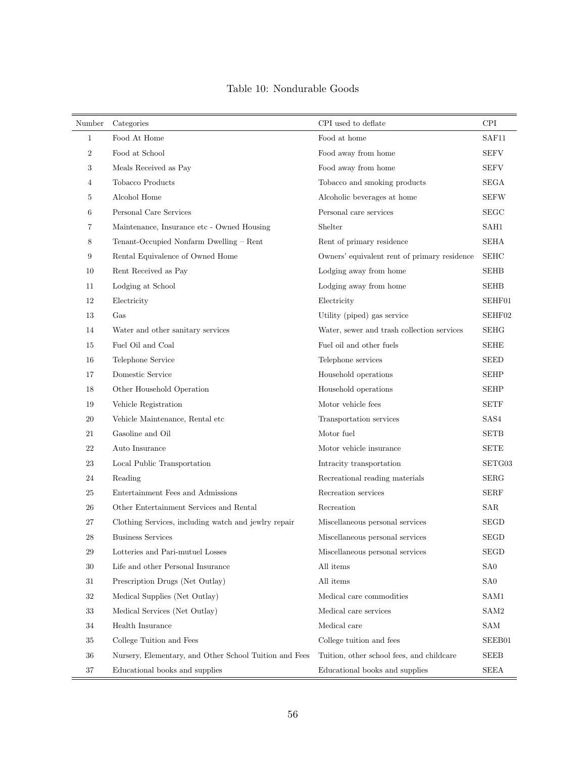| Number           | Categories                                             | CPI used to deflate                          | <b>CPI</b>      |
|------------------|--------------------------------------------------------|----------------------------------------------|-----------------|
| $\mathbf{1}$     | Food At Home                                           | Food at home                                 | SAF11           |
| $\boldsymbol{2}$ | Food at School                                         | Food away from home                          | <b>SEFV</b>     |
| 3                | Meals Received as Pay                                  | Food away from home                          | SEFV            |
| 4                | Tobacco Products                                       | Tobacco and smoking products                 | <b>SEGA</b>     |
| 5                | Alcohol Home                                           | Alcoholic beverages at home                  | <b>SEFW</b>     |
| 6                | Personal Care Services                                 | Personal care services                       | <b>SEGC</b>     |
| 7                | Maintenance, Insurance etc - Owned Housing             | Shelter                                      | SAH1            |
| 8                | Tenant-Occupied Nonfarm Dwelling - Rent                | Rent of primary residence                    | SEHA            |
| 9                | Rental Equivalence of Owned Home                       | Owners' equivalent rent of primary residence | <b>SEHC</b>     |
| 10               | Rent Received as Pay                                   | Lodging away from home                       | <b>SEHB</b>     |
| 11               | Lodging at School                                      | Lodging away from home                       | <b>SEHB</b>     |
| 12               | Electricity                                            | Electricity                                  | SEHF01          |
| 13               | Gas                                                    | Utility (piped) gas service                  | SEHF02          |
| 14               | Water and other sanitary services                      | Water, sewer and trash collection services   | <b>SEHG</b>     |
| 15               | Fuel Oil and Coal                                      | Fuel oil and other fuels                     | <b>SEHE</b>     |
| 16               | Telephone Service                                      | Telephone services                           | <b>SEED</b>     |
| 17               | Domestic Service                                       | Household operations                         | <b>SEHP</b>     |
| 18               | Other Household Operation                              | Household operations                         | <b>SEHP</b>     |
| 19               | Vehicle Registration                                   | Motor vehicle fees                           | <b>SETF</b>     |
| 20               | Vehicle Maintenance, Rental etc                        | Transportation services                      | SAS4            |
| 21               | Gasoline and Oil                                       | Motor fuel                                   | <b>SETB</b>     |
| 22               | Auto Insurance                                         | Motor vehicle insurance                      | <b>SETE</b>     |
| 23               | Local Public Transportation                            | Intracity transportation                     | SETG03          |
| 24               | Reading                                                | Recreational reading materials               | SERG            |
| 25               | Entertainment Fees and Admissions                      | Recreation services                          | <b>SERF</b>     |
| 26               | Other Entertainment Services and Rental                | Recreation                                   | SAR             |
| 27               | Clothing Services, including watch and jewlry repair   | Miscellaneous personal services              | <b>SEGD</b>     |
| 28               | <b>Business Services</b>                               | Miscellaneous personal services              | <b>SEGD</b>     |
| 29               | Lotteries and Pari-mutuel Losses                       | Miscellaneous personal services              | <b>SEGD</b>     |
| 30               | Life and other Personal Insurance                      | All items                                    | SA <sub>0</sub> |
| 31               | Prescription Drugs (Net Outlay)                        | All items                                    | SA <sub>0</sub> |
| 32               | Medical Supplies (Net Outlay)                          | Medical care commodities                     | SAM1            |
| 33               | Medical Services (Net Outlay)                          | Medical care services                        | SAM2            |
| 34               | Health Insurance                                       | Medical care                                 | SAM             |
| $35\,$           | College Tuition and Fees                               | College tuition and fees                     | SEEB01          |
| 36               | Nursery, Elementary, and Other School Tuition and Fees | Tuition, other school fees, and childcare    | <b>SEEB</b>     |
| 37               | Educational books and supplies                         | Educational books and supplies               | <b>SEEA</b>     |

## Table 10: Nondurable Goods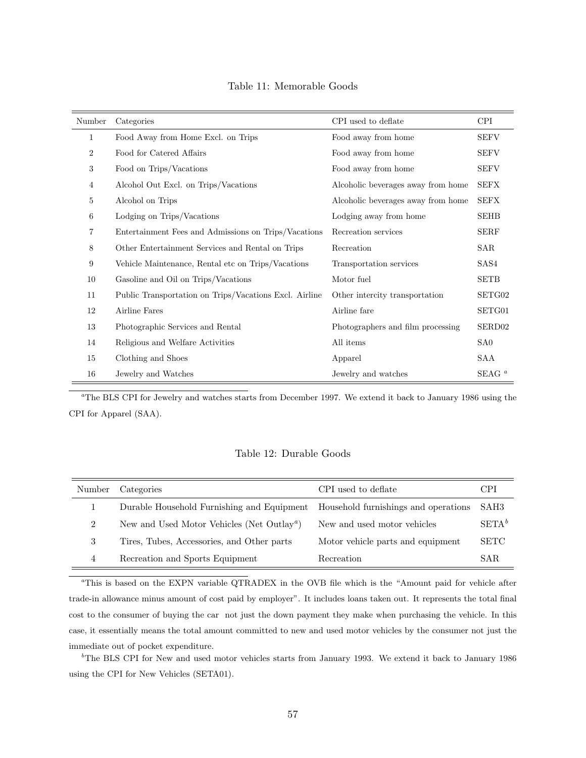| Number           | Categories                                             | CPI used to deflate                | <b>CPI</b>         |
|------------------|--------------------------------------------------------|------------------------------------|--------------------|
| $\mathbf{1}$     | Food Away from Home Excl. on Trips                     | Food away from home                | <b>SEFV</b>        |
| $\boldsymbol{2}$ | Food for Catered Affairs                               | Food away from home                | <b>SEFV</b>        |
| 3                | Food on Trips/Vacations                                | Food away from home                | <b>SEFV</b>        |
| $\overline{4}$   | Alcohol Out Excl. on Trips/Vacations                   | Alcoholic beverages away from home | <b>SEFX</b>        |
| $\overline{5}$   | Alcohol on Trips                                       | Alcoholic beverages away from home | <b>SEFX</b>        |
| 6                | Lodging on Trips/Vacations                             | Lodging away from home             | <b>SEHB</b>        |
| 7                | Entertainment Fees and Admissions on Trips/Vacations   | Recreation services                | <b>SERF</b>        |
| 8                | Other Entertainment Services and Rental on Trips       | Recreation                         | SAR                |
| 9                | Vehicle Maintenance, Rental etc on Trips/Vacations     | Transportation services            | SAS4               |
| 10               | Gasoline and Oil on Trips/Vacations                    | Motor fuel                         | SETB               |
| 11               | Public Transportation on Trips/Vacations Excl. Airline | Other intercity transportation     | SETG02             |
| 12               | Airline Fares                                          | Airline fare                       | SETG01             |
| 13               | Photographic Services and Rental                       | Photographers and film processing  | SERD <sub>02</sub> |
| 14               | Religious and Welfare Activities                       | All items                          | SA <sub>0</sub>    |
| 15               | Clothing and Shoes                                     | Apparel                            | SAA                |
| 16               | Jewelry and Watches                                    | Jewelry and watches                | SEAG $^a$          |

Table 11: Memorable Goods

<sup>a</sup>The BLS CPI for Jewelry and watches starts from December 1997. We extend it back to January 1986 using the CPI for Apparel (SAA).

### Table 12: Durable Goods

| Number         | Categories                                                    | CPI used to deflate                  | CPI         |
|----------------|---------------------------------------------------------------|--------------------------------------|-------------|
|                | Durable Household Furnishing and Equipment                    | Household furnishings and operations | SAH3        |
| $\overline{2}$ | New and Used Motor Vehicles (Net Outlay <sup><i>a</i></sup> ) | New and used motor vehicles          | $SETA^b$    |
| 3              | Tires, Tubes, Accessories, and Other parts                    | Motor vehicle parts and equipment    | <b>SETC</b> |
| 4              | Recreation and Sports Equipment                               | Recreation                           | SAR.        |

<sup>a</sup>This is based on the EXPN variable QTRADEX in the OVB file which is the "Amount paid for vehicle after trade-in allowance minus amount of cost paid by employer". It includes loans taken out. It represents the total final cost to the consumer of buying the car not just the down payment they make when purchasing the vehicle. In this case, it essentially means the total amount committed to new and used motor vehicles by the consumer not just the immediate out of pocket expenditure.

<sup>b</sup>The BLS CPI for New and used motor vehicles starts from January 1993. We extend it back to January 1986 using the CPI for New Vehicles (SETA01).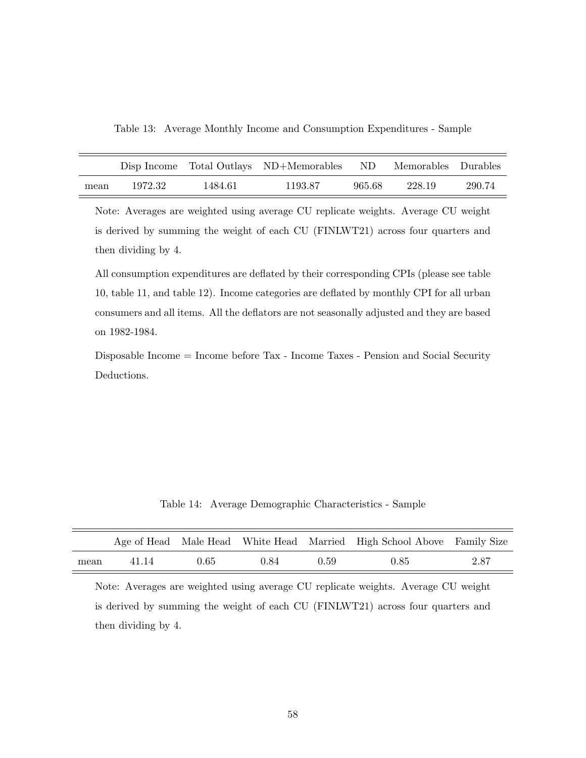Table 13: Average Monthly Income and Consumption Expenditures - Sample

|      |         |         | Disp Income Total Outlays ND+Memorables ND Memorables Durables |        |        |        |
|------|---------|---------|----------------------------------------------------------------|--------|--------|--------|
| mean | 1972.32 | 1484.61 | 1193.87                                                        | 965.68 | 228.19 | 290.74 |

Note: Averages are weighted using average CU replicate weights. Average CU weight is derived by summing the weight of each CU (FINLWT21) across four quarters and then dividing by 4.

All consumption expenditures are deflated by their corresponding CPIs (please see table 10, table 11, and table 12). Income categories are deflated by monthly CPI for all urban consumers and all items. All the deflators are not seasonally adjusted and they are based on 1982-1984.

Disposable Income = Income before Tax - Income Taxes - Pension and Social Security Deductions.

Table 14: Average Demographic Characteristics - Sample

|      |       |      |      |      | Age of Head Male Head White Head Married High School Above Family Size |      |
|------|-------|------|------|------|------------------------------------------------------------------------|------|
| mean | 41.14 | 0.65 | 0.84 | 0.59 | 0.85                                                                   | 2.87 |

Note: Averages are weighted using average CU replicate weights. Average CU weight is derived by summing the weight of each CU (FINLWT21) across four quarters and then dividing by 4.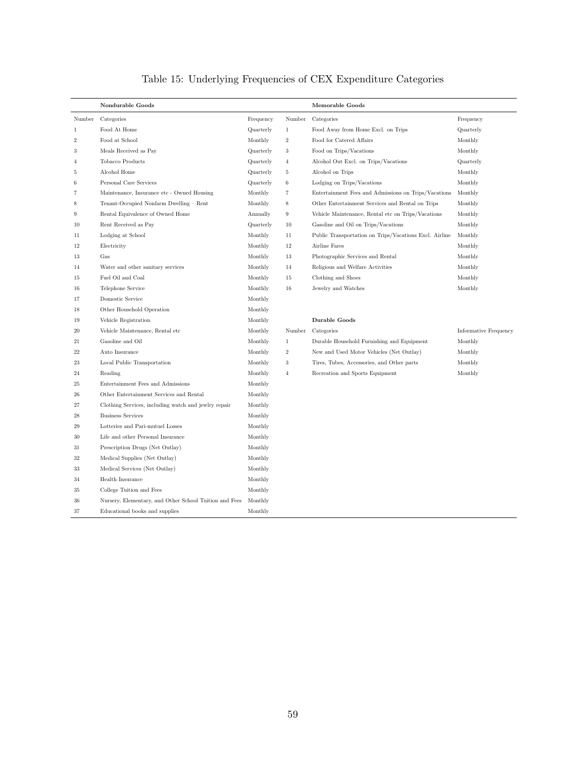# Table 15: Underlying Frequencies of CEX Expenditure Categories

|                | Nondurable Goods                                       |           |                   | Memorable Goods                                        |                              |
|----------------|--------------------------------------------------------|-----------|-------------------|--------------------------------------------------------|------------------------------|
| Number         | Categories                                             | Frequency | Number            | Categories                                             | Frequency                    |
| $\mathbf{1}$   | Food At Home                                           | Quarterly | $\mathbf{1}$      | Food Away from Home Excl. on Trips                     | Quarterly                    |
| $\overline{2}$ | Food at School                                         | Monthly   | $\overline{2}$    | Food for Catered Affairs                               | Monthly                      |
| 3              | Meals Received as Pay                                  | Quarterly | 3                 | Food on Trips/Vacations                                | Monthly                      |
| $\overline{4}$ | Tobacco Products                                       | Quarterly | $\overline{4}$    | Alcohol Out Excl. on Trips/Vacations                   | Quarterly                    |
| -5             | Alcohol Home                                           | Quarterly | 5                 | Alcohol on Trips                                       | Monthly                      |
| 6              | Personal Care Services                                 | Quarterly | $\,6$             | Lodging on Trips/Vacations                             | Monthly                      |
| 7              | Maintenance, Insurance etc - Owned Housing             | Monthly   | $\scriptstyle{7}$ | Entertainment Fees and Admissions on Trips/Vacations   | Monthly                      |
| 8              | Tenant-Occupied Nonfarm Dwelling - Rent                | Monthly   | $\,$ 8 $\,$       | Other Entertainment Services and Rental on Trips       | Monthly                      |
| 9              | Rental Equivalence of Owned Home                       | Annually  | $\boldsymbol{9}$  | Vehicle Maintenance, Rental etc on Trips/Vacations     | Monthly                      |
| 10             | Rent Received as Pay                                   | Quarterly | 10                | Gasoline and Oil on Trips/Vacations                    | Monthly                      |
| 11             | Lodging at School                                      | Monthly   | 11                | Public Transportation on Trips/Vacations Excl. Airline | Monthly                      |
| 12             | Electricity                                            | Monthly   | 12                | Airline Fares                                          | Monthly                      |
| 13             | Gas                                                    | Monthly   | 13                | Photographic Services and Rental                       | Monthly                      |
| 14             | Water and other sanitary services                      | Monthly   | 14                | Religious and Welfare Activities                       | Monthly                      |
| 15             | Fuel Oil and Coal                                      | Monthly   | 15                | Clothing and Shoes                                     | Monthly                      |
| 16             | Telephone Service                                      | Monthly   | 16                | Jewelry and Watches                                    | Monthly                      |
| 17             | Domestic Service                                       | Monthly   |                   |                                                        |                              |
| 18             | Other Household Operation                              | Monthly   |                   |                                                        |                              |
| 19             | Vehicle Registration                                   | Monthly   |                   | Durable Goods                                          |                              |
| 20             | Vehicle Maintenance, Rental etc                        | Monthly   | Number            | Categories                                             | <b>Informative Frequency</b> |
| 21             | Gasoline and Oil                                       | Monthly   | $\mathbf{1}$      | Durable Household Furnishing and Equipment             | Monthly                      |
| $^{22}$        | Auto Insurance                                         | Monthly   | $\,2$             | New and Used Motor Vehicles (Net Outlay)               | Monthly                      |
| 23             | Local Public Transportation                            | Monthly   | $\sqrt{3}$        | Tires, Tubes, Accessories, and Other parts             | Monthly                      |
| 24             | Reading                                                | Monthly   | $\overline{4}$    | Recreation and Sports Equipment                        | Monthly                      |
| 25             | Entertainment Fees and Admissions                      | Monthly   |                   |                                                        |                              |
| 26             | Other Entertainment Services and Rental                | Monthly   |                   |                                                        |                              |
| 27             | Clothing Services, including watch and jewlry repair   | Monthly   |                   |                                                        |                              |
| 28             | <b>Business Services</b>                               | Monthly   |                   |                                                        |                              |
| 29             | Lotteries and Pari-mutuel Losses                       | Monthly   |                   |                                                        |                              |
| 30             | Life and other Personal Insurance                      | Monthly   |                   |                                                        |                              |
| 31             | Prescription Drugs (Net Outlay)                        | Monthly   |                   |                                                        |                              |
| 32             | Medical Supplies (Net Outlay)                          | Monthly   |                   |                                                        |                              |
| 33             | Medical Services (Net Outlay)                          | Monthly   |                   |                                                        |                              |
| 34             | Health Insurance                                       | Monthly   |                   |                                                        |                              |
| 35             | College Tuition and Fees                               | Monthly   |                   |                                                        |                              |
| 36             | Nursery, Elementary, and Other School Tuition and Fees | Monthly   |                   |                                                        |                              |
| 37             | Educational books and supplies                         | Monthly   |                   |                                                        |                              |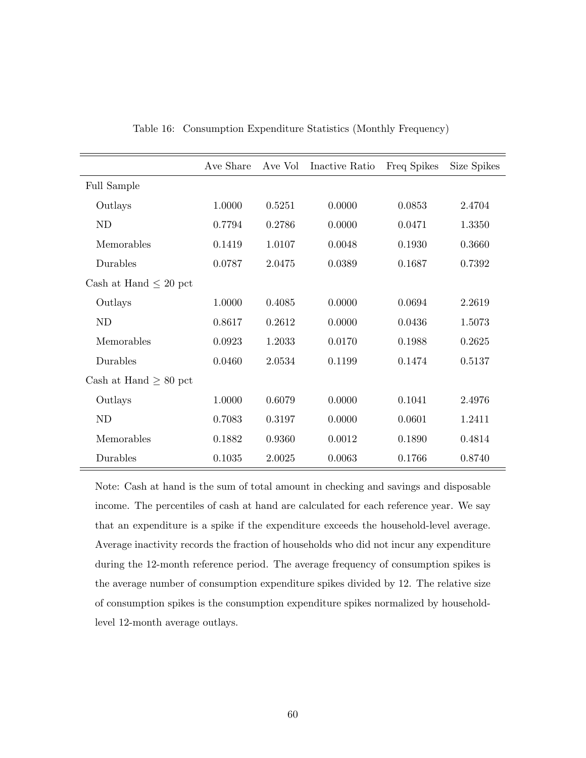|                            | Ave Share | Ave Vol | Inactive Ratio | Freq Spikes | Size Spikes |
|----------------------------|-----------|---------|----------------|-------------|-------------|
| <b>Full Sample</b>         |           |         |                |             |             |
| Outlays                    | 1.0000    | 0.5251  | 0.0000         | 0.0853      | 2.4704      |
| <b>ND</b>                  | 0.7794    | 0.2786  | 0.0000         | 0.0471      | 1.3350      |
| Memorables                 | 0.1419    | 1.0107  | 0.0048         | 0.1930      | 0.3660      |
| Durables                   | 0.0787    | 2.0475  | 0.0389         | 0.1687      | 0.7392      |
| Cash at Hand $\leq 20$ pct |           |         |                |             |             |
| Outlays                    | 1.0000    | 0.4085  | 0.0000         | 0.0694      | 2.2619      |
| <b>ND</b>                  | 0.8617    | 0.2612  | 0.0000         | 0.0436      | 1.5073      |
| Memorables                 | 0.0923    | 1.2033  | 0.0170         | 0.1988      | 0.2625      |
| Durables                   | 0.0460    | 2.0534  | 0.1199         | 0.1474      | 0.5137      |
| Cash at Hand $\geq 80$ pct |           |         |                |             |             |
| Outlays                    | 1.0000    | 0.6079  | 0.0000         | 0.1041      | 2.4976      |
| <b>ND</b>                  | 0.7083    | 0.3197  | 0.0000         | 0.0601      | 1.2411      |
| Memorables                 | 0.1882    | 0.9360  | 0.0012         | 0.1890      | 0.4814      |
| Durables                   | 0.1035    | 2.0025  | 0.0063         | 0.1766      | 0.8740      |

Table 16: Consumption Expenditure Statistics (Monthly Frequency)

Note: Cash at hand is the sum of total amount in checking and savings and disposable income. The percentiles of cash at hand are calculated for each reference year. We say that an expenditure is a spike if the expenditure exceeds the household-level average. Average inactivity records the fraction of households who did not incur any expenditure during the 12-month reference period. The average frequency of consumption spikes is the average number of consumption expenditure spikes divided by 12. The relative size of consumption spikes is the consumption expenditure spikes normalized by householdlevel 12-month average outlays.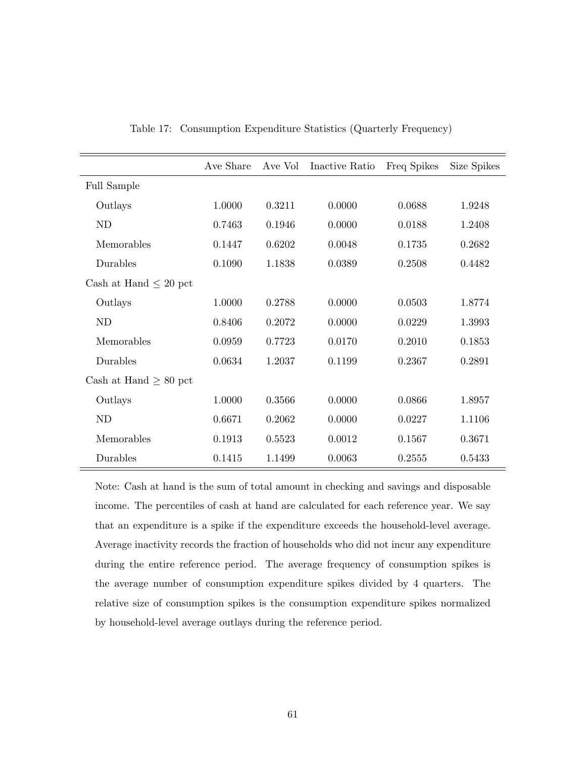|                            | Ave Share | Ave Vol | Inactive Ratio | Freq Spikes | Size Spikes |
|----------------------------|-----------|---------|----------------|-------------|-------------|
| <b>Full Sample</b>         |           |         |                |             |             |
| Outlays                    | 1.0000    | 0.3211  | 0.0000         | 0.0688      | 1.9248      |
| <b>ND</b>                  | 0.7463    | 0.1946  | 0.0000         | 0.0188      | 1.2408      |
| Memorables                 | 0.1447    | 0.6202  | 0.0048         | 0.1735      | 0.2682      |
| Durables                   | 0.1090    | 1.1838  | 0.0389         | 0.2508      | 0.4482      |
| Cash at Hand $\leq 20$ pct |           |         |                |             |             |
| Outlays                    | 1.0000    | 0.2788  | 0.0000         | 0.0503      | 1.8774      |
| <b>ND</b>                  | 0.8406    | 0.2072  | 0.0000         | 0.0229      | 1.3993      |
| Memorables                 | 0.0959    | 0.7723  | 0.0170         | 0.2010      | 0.1853      |
| Durables                   | 0.0634    | 1.2037  | 0.1199         | 0.2367      | 0.2891      |
| Cash at Hand $\geq 80$ pct |           |         |                |             |             |
| Outlays                    | 1.0000    | 0.3566  | 0.0000         | 0.0866      | 1.8957      |
| <b>ND</b>                  | 0.6671    | 0.2062  | 0.0000         | 0.0227      | 1.1106      |
| Memorables                 | 0.1913    | 0.5523  | 0.0012         | 0.1567      | 0.3671      |
| Durables                   | 0.1415    | 1.1499  | 0.0063         | 0.2555      | 0.5433      |

Table 17: Consumption Expenditure Statistics (Quarterly Frequency)

Note: Cash at hand is the sum of total amount in checking and savings and disposable income. The percentiles of cash at hand are calculated for each reference year. We say that an expenditure is a spike if the expenditure exceeds the household-level average. Average inactivity records the fraction of households who did not incur any expenditure during the entire reference period. The average frequency of consumption spikes is the average number of consumption expenditure spikes divided by 4 quarters. The relative size of consumption spikes is the consumption expenditure spikes normalized by household-level average outlays during the reference period.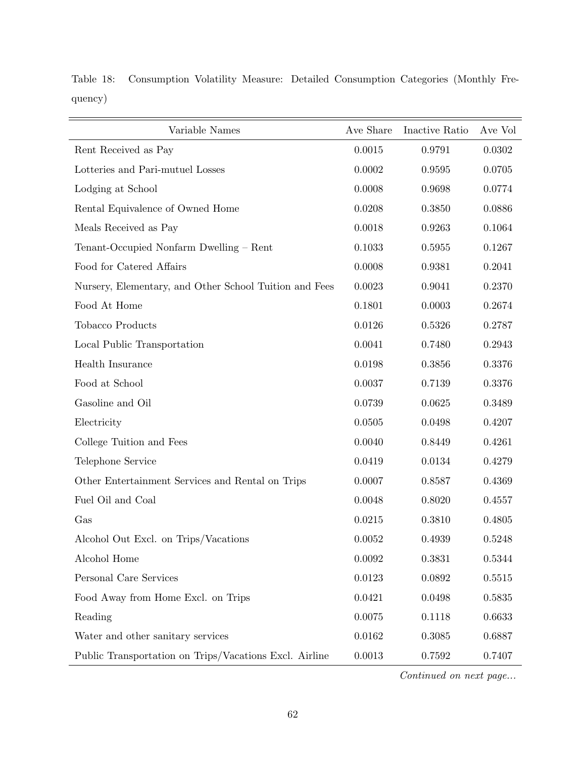| Variable Names                                         | Ave Share  | Inactive Ratio | Ave Vol |
|--------------------------------------------------------|------------|----------------|---------|
| Rent Received as Pay                                   | 0.0015     | 0.9791         | 0.0302  |
| Lotteries and Pari-mutuel Losses                       | 0.0002     | 0.9595         | 0.0705  |
| Lodging at School                                      | 0.0008     | 0.9698         | 0.0774  |
| Rental Equivalence of Owned Home                       | 0.0208     | 0.3850         | 0.0886  |
| Meals Received as Pay                                  | 0.0018     | 0.9263         | 0.1064  |
| Tenant-Occupied Nonfarm Dwelling - Rent                | 0.1033     | 0.5955         | 0.1267  |
| Food for Catered Affairs                               | 0.0008     | 0.9381         | 0.2041  |
| Nursery, Elementary, and Other School Tuition and Fees | 0.0023     | 0.9041         | 0.2370  |
| Food At Home                                           | 0.1801     | 0.0003         | 0.2674  |
| Tobacco Products                                       | 0.0126     | 0.5326         | 0.2787  |
| Local Public Transportation                            | 0.0041     | 0.7480         | 0.2943  |
| Health Insurance                                       | 0.0198     | 0.3856         | 0.3376  |
| Food at School                                         | 0.0037     | 0.7139         | 0.3376  |
| Gasoline and Oil                                       | 0.0739     | 0.0625         | 0.3489  |
| Electricity                                            | 0.0505     | 0.0498         | 0.4207  |
| College Tuition and Fees                               | 0.0040     | 0.8449         | 0.4261  |
| Telephone Service                                      | 0.0419     | 0.0134         | 0.4279  |
| Other Entertainment Services and Rental on Trips       | 0.0007     | 0.8587         | 0.4369  |
| Fuel Oil and Coal                                      | 0.0048     | 0.8020         | 0.4557  |
| Gas                                                    | 0.0215     | 0.3810         | 0.4805  |
| Alcohol Out Excl. on Trips/Vacations                   | 0.0052     | 0.4939         | 0.5248  |
| Alcohol Home                                           | 0.0092     | 0.3831         | 0.5344  |
| Personal Care Services                                 | 0.0123     | 0.0892         | 0.5515  |
| Food Away from Home Excl. on Trips                     | 0.0421     | 0.0498         | 0.5835  |
| Reading                                                | 0.0075     | 0.1118         | 0.6633  |
| Water and other sanitary services                      | 0.0162     | 0.3085         | 0.6887  |
| Public Transportation on Trips/Vacations Excl. Airline | $0.0013\,$ | 0.7592         | 0.7407  |

Table 18: Consumption Volatility Measure: Detailed Consumption Categories (Monthly Frequency)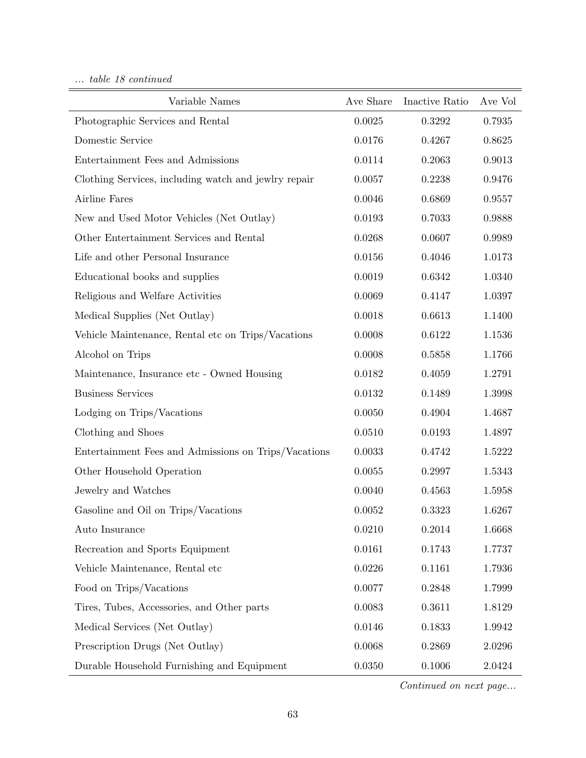... table 18 continued

| Variable Names                                       | Ave Share | Inactive Ratio | Ave Vol    |
|------------------------------------------------------|-----------|----------------|------------|
| Photographic Services and Rental                     | 0.0025    | 0.3292         | 0.7935     |
| Domestic Service                                     | 0.0176    | 0.4267         | 0.8625     |
| Entertainment Fees and Admissions                    | 0.0114    | 0.2063         | 0.9013     |
| Clothing Services, including watch and jewlry repair | 0.0057    | 0.2238         | 0.9476     |
| Airline Fares                                        | 0.0046    | 0.6869         | 0.9557     |
| New and Used Motor Vehicles (Net Outlay)             | 0.0193    | 0.7033         | 0.9888     |
| Other Entertainment Services and Rental              | 0.0268    | 0.0607         | 0.9989     |
| Life and other Personal Insurance                    | 0.0156    | 0.4046         | $1.0173\,$ |
| Educational books and supplies                       | 0.0019    | 0.6342         | 1.0340     |
| Religious and Welfare Activities                     | 0.0069    | 0.4147         | 1.0397     |
| Medical Supplies (Net Outlay)                        | 0.0018    | 0.6613         | 1.1400     |
| Vehicle Maintenance, Rental etc on Trips/Vacations   | 0.0008    | 0.6122         | 1.1536     |
| Alcohol on Trips                                     | 0.0008    | 0.5858         | 1.1766     |
| Maintenance, Insurance etc - Owned Housing           | 0.0182    | 0.4059         | 1.2791     |
| <b>Business Services</b>                             | 0.0132    | 0.1489         | 1.3998     |
| Lodging on Trips/Vacations                           | 0.0050    | 0.4904         | 1.4687     |
| Clothing and Shoes                                   | 0.0510    | 0.0193         | 1.4897     |
| Entertainment Fees and Admissions on Trips/Vacations | 0.0033    | 0.4742         | 1.5222     |
| Other Household Operation                            | 0.0055    | 0.2997         | 1.5343     |
| Jewelry and Watches                                  | 0.0040    | 0.4563         | 1.5958     |
| Gasoline and Oil on Trips/Vacations                  | 0.0052    | 0.3323         | 1.6267     |
| Auto Insurance                                       | 0.0210    | 0.2014         | 1.6668     |
| Recreation and Sports Equipment                      | 0.0161    | 0.1743         | 1.7737     |
| Vehicle Maintenance, Rental etc                      | 0.0226    | 0.1161         | 1.7936     |
| Food on Trips/Vacations                              | 0.0077    | 0.2848         | 1.7999     |
| Tires, Tubes, Accessories, and Other parts           | 0.0083    | 0.3611         | 1.8129     |
| Medical Services (Net Outlay)                        | 0.0146    | 0.1833         | 1.9942     |
| Prescription Drugs (Net Outlay)                      | 0.0068    | 0.2869         | 2.0296     |
| Durable Household Furnishing and Equipment           | 0.0350    | 0.1006         | 2.0424     |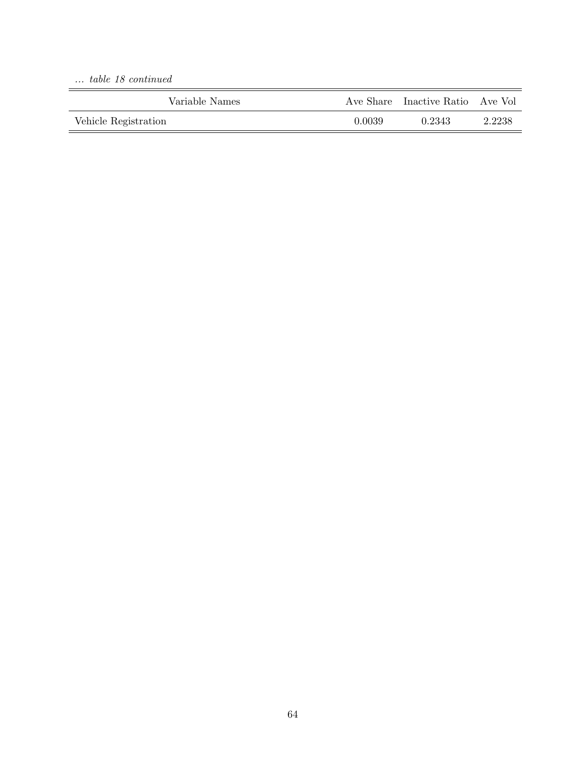... table 18 continued

| Variable Names       |        | Ave Share Inactive Ratio Ave Vol |        |
|----------------------|--------|----------------------------------|--------|
| Vehicle Registration | 0.0039 | 0.2343                           | 2.2238 |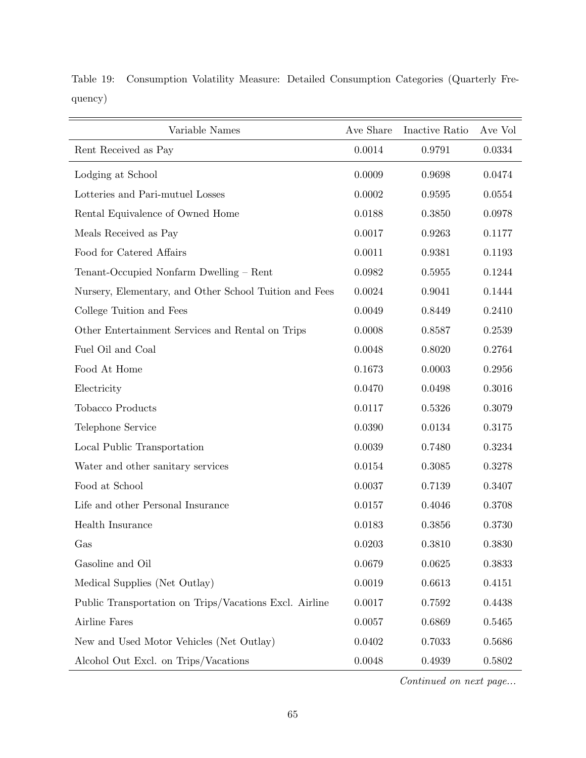| Variable Names                                         | Ave Share | Inactive Ratio | Ave Vol |
|--------------------------------------------------------|-----------|----------------|---------|
| Rent Received as Pay                                   | 0.0014    | 0.9791         | 0.0334  |
| Lodging at School                                      | 0.0009    | 0.9698         | 0.0474  |
| Lotteries and Pari-mutuel Losses                       | 0.0002    | 0.9595         | 0.0554  |
| Rental Equivalence of Owned Home                       | 0.0188    | 0.3850         | 0.0978  |
| Meals Received as Pay                                  | 0.0017    | 0.9263         | 0.1177  |
| Food for Catered Affairs                               | 0.0011    | 0.9381         | 0.1193  |
| Tenant-Occupied Nonfarm Dwelling - Rent                | 0.0982    | 0.5955         | 0.1244  |
| Nursery, Elementary, and Other School Tuition and Fees | 0.0024    | 0.9041         | 0.1444  |
| College Tuition and Fees                               | 0.0049    | 0.8449         | 0.2410  |
| Other Entertainment Services and Rental on Trips       | 0.0008    | 0.8587         | 0.2539  |
| Fuel Oil and Coal                                      | 0.0048    | 0.8020         | 0.2764  |
| Food At Home                                           | 0.1673    | 0.0003         | 0.2956  |
| Electricity                                            | 0.0470    | 0.0498         | 0.3016  |
| Tobacco Products                                       | 0.0117    | 0.5326         | 0.3079  |
| Telephone Service                                      | 0.0390    | 0.0134         | 0.3175  |
| Local Public Transportation                            | 0.0039    | 0.7480         | 0.3234  |
| Water and other sanitary services                      | 0.0154    | 0.3085         | 0.3278  |
| Food at School                                         | 0.0037    | 0.7139         | 0.3407  |
| Life and other Personal Insurance                      | 0.0157    | 0.4046         | 0.3708  |
| Health Insurance                                       | 0.0183    | 0.3856         | 0.3730  |
| Gas                                                    | 0.0203    | 0.3810         | 0.3830  |
| Gasoline and Oil                                       | 0.0679    | 0.0625         | 0.3833  |
| Medical Supplies (Net Outlay)                          | 0.0019    | 0.6613         | 0.4151  |
| Public Transportation on Trips/Vacations Excl. Airline | 0.0017    | 0.7592         | 0.4438  |
| Airline Fares                                          | 0.0057    | 0.6869         | 0.5465  |
| New and Used Motor Vehicles (Net Outlay)               | 0.0402    | 0.7033         | 0.5686  |
| Alcohol Out Excl. on Trips/Vacations                   | 0.0048    | 0.4939         | 0.5802  |

Table 19: Consumption Volatility Measure: Detailed Consumption Categories (Quarterly Frequency)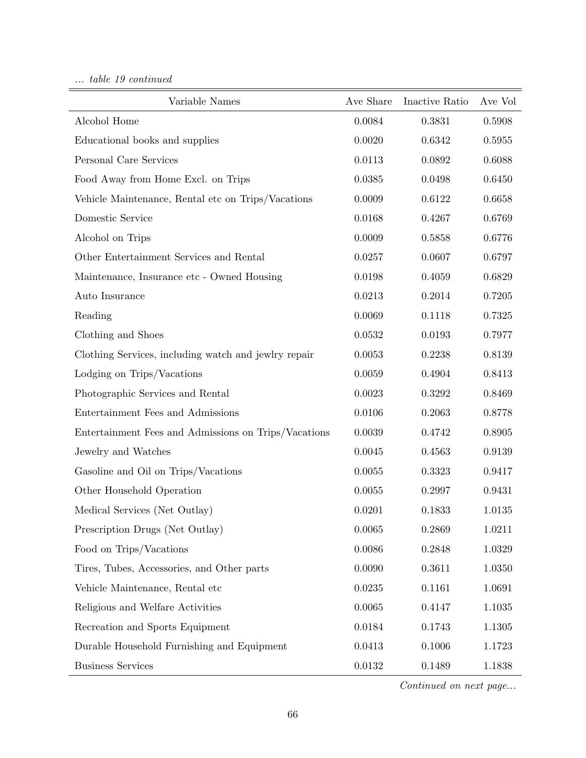... table 19 continued

| Variable Names                                       | Ave Share    | Inactive Ratio | Ave Vol |
|------------------------------------------------------|--------------|----------------|---------|
| Alcohol Home                                         | 0.0084       | 0.3831         | 0.5908  |
| Educational books and supplies                       | 0.0020       | 0.6342         | 0.5955  |
| Personal Care Services                               | 0.0113       | 0.0892         | 0.6088  |
| Food Away from Home Excl. on Trips                   | 0.0385       | 0.0498         | 0.6450  |
| Vehicle Maintenance, Rental etc on Trips/Vacations   | 0.0009       | 0.6122         | 0.6658  |
| Domestic Service                                     | 0.0168       | 0.6769         |         |
| Alcohol on Trips                                     | 0.0009       | 0.5858         | 0.6776  |
| Other Entertainment Services and Rental              | 0.0257       | 0.0607         | 0.6797  |
| Maintenance, Insurance etc - Owned Housing           | 0.0198       | 0.4059         | 0.6829  |
| Auto Insurance                                       | 0.0213       | 0.2014         | 0.7205  |
| Reading                                              | 0.0069       | 0.1118         | 0.7325  |
| Clothing and Shoes                                   | 0.0532       | 0.0193         | 0.7977  |
| Clothing Services, including watch and jewlry repair | 0.0053       | 0.2238         | 0.8139  |
| Lodging on Trips/Vacations                           | 0.0059       | 0.4904         | 0.8413  |
| Photographic Services and Rental                     | 0.0023       | 0.3292         | 0.8469  |
| Entertainment Fees and Admissions                    | 0.0106       | 0.2063         | 0.8778  |
| Entertainment Fees and Admissions on Trips/Vacations | 0.0039       | 0.4742         | 0.8905  |
| Jewelry and Watches                                  | 0.0045       | 0.4563         | 0.9139  |
| Gasoline and Oil on Trips/Vacations                  | 0.0055       | 0.3323         | 0.9417  |
| Other Household Operation                            | 0.0055       | 0.2997         | 0.9431  |
| Medical Services (Net Outlay)                        | 0.0201       | 0.1833         | 1.0135  |
| Prescription Drugs (Net Outlay)                      | 0.0065       | 0.2869         | 1.0211  |
| Food on Trips/Vacations                              | 0.0086       | 0.2848         | 1.0329  |
| Tires, Tubes, Accessories, and Other parts           | 0.0090       | 0.3611         | 1.0350  |
| Vehicle Maintenance, Rental etc                      | $\,0.0235\,$ | 0.1161         | 1.0691  |
| Religious and Welfare Activities                     | 0.0065       | 0.4147         | 1.1035  |
| Recreation and Sports Equipment                      | 0.0184       | 0.1743         | 1.1305  |
| Durable Household Furnishing and Equipment           | 0.0413       | 0.1006         | 1.1723  |
| <b>Business Services</b>                             | 0.0132       | 0.1489         | 1.1838  |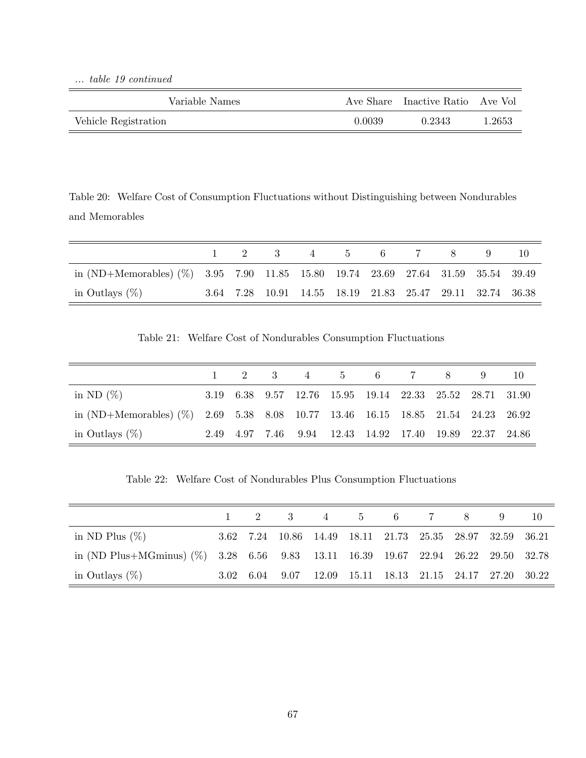... table 19 continued

| Variable Names       |        | Ave Share Inactive Ratio Ave Vol |        |
|----------------------|--------|----------------------------------|--------|
| Vehicle Registration | 0.0039 | 0.2343                           | 1.2653 |

Table 20: Welfare Cost of Consumption Fluctuations without Distinguishing between Nondurables and Memorables

|                                                                                     |  | $1 \t2 \t3 \t4 \t5 \t6 \t7$                               |  | 8 <sup>1</sup> |  |
|-------------------------------------------------------------------------------------|--|-----------------------------------------------------------|--|----------------|--|
| in (ND+Memorables) $(\%)$ 3.95 7.90 11.85 15.80 19.74 23.69 27.64 31.59 35.54 39.49 |  |                                                           |  |                |  |
| in Outlays $(\%)$                                                                   |  | 3.64 7.28 10.91 14.55 18.19 21.83 25.47 29.11 32.74 36.38 |  |                |  |

Table 21: Welfare Cost of Nondurables Consumption Fluctuations

|                                                                                   |  |  |  | $1 \t2 \t3 \t4 \t5 \t6 \t7 \t8$                          |  |
|-----------------------------------------------------------------------------------|--|--|--|----------------------------------------------------------|--|
| in ND $(\%)$                                                                      |  |  |  | 3.19 6.38 9.57 12.76 15.95 19.14 22.33 25.52 28.71 31.90 |  |
| in (ND+Memorables) (%) $2.69$ 5.38 8.08 10.77 13.46 16.15 18.85 21.54 24.23 26.92 |  |  |  |                                                          |  |
| in Outlays $(\%)$                                                                 |  |  |  | 2.49 4.97 7.46 9.94 12.43 14.92 17.40 19.89 22.37 24.86  |  |

Table 22: Welfare Cost of Nondurables Plus Consumption Fluctuations

|                                                                                   |  | $1 \quad 2 \quad 3 \quad 4 \quad 5 \quad 6 \quad 7 \quad 8$ |  |  | 10 |
|-----------------------------------------------------------------------------------|--|-------------------------------------------------------------|--|--|----|
| in ND Plus $(\%)$                                                                 |  | 3.62 7.24 10.86 14.49 18.11 21.73 25.35 28.97 32.59 36.21   |  |  |    |
| in (ND Plus+MGminus) (%) 3.28 6.56 9.83 13.11 16.39 19.67 22.94 26.22 29.50 32.78 |  |                                                             |  |  |    |
| in Outlays $(\%)$                                                                 |  | 3.02 6.04 9.07 12.09 15.11 18.13 21.15 24.17 27.20 30.22    |  |  |    |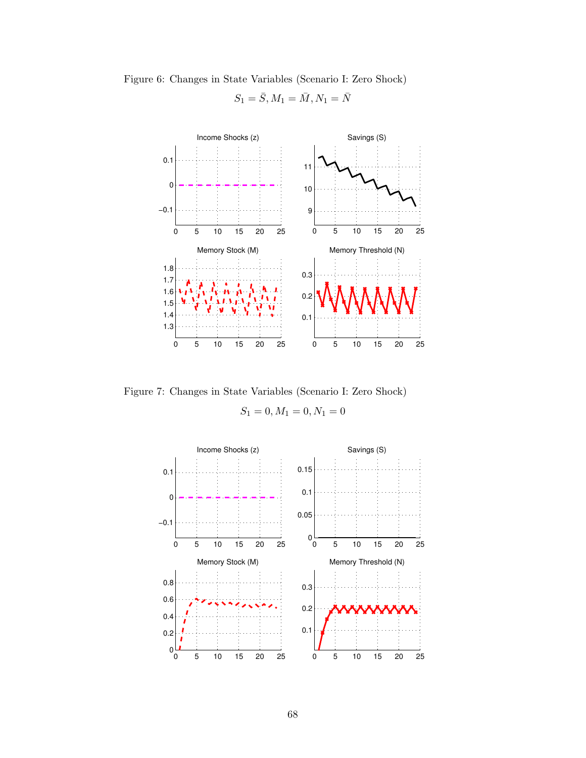

Figure 6: Changes in State Variables (Scenario I: Zero Shock)



Figure 7: Changes in State Variables (Scenario I: Zero Shock)

 $S_1 = 0, M_1 = 0, N_1 = 0$ 

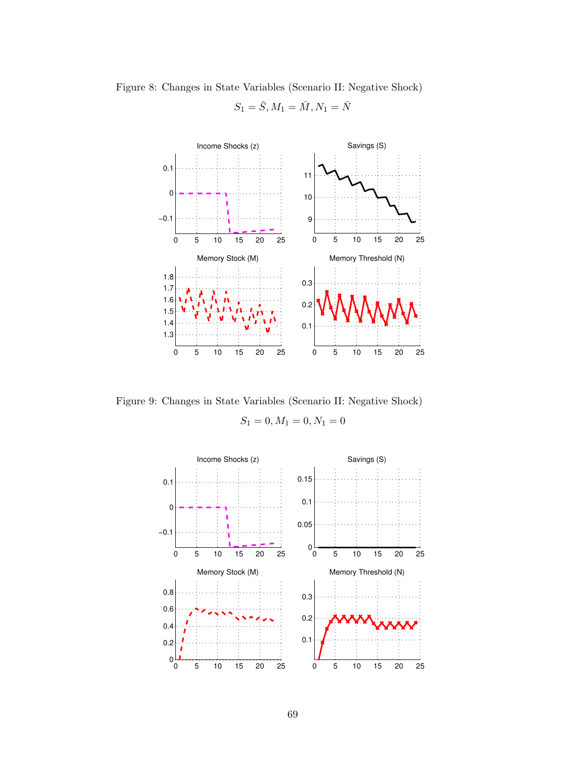

Figure 8: Changes in State Variables (Scenario II: Negative Shock)

 $S_1 = \bar{S}, M_1 = \bar{M}, N_1 = \bar{N}$ 

Figure 9: Changes in State Variables (Scenario II: Negative Shock)

 $S_1 = 0, M_1 = 0, N_1 = 0$ 

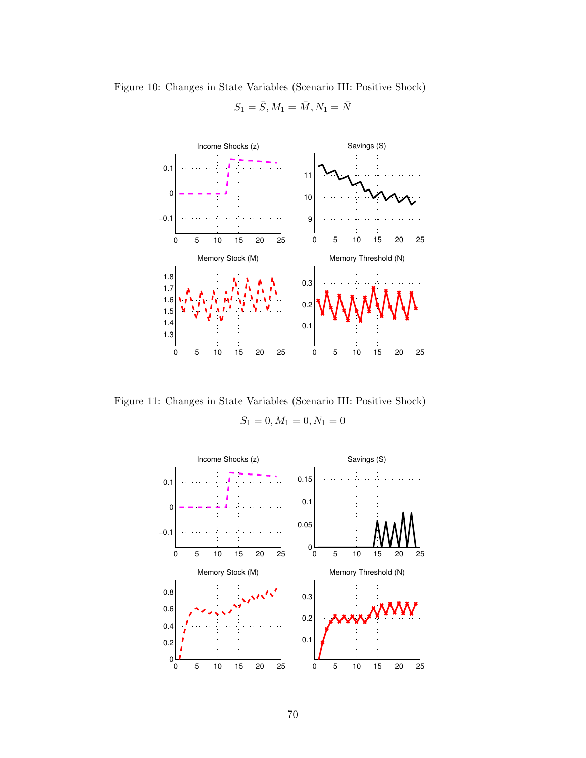

Figure 10: Changes in State Variables (Scenario III: Positive Shock)

 $S_1 = \bar{S}, M_1 = \bar{M}, N_1 = \bar{N}$ 

Figure 11: Changes in State Variables (Scenario III: Positive Shock)

 $S_1 = 0, M_1 = 0, N_1 = 0$ 

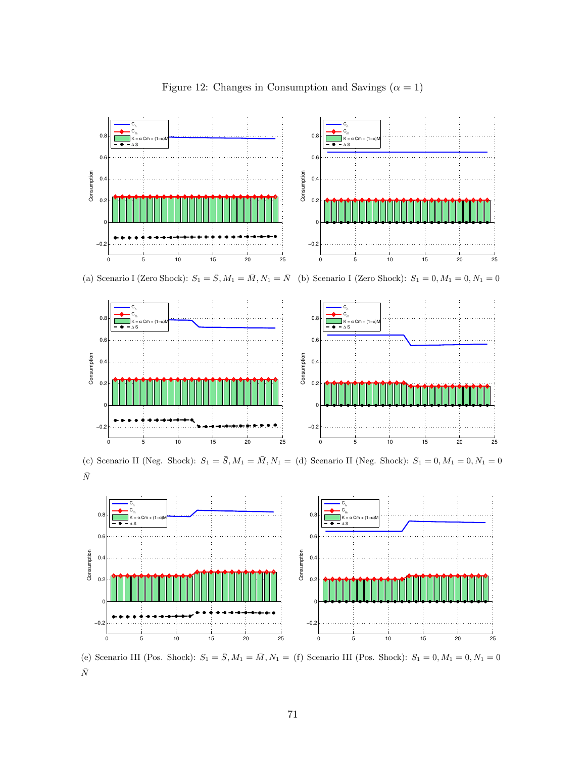

Figure 12: Changes in Consumption and Savings  $(\alpha = 1)$ 

(a) Scenario I (Zero Shock):  $S_1 = \overline{S}$ ,  $M_1 = \overline{M}$ ,  $N_1 = \overline{N}$  (b) Scenario I (Zero Shock):  $S_1 = 0$ ,  $M_1 = 0$ ,  $N_1 = 0$ 



(c) Scenario II (Neg. Shock):  $S_1 = \bar{S}, M_1 = \bar{M}, N_1 =$  (d) Scenario II (Neg. Shock):  $S_1 = 0, M_1 = 0, N_1 = 0$  $\bar{N}$ 



(e) Scenario III (Pos. Shock):  $S_1 = \bar{S}, M_1 = \bar{M}, N_1 =$  (f) Scenario III (Pos. Shock):  $S_1 = 0, M_1 = 0, N_1 = 0$  $\bar{N}$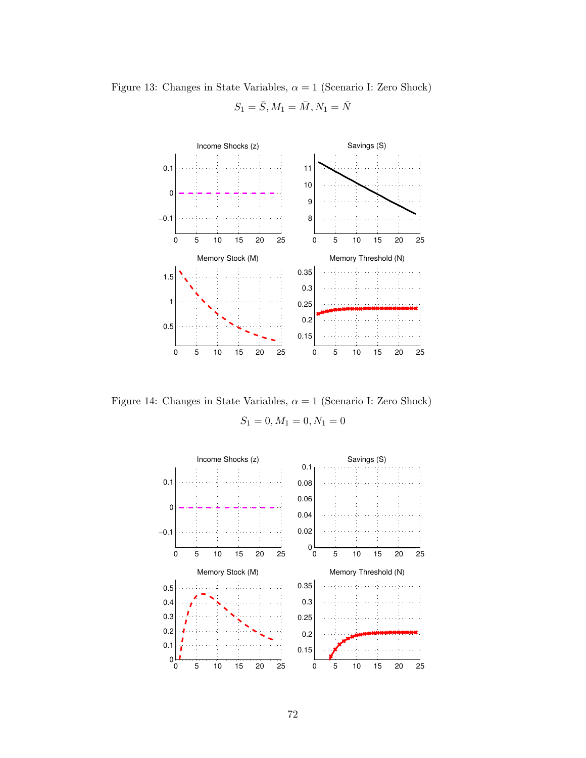

Figure 13: Changes in State Variables,  $\alpha = 1$  (Scenario I: Zero Shock)  $S_1 = \bar{S}, M_1 = \bar{M}, N_1 = \bar{N}$ 

Figure 14: Changes in State Variables,  $\alpha = 1$  (Scenario I: Zero Shock)

 $S_1 = 0, M_1 = 0, N_1 = 0$ 

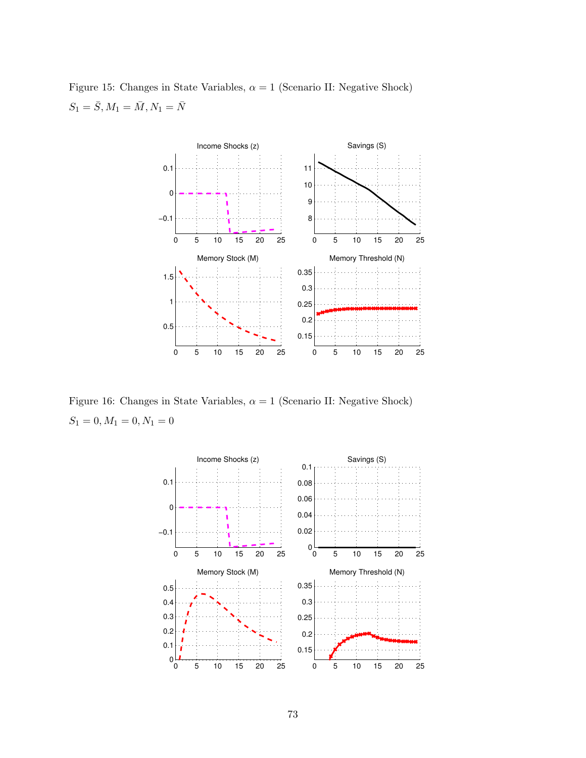



Figure 16: Changes in State Variables,  $\alpha = 1$  (Scenario II: Negative Shock)  $S_1 = 0, M_1 = 0, N_1 = 0$ 

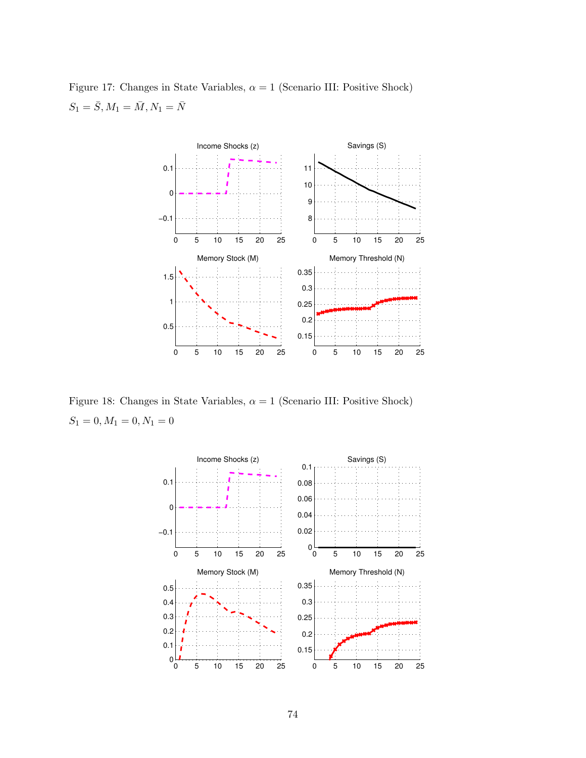



Figure 18: Changes in State Variables,  $\alpha = 1$  (Scenario III: Positive Shock)  $S_1 = 0, M_1 = 0, N_1 = 0$ 

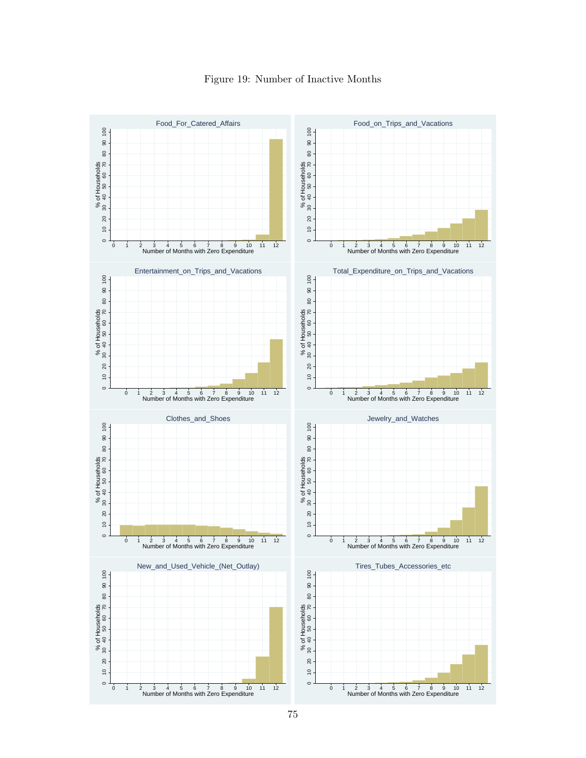

## Figure 19: Number of Inactive Months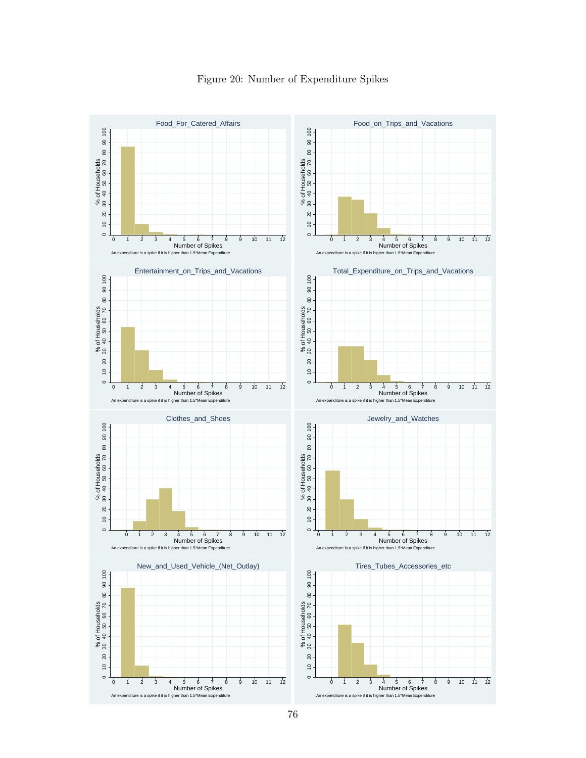

Figure 20: Number of Expenditure Spikes